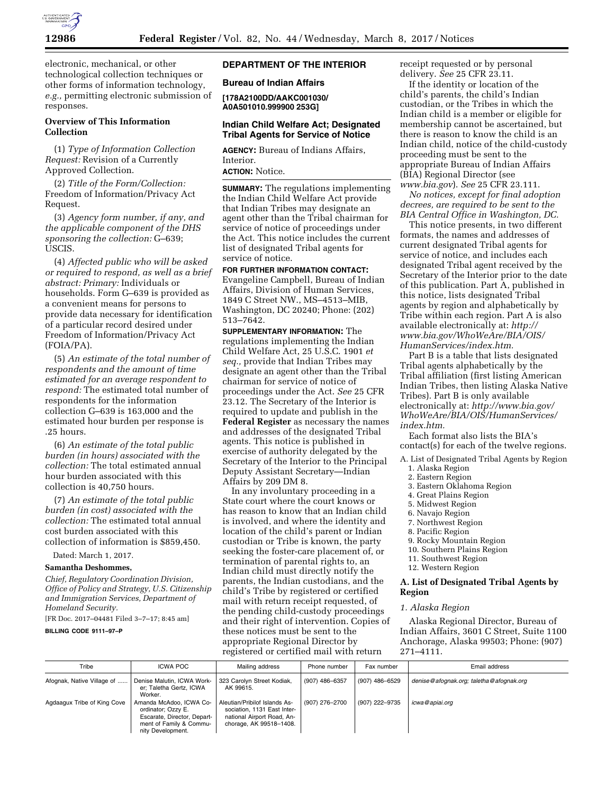

electronic, mechanical, or other technological collection techniques or other forms of information technology, *e.g.,* permitting electronic submission of responses.

## **Overview of This Information Collection**

(1) *Type of Information Collection Request:* Revision of a Currently Approved Collection.

(2) *Title of the Form/Collection:*  Freedom of Information/Privacy Act Request.

(3) *Agency form number, if any, and the applicable component of the DHS sponsoring the collection:* G–639; USCIS.

(4) *Affected public who will be asked or required to respond, as well as a brief abstract: Primary:* Individuals or households. Form G–639 is provided as a convenient means for persons to provide data necessary for identification of a particular record desired under Freedom of Information/Privacy Act (FOIA/PA).

(5) *An estimate of the total number of respondents and the amount of time estimated for an average respondent to respond:* The estimated total number of respondents for the information collection G–639 is 163,000 and the estimated hour burden per response is .25 hours.

(6) *An estimate of the total public burden (in hours) associated with the collection:* The total estimated annual hour burden associated with this collection is 40,750 hours.

(7) *An estimate of the total public burden (in cost) associated with the collection:* The estimated total annual cost burden associated with this collection of information is \$859,450.

Dated: March 1, 2017.

#### **Samantha Deshommes,**

*Chief, Regulatory Coordination Division, Office of Policy and Strategy, U.S. Citizenship and Immigration Services, Department of Homeland Security.* 

[FR Doc. 2017–04481 Filed 3–7–17; 8:45 am]

#### **BILLING CODE 9111–97–P**

#### **DEPARTMENT OF THE INTERIOR**

#### **Bureau of Indian Affairs**

**[178A2100DD/AAKC001030/ A0A501010.999900 253G]** 

#### **Indian Child Welfare Act; Designated Tribal Agents for Service of Notice**

**AGENCY:** Bureau of Indians Affairs, Interior.

**ACTION:** Notice.

**SUMMARY:** The regulations implementing the Indian Child Welfare Act provide that Indian Tribes may designate an agent other than the Tribal chairman for service of notice of proceedings under the Act. This notice includes the current list of designated Tribal agents for service of notice.

**FOR FURTHER INFORMATION CONTACT:**  Evangeline Campbell, Bureau of Indian Affairs, Division of Human Services, 1849 C Street NW., MS–4513–MIB, Washington, DC 20240; Phone: (202) 513–7642.

**SUPPLEMENTARY INFORMATION:** The regulations implementing the Indian Child Welfare Act, 25 U.S.C. 1901 *et seq.,* provide that Indian Tribes may designate an agent other than the Tribal chairman for service of notice of proceedings under the Act. *See* 25 CFR 23.12. The Secretary of the Interior is required to update and publish in the **Federal Register** as necessary the names and addresses of the designated Tribal agents. This notice is published in exercise of authority delegated by the Secretary of the Interior to the Principal Deputy Assistant Secretary—Indian Affairs by 209 DM 8.

In any involuntary proceeding in a State court where the court knows or has reason to know that an Indian child is involved, and where the identity and location of the child's parent or Indian custodian or Tribe is known, the party seeking the foster-care placement of, or termination of parental rights to, an Indian child must directly notify the parents, the Indian custodians, and the child's Tribe by registered or certified mail with return receipt requested, of the pending child-custody proceedings and their right of intervention. Copies of these notices must be sent to the appropriate Regional Director by registered or certified mail with return

receipt requested or by personal delivery. *See* 25 CFR 23.11.

If the identity or location of the child's parents, the child's Indian custodian, or the Tribes in which the Indian child is a member or eligible for membership cannot be ascertained, but there is reason to know the child is an Indian child, notice of the child-custody proceeding must be sent to the appropriate Bureau of Indian Affairs (BIA) Regional Director (see *[www.bia.gov](http://www.bia.gov)*). *See* 25 CFR 23.111.

*No notices, except for final adoption decrees, are required to be sent to the BIA Central Office in Washington, DC.* 

This notice presents, in two different formats, the names and addresses of current designated Tribal agents for service of notice, and includes each designated Tribal agent received by the Secretary of the Interior prior to the date of this publication. Part A, published in this notice, lists designated Tribal agents by region and alphabetically by Tribe within each region. Part A is also available electronically at: *[http://](http://www.bia.gov/WhoWeAre/BIA/OIS/HumanServices/index.htm) [www.bia.gov/WhoWeAre/BIA/OIS/](http://www.bia.gov/WhoWeAre/BIA/OIS/HumanServices/index.htm)  [HumanServices/index.htm.](http://www.bia.gov/WhoWeAre/BIA/OIS/HumanServices/index.htm)* 

Part B is a table that lists designated Tribal agents alphabetically by the Tribal affiliation (first listing American Indian Tribes, then listing Alaska Native Tribes). Part B is only available electronically at: *[http://www.bia.gov/](http://www.bia.gov/WhoWeAre/BIA/OIS/HumanServices/index.htm)  [WhoWeAre/BIA/OIS/HumanServices/](http://www.bia.gov/WhoWeAre/BIA/OIS/HumanServices/index.htm) [index.htm.](http://www.bia.gov/WhoWeAre/BIA/OIS/HumanServices/index.htm)* 

Each format also lists the BIA's contact(s) for each of the twelve regions.

- A. List of Designated Tribal Agents by Region 1. Alaska Region
- 2. Eastern Region
- 3. Eastern Oklahoma Region
- 4. Great Plains Region
- 5. Midwest Region
- 6. Navajo Region
- 7. Northwest Region
- 8. Pacific Region
- 9. Rocky Mountain Region
- 10. Southern Plains Region
- 11. Southwest Region
- 12. Western Region

#### **A. List of Designated Tribal Agents by Region**

#### *1. Alaska Region*

Alaska Regional Director, Bureau of Indian Affairs, 3601 C Street, Suite 1100 Anchorage, Alaska 99503; Phone: (907) 271–4111.

| Tribe                       | <b>ICWA POC</b>                                                                                                              | Mailing address                                                                                                       | Phone number   | Fax number     | Email address                           |
|-----------------------------|------------------------------------------------------------------------------------------------------------------------------|-----------------------------------------------------------------------------------------------------------------------|----------------|----------------|-----------------------------------------|
| Afognak, Native Village of  | Denise Malutin, ICWA Work-<br>er; Taletha Gertz, ICWA<br>Worker.                                                             | 323 Carolyn Street Kodiak,<br>AK 99615.                                                                               | (907) 486-6357 | (907) 486-6529 | denise@afognak.org; taletha@afognak.org |
| Agdaagux Tribe of King Cove | Amanda McAdoo, ICWA Co-<br>ordinator; Ozzy E.<br>Escarate, Director, Depart-<br>ment of Family & Commu-<br>nity Development. | Aleutian/Pribilof Islands As-<br>sociation. 1131 East Inter-<br>national Airport Road, An-<br>chorage, AK 99518-1408. | (907) 276-2700 | (907) 222-9735 | icwa@apiai.org                          |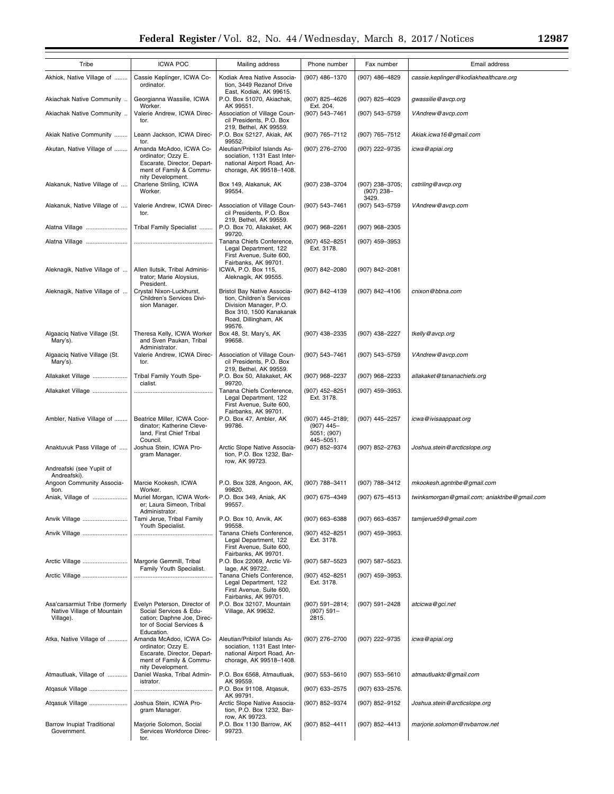| ▵ | 298 | , |
|---|-----|---|
|   |     |   |

| Tribe                                                                     | <b>ICWA POC</b>                                                                                                                | Mailing address                                                                                                                                 | Phone number                                                | Fax number                               | Email address                                |
|---------------------------------------------------------------------------|--------------------------------------------------------------------------------------------------------------------------------|-------------------------------------------------------------------------------------------------------------------------------------------------|-------------------------------------------------------------|------------------------------------------|----------------------------------------------|
|                                                                           |                                                                                                                                |                                                                                                                                                 |                                                             |                                          | cassie.keplinger@kodiakhealthcare.org        |
| Akhiok, Native Village of                                                 | Cassie Keplinger, ICWA Co-<br>ordinator.                                                                                       | Kodiak Area Native Associa-<br>tion, 3449 Rezanof Drive<br>East, Kodiak, AK 99615.                                                              | (907) 486-1370                                              | (907) 486-4829                           |                                              |
| Akiachak Native Community                                                 | Georgianna Wassilie, ICWA<br>Worker.                                                                                           | P.O. Box 51070, Akiachak,<br>AK 99551.                                                                                                          | (907) 825-4626<br>Ext. 204.                                 | (907) 825-4029                           | gwassilie@avcp.org                           |
| Akiachak Native Community                                                 | Valerie Andrew, ICWA Direc-<br>tor.                                                                                            | Association of Village Coun-<br>cil Presidents, P.O. Box                                                                                        | (907) 543-7461                                              | (907) 543-5759                           | VAndrew@avcp.com                             |
| Akiak Native Community                                                    | Leann Jackson, ICWA Direc-<br>tor.                                                                                             | 219, Bethel, AK 99559.<br>P.O. Box 52127, Akiak, AK<br>99552.                                                                                   | (907) 765-7112                                              | (907) 765-7512                           | Akiak.icwa16@gmail.com                       |
| Akutan, Native Village of                                                 | Amanda McAdoo, ICWA Co-<br>ordinator; Ozzy E.<br>Escarate, Director, Depart-<br>ment of Family & Commu-<br>nity Development.   | Aleutian/Pribilof Islands As-<br>sociation, 1131 East Inter-<br>national Airport Road, An-<br>chorage, AK 99518-1408.                           | (907) 276-2700                                              | (907) 222-9735                           | icwa@apiai.org                               |
| Alakanuk, Native Village of                                               | Charlene Striling, ICWA<br>Worker.                                                                                             | Box 149, Alakanuk, AK<br>99554.                                                                                                                 | (907) 238-3704                                              | (907) 238-3705;<br>$(907)$ 238-<br>3429. | cstriling@avcp.org                           |
| Alakanuk, Native Village of                                               | Valerie Andrew, ICWA Direc-<br>tor.                                                                                            | Association of Village Coun-<br>cil Presidents, P.O. Box<br>219, Bethel, AK 99559.                                                              | (907) 543-7461                                              | (907) 543-5759                           | VAndrew@avcp.com                             |
| Alatna Village                                                            | Tribal Family Specialist                                                                                                       | P.O. Box 70, Allakaket, AK<br>99720.                                                                                                            | $(907)$ 968-2261                                            | (907) 968-2305                           |                                              |
| Alatna Village                                                            |                                                                                                                                | Tanana Chiefs Conference,<br>Legal Department, 122<br>First Avenue, Suite 600,<br>Fairbanks, AK 99701.                                          | (907) 452-8251<br>Ext. 3178.                                | (907) 459-3953                           |                                              |
| Aleknagik, Native Village of                                              | Allen Ilutsik, Tribal Adminis-<br>trator; Marie Aloysius,<br>President.                                                        | ICWA, P.O. Box 115,<br>Aleknagik, AK 99555.                                                                                                     | (907) 842-2080                                              | $(907) 842 - 2081$                       |                                              |
| Aleknagik, Native Village of                                              | Crystal Nixon-Luckhurst,<br>Children's Services Divi-<br>sion Manager.                                                         | Bristol Bay Native Associa-<br>tion, Children's Services<br>Division Manager, P.O.<br>Box 310, 1500 Kanakanak<br>Road, Dillingham, AK<br>99576. | (907) 842-4139                                              | (907) 842-4106                           | cnixon@bbna.com                              |
| Algaaciq Native Village (St.<br>Mary's).                                  | Theresa Kelly, ICWA Worker<br>and Sven Paukan, Tribal<br>Administrator.                                                        | Box 48, St. Mary's, AK<br>99658.                                                                                                                | (907) 438-2335                                              | (907) 438-2227                           | tkelly@avcp.org                              |
| Algaaciq Native Village (St.<br>Mary's).                                  | Valerie Andrew, ICWA Direc-<br>tor.                                                                                            | Association of Village Coun-<br>cil Presidents, P.O. Box<br>219, Bethel, AK 99559.                                                              | $(907) 543 - 7461$                                          | (907) 543-5759                           | VAndrew@avcp.com                             |
| Allakaket Village                                                         | Tribal Family Youth Spe-<br>cialist.                                                                                           | P.O. Box 50, Allakaket, AK<br>99720.                                                                                                            | (907) 968-2237                                              | $(907)$ 968-2233                         | allakaket@tananachiefs.org                   |
| Allakaket Village                                                         |                                                                                                                                | Tanana Chiefs Conference,<br>Legal Department, 122<br>First Avenue, Suite 600,<br>Fairbanks, AK 99701.                                          | (907) 452-8251<br>Ext. 3178.                                | (907) 459-3953.                          |                                              |
| Ambler, Native Village of                                                 | Beatrice Miller, ICWA Coor-<br>dinator; Katherine Cleve-<br>land, First Chief Tribal<br>Council.                               | P.O. Box 47, Ambler, AK<br>99786.                                                                                                               | (907) 445-2189;<br>$(907)$ 445-<br>5051; (907)<br>445-5051. | (907) 445-2257                           | icwa@ivisaappaat.org                         |
| Anaktuvuk Pass Village of                                                 | Joshua Stein, ICWA Pro-<br>gram Manager.                                                                                       | Arctic Slope Native Associa-<br>tion, P.O. Box 1232, Bar-<br>row, AK 99723.                                                                     | (907) 852-9374                                              | (907) 852-2763                           | Joshua.stein@arcticslope.org                 |
| Andreafski (see Yupiit of<br>Andreafski).                                 |                                                                                                                                |                                                                                                                                                 |                                                             |                                          |                                              |
| Angoon Community Associa-<br>tion.                                        | Marcie Kookesh, ICWA<br>Worker.                                                                                                | P.O. Box 328, Angoon, AK,<br>99820.                                                                                                             | (907) 788-3411                                              | (907) 788-3412                           | mkookesh.agntribe@gmail.com                  |
| Aniak, Village of                                                         | Muriel Morgan, ICWA Work-<br>er; Laura Simeon, Tribal<br>Administrator.                                                        | P.O. Box 349, Aniak, AK<br>99557.                                                                                                               | (907) 675-4349                                              | (907) 675-4513                           | twinksmorgan@gmail.com; aniaktribe@gmail.com |
| Anvik Village                                                             | Tami Jerue, Tribal Family<br>Youth Specialist.                                                                                 | P.O. Box 10, Anvik, AK<br>99558.                                                                                                                | (907) 663-6388                                              | (907) 663-6357                           | tamijerue59@gmail.com                        |
| Anvik Village                                                             |                                                                                                                                | Tanana Chiefs Conference,<br>Legal Department, 122<br>First Avenue, Suite 600,<br>Fairbanks, AK 99701.                                          | (907) 452-8251<br>Ext. 3178.                                | (907) 459-3953.                          |                                              |
| Arctic Village                                                            | Margorie Gemmill, Tribal<br>Family Youth Specialist.                                                                           | P.O. Box 22069, Arctic Vil-<br>lage, AK 99722.                                                                                                  | (907) 587-5523                                              | (907) 587-5523.                          |                                              |
| Arctic Village                                                            |                                                                                                                                | Tanana Chiefs Conference,<br>Legal Department, 122<br>First Avenue, Suite 600,<br>Fairbanks, AK 99701.                                          | (907) 452-8251<br>Ext. 3178.                                | (907) 459-3953.                          |                                              |
| Asa'carsarmiut Tribe (formerly<br>Native Village of Mountain<br>Village). | Evelyn Peterson, Director of<br>Social Services & Edu-<br>cation; Daphne Joe, Direc-<br>tor of Social Services &<br>Education. | P.O. Box 32107, Mountain<br>Village, AK 99632.                                                                                                  | (907) 591-2814;<br>$(907) 591 -$<br>2815.                   | (907) 591-2428                           | atcicwa@gci.net                              |
| Atka, Native Village of                                                   | Amanda McAdoo, ICWA Co-<br>ordinator; Ozzy E.<br>Escarate, Director, Depart-<br>ment of Family & Commu-<br>nity Development.   | Aleutian/Pribilof Islands As-<br>sociation, 1131 East Inter-<br>national Airport Road, An-<br>chorage, AK 99518-1408.                           | (907) 276-2700                                              | (907) 222-9735                           | icwa@apiai.org                               |
| Atmautluak, Village of                                                    | Daniel Waska, Tribal Admin-<br>istrator.                                                                                       | P.O. Box 6568, Atmautluak,<br>AK 99559.                                                                                                         | $(907) 553 - 5610$                                          | (907) 553-5610                           | atmautluaktc@gmail.com                       |
| Atgasuk Village                                                           |                                                                                                                                | P.O. Box 91108, Atqasuk,<br>AK 99791.                                                                                                           | (907) 633-2575                                              | (907) 633-2576.                          |                                              |
| Atqasuk Village                                                           | Joshua Stein, ICWA Pro-<br>gram Manager.                                                                                       | Arctic Slope Native Associa-<br>tion, P.O. Box 1232, Bar-<br>row, AK 99723.                                                                     | (907) 852-9374                                              | (907) 852-9152                           | Joshua.stein@arcticslope.org                 |
| <b>Barrow Inupiat Traditional</b><br>Government.                          | Marjorie Solomon, Social<br>Services Workforce Direc-<br>tor.                                                                  | P.O. Box 1130 Barrow, AK<br>99723.                                                                                                              | (907) 852-4411                                              | (907) 852-4413                           | marjorie.solomon@nvbarrow.net                |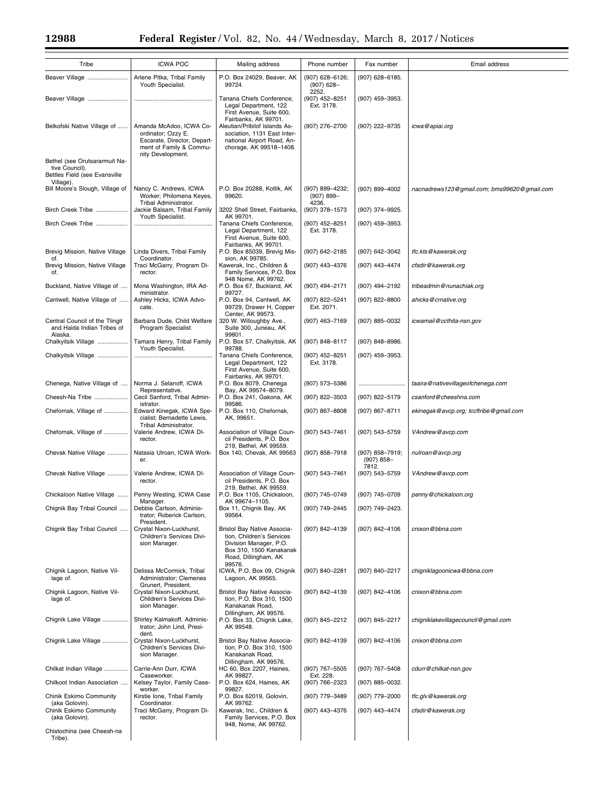Ξ

| Tribe                                                                                         | <b>ICWA POC</b>                                                                                                              | Mailing address                                                                                                                               | Phone number                              | Fax number                                | Email address                               |
|-----------------------------------------------------------------------------------------------|------------------------------------------------------------------------------------------------------------------------------|-----------------------------------------------------------------------------------------------------------------------------------------------|-------------------------------------------|-------------------------------------------|---------------------------------------------|
| Beaver Village                                                                                | Arlene Pitka, Tribal Family<br>Youth Specialist.                                                                             | P.O. Box 24029, Beaver, AK<br>99724.                                                                                                          | (907) 628-6126;<br>$(907) 628 -$<br>2252. | (907) 628-6185.                           |                                             |
| Beaver Village                                                                                |                                                                                                                              | Tanana Chiefs Conference,<br>Legal Department, 122<br>First Avenue, Suite 600,                                                                | (907) 452–8251<br>Ext. 3178.              | (907) 459-3953.                           |                                             |
| Belkofski Native Village of                                                                   | Amanda McAdoo, ICWA Co-<br>ordinator; Ozzy E.<br>Escarate, Director, Depart-<br>ment of Family & Commu-<br>nity Development. | Fairbanks, AK 99701.<br>Aleutian/Pribilof Islands As-<br>sociation, 1131 East Inter-<br>national Airport Road, An-<br>chorage, AK 99518-1408. | (907) 276-2700                            | (907) 222-9735                            | icwa@apiai.org                              |
| Bethel (see Orutsararmuit Na-<br>tive Council).<br>Bettles Field (see Evansville<br>Village). |                                                                                                                              |                                                                                                                                               |                                           |                                           |                                             |
| Bill Moore's Slough, Village of                                                               | Nancy C. Andrews, ICWA<br>Worker; Philomena Keyes,<br>Tribal Administrator.                                                  | P.O. Box 20288, Kotlik, AK<br>99620.                                                                                                          | (907) 899-4232;<br>$(907) 899-$<br>4236.  | (907) 899-4002                            | nacnadrews123@gmail.com; bms99620@gmail.com |
| Birch Creek Tribe                                                                             | Jackie Balaam, Tribal Family<br>Youth Specialist.                                                                            | 3202 Shell Street, Fairbanks,<br>AK 99701.                                                                                                    | (907) 378-1573                            | (907) 374-9925.                           |                                             |
| Birch Creek Tribe                                                                             |                                                                                                                              | Tanana Chiefs Conference,<br>Legal Department, 122<br>First Avenue, Suite 600,<br>Fairbanks, AK 99701.                                        | (907) 452-8251<br>Ext. 3178.              | (907) 459-3953.                           |                                             |
| Brevig Mission, Native Village<br>of.                                                         | Linda Divers, Tribal Family<br>Coordinator.                                                                                  | P.O. Box 85039, Brevig Mis-<br>sion, AK 99785.                                                                                                | (907) 642-2185                            | (907) 642-3042                            | tfc.kts@kawerak.org                         |
| Brevig Mission, Native Village<br>of.                                                         | Traci McGarry, Program Di-<br>rector.                                                                                        | Kawerak, Inc., Children &<br>Family Services, P.O. Box<br>948 Nome, AK 99762.                                                                 | (907) 443-4376                            | (907) 443-4474                            | cfsdir@kawerak.org                          |
| Buckland, Native Village of                                                                   | Mona Washington, IRA Ad-<br>ministrator.                                                                                     | P.O. Box 67, Buckland, AK<br>99727.                                                                                                           | (907) 494-2171                            | (907) 494-2192                            | tribeadmin@nunachiak.org                    |
| Cantwell, Native Village of                                                                   | Ashley Hicks, ICWA Advo-<br>cate.                                                                                            | P.O. Box 94, Cantwell, AK<br>99729, Drawer H, Copper<br>Center, AK 99573.                                                                     | (907) 822-5241<br>Ext. 2071.              | (907) 822-8800                            | ahicks@crnative.org                         |
| Central Council of the Tlingit<br>and Haida Indian Tribes of<br>Alaska.                       | Barbara Dude, Child Welfare<br>Program Specialist.                                                                           | 320 W. Willoughby Ave.,<br>Suite 300, Juneau, AK<br>99801.                                                                                    | (907) 463-7169                            | (907) 885-0032                            | icwamail@ccthita-nsn.gov                    |
| Chalkyitsik Village                                                                           | Tamara Henry, Tribal Family<br>Youth Specialist.                                                                             | P.O. Box 57, Chalkyitsik, AK<br>99788                                                                                                         | (907) 848-8117                            | (907) 848-8986.                           |                                             |
| Chalkyitsik Village                                                                           |                                                                                                                              | Tanana Chiefs Conference,<br>Legal Department, 122<br>First Avenue, Suite 600,                                                                | (907) 452-8251<br>Ext. 3178.              | (907) 459-3953.                           |                                             |
| Chenega, Native Village of                                                                    | Norma J. Selanoff, ICWA                                                                                                      | Fairbanks, AK 99701.<br>P.O. Box 8079, Chenega                                                                                                | (907) 573-5386                            |                                           | taaira@nativevillageofchenega.com           |
| Cheesh-Na Tribe                                                                               | Representative.<br>Cecil Sanford, Tribal Admin-                                                                              | Bay, AK 99574-8079.<br>P.O. Box 241, Gakona, AK                                                                                               | (907) 822-3503                            | (907) 822-5179                            | csanford@cheeshna.com                       |
| Chefornak, Village of                                                                         | istrator.<br>Edward Kinegak, ICWA Spe-<br>cialist; Bernadette Lewis,                                                         | 99586.<br>P.O. Box 110, Chefornak,<br>AK, 99651.                                                                                              | (907) 867-8808                            | (907) 867-8711                            | ekinegak@avcp.org; tccftribe@gmail.com      |
| Chefornak, Village of                                                                         | Tribal Administrator.<br>Valerie Andrew, ICWA DI-<br>rector.                                                                 | Association of Village Coun-<br>cil Presidents, P.O. Box                                                                                      | (907) 543-7461                            | (907) 543-5759                            | VAndrew@avcp.com                            |
| Chevak Native Village                                                                         | Natasia Ulroan, ICWA Work-<br>er.                                                                                            | 219, Bethel, AK 99559.<br>Box 140, Chevak, AK 99563                                                                                           | (907) 858-7918                            | (907) 858-7919;<br>$(907) 858 -$<br>7812. | nulroan@avcp.org                            |
| Chevak Native Village                                                                         | Valerie Andrew, ICWA DI-<br>rector.                                                                                          | Association of Village Coun-<br>cil Presidents, P.O. Box<br>219, Bethel, AK 99559.                                                            | (907) 543-7461                            | (907) 543-5759                            | VAndrew@avcp.com                            |
| Chickaloon Native Village                                                                     | Penny Westing, ICWA Case<br>Manager.                                                                                         | P.O. Box 1105, Chickaloon,<br>AK 99674-1105.                                                                                                  | (907) 745-0749                            | (907) 745-0709                            | penny@chickaloon.org                        |
| Chignik Bay Tribal Council                                                                    | Debbie Carlson, Adminis-<br>trator; Roberick Carlson,<br>President.                                                          | Box 11, Chignik Bay, AK<br>99564.                                                                                                             | (907) 749-2445                            | (907) 749-2423.                           |                                             |
| Chignik Bay Tribal Council                                                                    | Crystal Nixon-Luckhurst,<br>Children's Services Divi-<br>sion Manager.                                                       | Bristol Bay Native Associa-<br>tion, Children's Services<br>Division Manager, P.O.<br>Box 310, 1500 Kanakanak<br>Road, Dillingham, AK         | (907) 842-4139                            | (907) 842-4106                            | cnixon@bbna.com                             |
| Chignik Lagoon, Native Vil-<br>lage of.                                                       | Delissa McCormick, Tribal<br>Administrator; Clemenes                                                                         | 99576.<br>ICWA, P.O. Box 09, Chignik<br>Lagoon, AK 99565.                                                                                     | (907) 840-2281                            | (907) 840-2217                            | chigniklagoonicwa@bbna.com                  |
| Chignik Lagoon, Native Vil-<br>lage of.                                                       | Grunert. President.<br>Crystal Nixon-Luckhurst,<br>Children's Services Divi-<br>sion Manager.                                | Bristol Bay Native Associa-<br>tion, P.O. Box 310, 1500<br>Kanakanak Road,                                                                    | (907) 842-4139                            | (907) 842-4106                            | cnixon@bbna.com                             |
| Chignik Lake Village                                                                          | Shirley Kalmakoff, Adminis-<br>trator; John Lind, Presi-                                                                     | Dillingham, AK 99576.<br>P.O. Box 33, Chignik Lake,<br>AK 99548.                                                                              | (907) 845-2212                            | (907) 845-2217                            | chigniklakevillagecouncil@gmail.com         |
| Chignik Lake Village                                                                          | dent.<br>Crystal Nixon-Luckhurst,<br>Children's Services Divi-<br>sion Manager.                                              | Bristol Bay Native Associa-<br>tion, P.O. Box 310, 1500<br>Kanakanak Road,                                                                    | (907) 842-4139                            | (907) 842-4106                            | cnixon@bbna.com                             |
| Chilkat Indian Village                                                                        | Carrie-Ann Durr, ICWA                                                                                                        | Dillingham, AK 99576.<br>HC 60, Box 2207, Haines,                                                                                             | (907) 767-5505                            | (907) 767-5408                            | cdurr@chilkat-nsn.gov                       |
| Chilkoot Indian Association                                                                   | Caseworker.<br>Kelsey Taylor, Family Case-                                                                                   | AK 99827.<br>P.O. Box 624, Haines, AK<br>99827.                                                                                               | Ext. 228.<br>(907) 766-2323               | (907) 885-0032.                           |                                             |
| Chinik Eskimo Community<br>(aka Golovin).                                                     | worker.<br>Kirstie Ione, Tribal Family<br>Coordinator.                                                                       | P.O. Box 62019, Golovin,<br>AK 99762.                                                                                                         | (907) 779-3489                            | (907) 779-2000                            | tfc.glv@kawerak.org                         |
| Chinik Eskimo Community<br>(aka Golovin).                                                     | Traci McGarry, Program Di-<br>rector.                                                                                        | Kawerak, Inc., Children &<br>Family Services, P.O. Box<br>948, Nome, AK 99762.                                                                | (907) 443-4376                            | (907) 443-4474                            | cfsdir@kawerak.org                          |
| Chistochina (see Cheesh-na<br>Tribe).                                                         |                                                                                                                              |                                                                                                                                               |                                           |                                           |                                             |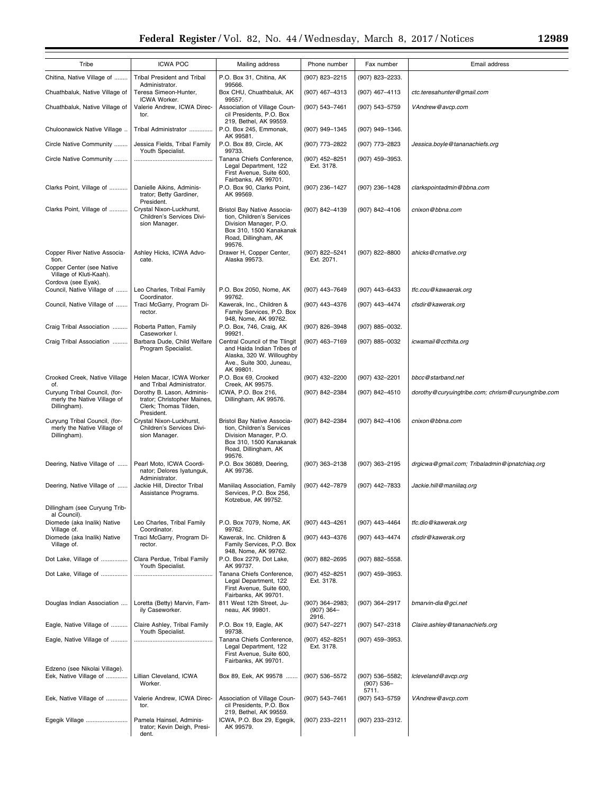| Tribe                                                                        | <b>ICWA POC</b>                                                                                  | Mailing address                                                                                                                                 | Phone number                             | Fax number                               | Email address                                      |
|------------------------------------------------------------------------------|--------------------------------------------------------------------------------------------------|-------------------------------------------------------------------------------------------------------------------------------------------------|------------------------------------------|------------------------------------------|----------------------------------------------------|
| Chitina, Native Village of                                                   | <b>Tribal President and Tribal</b><br>Administrator.                                             | P.O. Box 31, Chitina, AK<br>99566.                                                                                                              | (907) 823-2215                           | (907) 823-2233.                          |                                                    |
| Chuathbaluk, Native Village of                                               | Teresa Simeon-Hunter,<br>ICWA Worker.                                                            | Box CHU, Chuathbaluk, AK<br>99557.                                                                                                              | (907) 467-4313                           | (907) 467-4113                           | ctc.teresahunter@gmail.com                         |
| Chuathbaluk, Native Village of                                               | Valerie Andrew, ICWA Direc-<br>tor.                                                              | Association of Village Coun-<br>cil Presidents, P.O. Box<br>219, Bethel, AK 99559.                                                              | (907) 543-7461                           | (907) 543-5759                           | VAndrew@avcp.com                                   |
| Chuloonawick Native Village                                                  | Tribal Administrator                                                                             | P.O. Box 245, Emmonak,<br>AK 99581.                                                                                                             | (907) 949-1345                           | (907) 949-1346.                          |                                                    |
| Circle Native Community                                                      | Jessica Fields, Tribal Family<br>Youth Specialist.                                               | P.O. Box 89, Circle, AK<br>99733.                                                                                                               | (907) 773-2822                           | (907) 773-2823                           | Jessica.boyle@tananachiefs.org                     |
| Circle Native Community                                                      |                                                                                                  | Tanana Chiefs Conference,<br>Legal Department, 122<br>First Avenue. Suite 600.<br>Fairbanks, AK 99701.                                          | (907) 452-8251<br>Ext. 3178.             | (907) 459-3953.                          |                                                    |
| Clarks Point, Village of                                                     | Danielle Aikins, Adminis-<br>trator; Betty Gardiner,<br>President.                               | P.O. Box 90, Clarks Point,<br>AK 99569.                                                                                                         | (907) 236-1427                           | (907) 236-1428                           | clarkspointadmin@bbna.com                          |
| Clarks Point, Village of                                                     | Crystal Nixon-Luckhurst,<br>Children's Services Divi-<br>sion Manager.                           | Bristol Bay Native Associa-<br>tion, Children's Services<br>Division Manager, P.O.<br>Box 310, 1500 Kanakanak<br>Road, Dillingham, AK<br>99576. | (907) 842-4139                           | (907) 842-4106                           | cnixon@bbna.com                                    |
| Copper River Native Associa-<br>tion.<br>Copper Center (see Native           | Ashley Hicks, ICWA Advo-<br>cate.                                                                | Drawer H, Copper Center,<br>Alaska 99573.                                                                                                       | (907) 822-5241<br>Ext. 2071.             | (907) 822-8800                           | ahicks@crnative.org                                |
| Village of Kluti-Kaah).<br>Cordova (see Eyak).                               |                                                                                                  |                                                                                                                                                 |                                          |                                          |                                                    |
| Council, Native Village of                                                   | Leo Charles, Tribal Family<br>Coordinator.                                                       | P.O. Box 2050, Nome, AK<br>99762.                                                                                                               | (907) 443-7649                           | (907) 443-6433                           | tfc.cou@kawaerak.org                               |
| Council, Native Village of                                                   | Traci McGarry, Program Di-<br>rector.                                                            | Kawerak, Inc., Children &<br>Family Services, P.O. Box<br>948, Nome, AK 99762.                                                                  | (907) 443-4376                           | (907) 443-4474                           | cfsdir@kawerak.org                                 |
| Craig Tribal Association                                                     | Roberta Patten, Family<br>Caseworker I.                                                          | P.O. Box, 746, Craig, AK<br>99921.                                                                                                              | (907) 826-3948                           | (907) 885-0032.                          |                                                    |
| Craig Tribal Association                                                     | Barbara Dude, Child Welfare<br>Program Specialist.                                               | Central Council of the Tlingit<br>and Haida Indian Tribes of<br>Alaska, 320 W. Willoughby<br>Ave., Suite 300, Juneau,<br>AK 99801.              | (907) 463-7169                           | (907) 885-0032                           | icwamail@ccthita.org                               |
| Crooked Creek, Native Village<br>of.                                         | Helen Macar, ICWA Worker<br>and Tribal Administrator.                                            | P.O. Box 69, Crooked<br>Creek, AK 99575.                                                                                                        | (907) 432-2200                           | (907) 432-2201                           | bbcc@starband.net                                  |
| Curyung Tribal Council, (for-<br>merly the Native Village of<br>Dillingham). | Dorothy B. Lason, Adminis-<br>trator; Christopher Maines,<br>Clerk; Thomas Tilden,<br>President. | ICWA, P.O. Box 216,<br>Dillingham, AK 99576.                                                                                                    | (907) 842-2384                           | (907) 842-4510                           | dorothy@curyuingtribe.com; chrism@curyungtribe.com |
| Curyung Tribal Council, (for-<br>merly the Native Village of<br>Dillingham). | Crystal Nixon-Luckhurst,<br>Children's Services Divi-<br>sion Manager.                           | Bristol Bay Native Associa-<br>tion, Children's Services<br>Division Manager, P.O.<br>Box 310, 1500 Kanakanak<br>Road, Dillingham, AK<br>99576. | (907) 842-2384                           | (907) 842-4106                           | cnixon@bbna.com                                    |
| Deering, Native Village of                                                   | Pearl Moto, ICWA Coordi-<br>nator; Delores Iyatunguk,<br>Administrator.                          | P.O. Box 36089, Deering,<br>AK 99736.                                                                                                           | (907) 363-2138                           | $(907)$ 363-2195                         | drgicwa@gmail.com; Tribaladmin@ipnatchiaq.org      |
| Deering, Native Village of                                                   | Jackie Hill, Director Tribal<br>Assistance Programs.                                             | Maniilaq Association, Family<br>Services, P.O. Box 256,<br>Kotzebue, AK 99752.                                                                  | (907) 442-7879                           | (907) 442-7833                           | Jackie.hill@maniilaq.org                           |
| Dillingham (see Curyung Trib-<br>al Council).                                |                                                                                                  |                                                                                                                                                 |                                          |                                          |                                                    |
| Diomede (aka Inalik) Native<br>Village of.                                   | Leo Charles, Tribal Family<br>Coordinator.                                                       | P.O. Box 7079, Nome, AK<br>99762.                                                                                                               | (907) 443-4261                           | (907) 443–4464                           | tfc.dio@kawerak.org                                |
| Diomede (aka Inalik) Native<br>Village of.                                   | Traci McGarry, Program Di-<br>rector.                                                            | Kawerak, Inc. Children &<br>Family Services, P.O. Box<br>948, Nome, AK 99762.                                                                   | (907) 443-4376                           | (907) 443-4474                           | cfsdir@kawerak.org                                 |
| Dot Lake, Village of                                                         | Clara Perdue, Tribal Family<br>Youth Specialist.                                                 | P.O. Box 2279, Dot Lake,<br>AK 99737.                                                                                                           | (907) 882-2695                           | (907) 882-5558.                          |                                                    |
| Dot Lake, Village of                                                         | .                                                                                                | Tanana Chiefs Conference,<br>Legal Department, 122<br>First Avenue, Suite 600,<br>Fairbanks, AK 99701.                                          | (907) 452-8251<br>Ext. 3178.             | (907) 459-3953.                          |                                                    |
| Douglas Indian Association                                                   | Loretta (Betty) Marvin, Fam-<br>ily Caseworker.                                                  | 811 West 12th Street, Ju-<br>neau, AK 99801.                                                                                                    | (907) 364-2983;<br>$(907)$ 364-<br>2916. | (907) 364-2917                           | bmarvin-dia@gci.net                                |
| Eagle, Native Village of                                                     | Claire Ashley, Tribal Family<br>Youth Specialist.                                                | P.O. Box 19, Eagle, AK<br>99738.                                                                                                                | (907) 547-2271                           | (907) 547-2318                           | Claire.ashley@tananachiefs.org                     |
| Eagle, Native Village of                                                     |                                                                                                  | Tanana Chiefs Conference,<br>Legal Department, 122<br>First Avenue, Suite 600,<br>Fairbanks, AK 99701.                                          | (907) 452-8251<br>Ext. 3178.             | (907) 459-3953.                          |                                                    |
| Edzeno (see Nikolai Village).<br>Eek, Native Village of                      | Lillian Cleveland, ICWA<br>Worker.                                                               | Box 89, Eek, AK 99578                                                                                                                           | $(907) 536 - 5572$                       | (907) 536-5582;<br>$(907) 536-$<br>5711. | Icleveland@avcp.org                                |
| Eek, Native Village of                                                       | Valerie Andrew, ICWA Direc-<br>tor.                                                              | Association of Village Coun-<br>cil Presidents, P.O. Box<br>219, Bethel, AK 99559.                                                              | (907) 543-7461                           | (907) 543–5759                           | VAndrew@avcp.com                                   |
| Egegik Village                                                               | Pamela Hainsel, Adminis-<br>trator; Kevin Deigh, Presi-<br>dent.                                 | ICWA, P.O. Box 29, Egegik,<br>AK 99579.                                                                                                         | (907) 233-2211                           | (907) 233-2312.                          |                                                    |

i.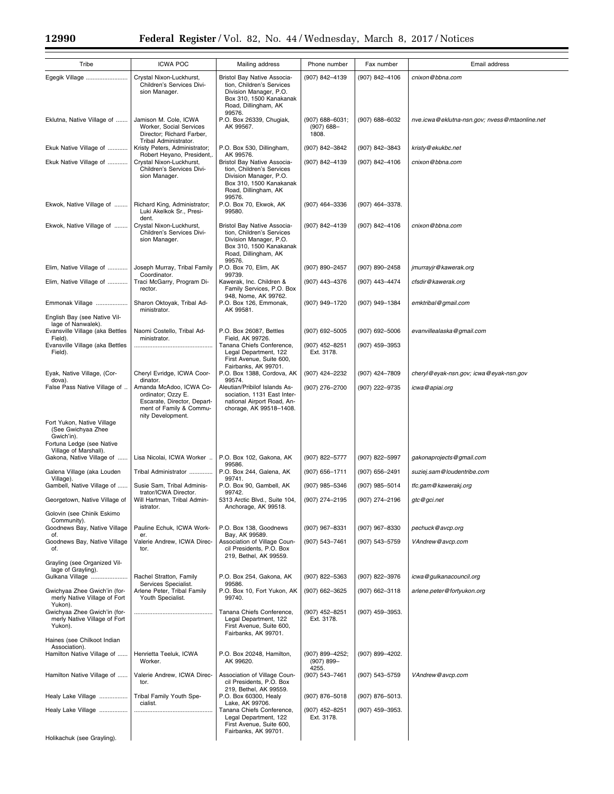Ξ

 $\overline{\phantom{0}}$ 

| Tribe                                                                           | <b>ICWA POC</b>                                                                                                                          | Mailing address                                                                                                                                    | Phone number                                  | Fax number      | Email address                                 |
|---------------------------------------------------------------------------------|------------------------------------------------------------------------------------------------------------------------------------------|----------------------------------------------------------------------------------------------------------------------------------------------------|-----------------------------------------------|-----------------|-----------------------------------------------|
| Egegik Village                                                                  | Crystal Nixon-Luckhurst,<br>Children's Services Divi-<br>sion Manager.                                                                   | Bristol Bay Native Associa-<br>tion, Children's Services<br>Division Manager, P.O.<br>Box 310, 1500 Kanakanak<br>Road, Dillingham, AK              | (907) 842-4139                                | (907) 842-4106  | cnixon@bbna.com                               |
| Eklutna, Native Village of                                                      | Jamison M. Cole, ICWA<br>Worker, Social Services<br>Director; Richard Farber,                                                            | 99576.<br>P.O. Box 26339, Chugiak,<br>AK 99567.                                                                                                    | $(907) 688 - 6031;$<br>$(907) 688 -$<br>1808. | (907) 688-6032  | nve.icwa@eklutna-nsn.gov; nvess@mtaonline.net |
| Ekuk Native Village of                                                          | Tribal Administrator.<br>Kristy Peters, Administrator;                                                                                   | P.O. Box 530, Dillingham,                                                                                                                          | (907) 842-3842                                | (907) 842-3843  | kristy@ekukbc.net                             |
| Ekuk Native Village of                                                          | Robert Heyano, President,.<br>Crystal Nixon-Luckhurst,<br>Children's Services Divi-<br>sion Manager.                                     | AK 99576.<br>Bristol Bay Native Associa-<br>tion, Children's Services<br>Division Manager, P.O.<br>Box 310, 1500 Kanakanak<br>Road, Dillingham, AK | (907) 842-4139                                | (907) 842-4106  | cnixon@bbna.com                               |
| Ekwok, Native Village of                                                        | Richard King, Administrator;<br>Luki Akelkok Sr., Presi-<br>dent.                                                                        | 99576.<br>P.O. Box 70, Ekwok, AK<br>99580.                                                                                                         | (907) 464-3336                                | (907) 464-3378. |                                               |
| Ekwok, Native Village of                                                        | Crystal Nixon-Luckhurst,<br>Children's Services Divi-<br>sion Manager.                                                                   | Bristol Bay Native Associa-<br>tion, Children's Services<br>Division Manager, P.O.<br>Box 310, 1500 Kanakanak<br>Road, Dillingham, AK<br>99576.    | (907) 842-4139                                | (907) 842-4106  | cnixon@bbna.com                               |
| Elim, Native Village of                                                         | Joseph Murray, Tribal Family                                                                                                             | P.O. Box 70, Elim, AK                                                                                                                              | (907) 890-2457                                | (907) 890-2458  | jmurrayjr@kawerak.org                         |
| Elim, Native Village of                                                         | Coordinator.<br>Traci McGarry, Program Di-<br>rector.                                                                                    | 99739.<br>Kawerak, Inc. Children &<br>Family Services, P.O. Box                                                                                    | (907) 443-4376                                | (907) 443-4474  | cfsdir@kawerak.org                            |
| Emmonak Village<br>English Bay (see Native Vil-                                 | Sharon Oktoyak, Tribal Ad-<br>ministrator.                                                                                               | 948, Nome, AK 99762.<br>P.O. Box 126, Emmonak,<br>AK 99581.                                                                                        | (907) 949-1720                                | (907) 949-1384  | emktribal@gmail.com                           |
| lage of Nanwalek).                                                              |                                                                                                                                          |                                                                                                                                                    |                                               |                 |                                               |
| Evansville Village (aka Bettles<br>Field).                                      | Naomi Costello, Tribal Ad-<br>ministrator.                                                                                               | P.O. Box 26087, Bettles<br>Field, AK 99726.                                                                                                        | (907) 692-5005                                | (907) 692-5006  | evanvillealaska@gmail.com                     |
| Evansville Village (aka Bettles<br>Field).                                      |                                                                                                                                          | Tanana Chiefs Conference,<br>Legal Department, 122<br>First Avenue, Suite 600,<br>Fairbanks, AK 99701.                                             | (907) 452-8251<br>Ext. 3178.                  | (907) 459-3953  |                                               |
| Eyak, Native Village, (Cor-                                                     | Cheryl Evridge, ICWA Coor-                                                                                                               | P.O. Box 1388, Cordova, AK                                                                                                                         | (907) 424-2232                                | (907) 424-7809  | cheryl@eyak-nsn.gov; icwa@eyak-nsn.gov        |
| dova).<br>False Pass Native Village of                                          | dinator.<br>Amanda McAdoo, ICWA Co-<br>ordinator; Ozzy E.<br>Escarate, Director, Depart-<br>ment of Family & Commu-<br>nity Development. | 99574.<br>Aleutian/Pribilof Islands As-<br>sociation, 1131 East Inter-<br>national Airport Road, An-<br>chorage, AK 99518-1408.                    | (907) 276-2700                                | (907) 222-9735  | icwa@apiai.org                                |
| Fort Yukon, Native Village<br>(See Gwichyaa Zhee<br>Gwich'in).                  |                                                                                                                                          |                                                                                                                                                    |                                               |                 |                                               |
| Fortuna Ledge (see Native<br>Village of Marshall).<br>Gakona, Native Village of | Lisa Nicolai, ICWA Worker                                                                                                                | P.O. Box 102, Gakona, AK<br>99586.                                                                                                                 | (907) 822-5777                                | (907) 822-5997  | gakonaprojects@gmail.com                      |
| Galena Village (aka Louden                                                      | Tribal Administrator                                                                                                                     | P.O. Box 244, Galena, AK                                                                                                                           | (907) 656-1711                                | (907) 656-2491  | suziej.sam@loudentribe.com                    |
| Village).<br>Gambell, Native Village of                                         | Susie Sam, Tribal Adminis-                                                                                                               | 99741.<br>P.O. Box 90, Gambell, AK                                                                                                                 | (907) 985-5346                                | (907) 985-5014  | tfc.gam@kawerakj.org                          |
| Georgetown, Native Village of                                                   | trator/ICWA Director.<br>Will Hartman, Tribal Admin-<br>istrator.                                                                        | 99742.<br>5313 Arctic Blvd., Suite 104,<br>Anchorage, AK 99518.                                                                                    | (907) 274-2195                                | (907) 274-2196  | gtc@gci.net                                   |
| Golovin (see Chinik Eskimo<br>Community).                                       |                                                                                                                                          |                                                                                                                                                    |                                               |                 |                                               |
| Goodnews Bay, Native Village<br>of.                                             | Pauline Echuk, ICWA Work-<br>er.                                                                                                         | P.O. Box 138. Goodnews<br>Bay, AK 99589.                                                                                                           | (907) 967-8331                                | (907) 967-8330  | pechuck@avcp.org                              |
| Goodnews Bay, Native Village<br>of.                                             | Valerie Andrew, ICWA Direc-<br>tor.                                                                                                      | Association of Village Coun-<br>cil Presidents, P.O. Box<br>219, Bethel, AK 99559.                                                                 | (907) 543-7461                                | (907) 543-5759  | VAndrew@avcp.com                              |
| Grayling (see Organized Vil-<br>lage of Grayling).                              |                                                                                                                                          |                                                                                                                                                    |                                               |                 |                                               |
| Gulkana Village                                                                 | Rachel Stratton, Family<br>Services Specialist.                                                                                          | P.O. Box 254, Gakona, AK<br>99586.                                                                                                                 | (907) 822-5363                                | (907) 822-3976  | icwa@gulkanacouncil.org                       |
| Gwichyaa Zhee Gwich'in (for-<br>merly Native Village of Fort<br>Yukon).         | Arlene Peter, Tribal Family<br>Youth Specialist.                                                                                         | P.O. Box 10, Fort Yukon, AK<br>99740.                                                                                                              | (907) 662-3625                                | (907) 662-3118  | arlene.peter@fortyukon.org                    |
| Gwichyaa Zhee Gwich'in (for-<br>merly Native Village of Fort<br>Yukon).         |                                                                                                                                          | Tanana Chiefs Conference,<br>Legal Department, 122<br>First Avenue, Suite 600,                                                                     | (907) 452-8251<br>Ext. 3178.                  | (907) 459-3953. |                                               |
| Haines (see Chilkoot Indian                                                     |                                                                                                                                          | Fairbanks, AK 99701.                                                                                                                               |                                               |                 |                                               |
| Association).<br>Hamilton Native Village of                                     | Henrietta Teeluk, ICWA<br>Worker.                                                                                                        | P.O. Box 20248, Hamilton,<br>AK 99620.                                                                                                             | (907) 899-4252;<br>$(907) 899-$<br>4255.      | (907) 899-4202. |                                               |
| Hamilton Native Village of                                                      | Valerie Andrew, ICWA Direc-<br>tor.                                                                                                      | Association of Village Coun-<br>cil Presidents, P.O. Box<br>219, Bethel, AK 99559.                                                                 | (907) 543-7461                                | (907) 543-5759  | VAndrew@avcp.com                              |
| Healy Lake Village                                                              | Tribal Family Youth Spe-<br>cialist.                                                                                                     | P.O. Box 60300, Healy<br>Lake, AK 99706.                                                                                                           | (907) 876-5018                                | (907) 876-5013. |                                               |
| Healy Lake Village                                                              |                                                                                                                                          | Tanana Chiefs Conference,<br>Legal Department, 122<br>First Avenue, Suite 600,                                                                     | (907) 452-8251<br>Ext. 3178.                  | (907) 459-3953. |                                               |
| Holikachuk (see Grayling).                                                      |                                                                                                                                          | Fairbanks, AK 99701.                                                                                                                               |                                               |                 |                                               |
|                                                                                 |                                                                                                                                          |                                                                                                                                                    |                                               |                 |                                               |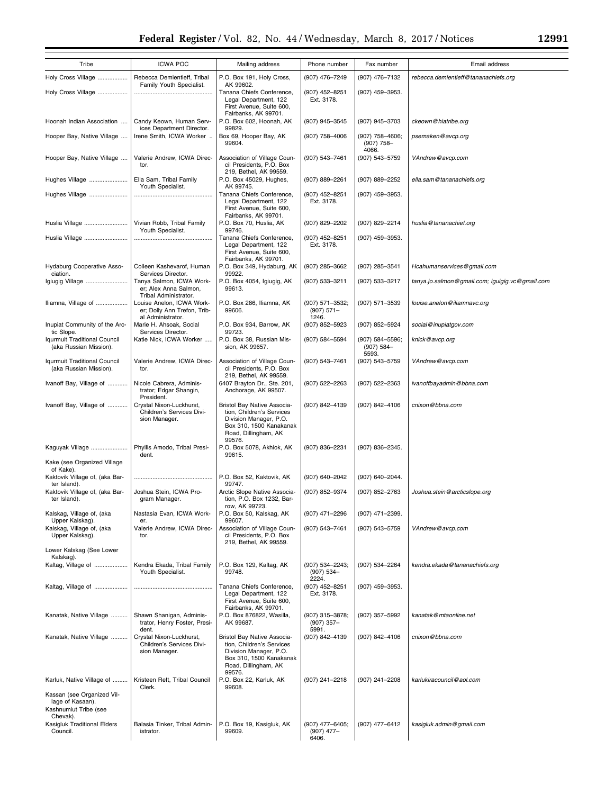|                                                                                                  |                                                                               | Federal Register/Vol. 82, No. 44/Wednesday, March 8, 2017/Notices                                                                               |                                           |                                           | 12991                                           |
|--------------------------------------------------------------------------------------------------|-------------------------------------------------------------------------------|-------------------------------------------------------------------------------------------------------------------------------------------------|-------------------------------------------|-------------------------------------------|-------------------------------------------------|
| Tribe                                                                                            | <b>ICWA POC</b>                                                               | Mailing address                                                                                                                                 | Phone number                              | Fax number                                | Email address                                   |
| Holy Cross Village                                                                               | Rebecca Demientieff, Tribal                                                   | P.O. Box 191, Holy Cross,                                                                                                                       | (907) 476-7249                            | (907) 476-7132                            | rebecca.demientieff@tananachiefs.org            |
| Holy Cross Village                                                                               | Family Youth Specialist.                                                      | AK 99602.<br>Tanana Chiefs Conference,<br>Legal Department, 122<br>First Avenue, Suite 600,                                                     | (907) 452-8251<br>Ext. 3178.              | (907) 459-3953.                           |                                                 |
| Hoonah Indian Association                                                                        | Candy Keown, Human Serv-<br>ices Department Director.                         | Fairbanks, AK 99701.<br>P.O. Box 602, Hoonah, AK<br>99829.                                                                                      | (907) 945-3545                            | (907) 945-3703                            | ckeown@hiatribe.org                             |
| Hooper Bay, Native Village                                                                       | Irene Smith, ICWA Worker                                                      | Box 69, Hooper Bay, AK<br>99604.                                                                                                                | (907) 758-4006                            | (907) 758-4606;<br>$(907) 758 -$<br>4066. | psemaken@avcp.org                               |
| Hooper Bay, Native Village                                                                       | Valerie Andrew, ICWA Direc-<br>tor.                                           | Association of Village Coun-<br>cil Presidents, P.O. Box<br>219, Bethel, AK 99559.                                                              | (907) 543-7461                            | (907) 543-5759                            | VAndrew@avcp.com                                |
| Hughes Village                                                                                   | Ella Sam, Tribal Family<br>Youth Specialist.                                  | P.O. Box 45029, Hughes,<br>AK 99745.                                                                                                            | (907) 889-2261                            | (907) 889-2252                            | ella.sam@tananachiefs.org                       |
| Hughes Village                                                                                   |                                                                               | Tanana Chiefs Conference,<br>Legal Department, 122<br>First Avenue, Suite 600,<br>Fairbanks, AK 99701.                                          | (907) 452-8251<br>Ext. 3178.              | (907) 459-3953.                           |                                                 |
| Huslia Village                                                                                   | Vivian Robb, Tribal Family<br>Youth Specialist.                               | P.O. Box 70, Huslia, AK<br>99746.                                                                                                               | (907) 829-2202                            | (907) 829-2214                            | huslia@tananachief.org                          |
| Huslia Village                                                                                   |                                                                               | Tanana Chiefs Conference,<br>Legal Department, 122<br>First Avenue, Suite 600,<br>Fairbanks, AK 99701.                                          | (907) 452-8251<br>Ext. 3178.              | (907) 459-3953.                           |                                                 |
| <b>Hydaburg Cooperative Asso-</b><br>ciation.                                                    | Colleen Kashevarof, Human<br>Services Director.                               | P.O. Box 349, Hydaburg, AK<br>99922.                                                                                                            | (907) 285-3662                            | (907) 285-3541                            | Hcahumanservices@gmail.com                      |
| Igiugig Village                                                                                  | Tanya Salmon, ICWA Work-<br>er; Alex Anna Salmon,<br>Tribal Administrator.    | P.O. Box 4054, Igiugig, AK<br>99613.                                                                                                            | (907) 533-3211                            | (907) 533-3217                            | tanya.jo.salmon@gmail.com; iguigig.vc@gmail.com |
| Iliamna, Village of                                                                              | Louise Anelon, ICWA Work-<br>er; Dolly Ann Trefon, Trib-<br>al Administrator. | P.O. Box 286, Iliamna, AK<br>99606.                                                                                                             | (907) 571-3532;<br>$(907) 571 -$<br>1246. | (907) 571-3539                            | louise.anelon@iliamnavc.org                     |
| Inupiat Community of the Arc-<br>tic Slope.                                                      | Marie H. Ahsoak, Social<br>Services Director.                                 | P.O. Box 934, Barrow, AK<br>99723.                                                                                                              | (907) 852-5923                            | (907) 852-5924                            | social@inupiatgov.com                           |
| Iqurmuit Traditional Council<br>(aka Russian Mission).                                           | Katie Nick, ICWA Worker                                                       | P.O. Box 38, Russian Mis-<br>sion, AK 99657.                                                                                                    | (907) 584-5594                            | (907) 584-5596;<br>$(907) 584 -$<br>5593. | knick@avcp.org                                  |
| Iqurmuit Traditional Council<br>(aka Russian Mission).                                           | Valerie Andrew, ICWA Direc-<br>tor.                                           | Association of Village Coun-<br>cil Presidents, P.O. Box<br>219, Bethel, AK 99559.                                                              | (907) 543-7461                            | (907) 543-5759                            | VAndrew@avcp.com                                |
| Ivanoff Bay, Village of                                                                          | Nicole Cabrera, Adminis-<br>trator; Edgar Shangin,<br>President.              | 6407 Brayton Dr., Ste. 201,<br>Anchorage, AK 99507.                                                                                             | (907) 522-2263                            | (907) 522-2363                            | ivanoffbayadmin@bbna.com                        |
| Ivanoff Bay, Village of                                                                          | Crystal Nixon-Luckhurst,<br>Children's Services Divi-<br>sion Manager.        | Bristol Bay Native Associa-<br>tion, Children's Services<br>Division Manager, P.O.<br>Box 310, 1500 Kanakanak<br>Road, Dillingham, AK<br>99576. | (907) 842-4139                            | (907) 842-4106                            | cnixon@bbna.com                                 |
| Kaguyak Village                                                                                  | Phyllis Amodo, Tribal Presi-<br>dent.                                         | P.O. Box 5078, Akhiok, AK<br>99615.                                                                                                             | (907) 836-2231                            | (907) 836-2345.                           |                                                 |
| Kake (see Organized Village<br>of Kake).                                                         |                                                                               |                                                                                                                                                 |                                           |                                           |                                                 |
| Kaktovik Village of, (aka Bar-<br>ter Island).                                                   |                                                                               | P.O. Box 52, Kaktovik, AK<br>99747.                                                                                                             | (907) 640-2042                            | (907) 640-2044.                           |                                                 |
| Kaktovik Village of, (aka Bar-<br>ter Island).                                                   | Joshua Stein, ICWA Pro-<br>gram Manager.                                      | Arctic Slope Native Associa-<br>tion, P.O. Box 1232, Bar-<br>row, AK 99723.                                                                     | (907) 852-9374                            | (907) 852-2763                            | Joshua.stein@arcticslope.org                    |
| Kalskag, Village of, (aka<br>Upper Kalskag).                                                     | Nastasia Evan, ICWA Work-<br>er.                                              | P.O. Box 50, Kalskag, AK<br>99607.                                                                                                              | (907) 471-2296                            | (907) 471-2399.                           |                                                 |
| Kalskag, Village of, (aka<br>Upper Kalskag).                                                     | Valerie Andrew, ICWA Direc-<br>tor.                                           | Association of Village Coun-<br>cil Presidents, P.O. Box<br>219, Bethel, AK 99559.                                                              | (907) 543-7461                            | (907) 543-5759                            | VAndrew@avcp.com                                |
| Lower Kalskag (See Lower<br>Kalskag).                                                            |                                                                               |                                                                                                                                                 |                                           |                                           |                                                 |
| Kaltag, Village of                                                                               | Kendra Ekada, Tribal Family<br>Youth Specialist.                              | P.O. Box 129, Kaltag, AK<br>99748.                                                                                                              | (907) 534-2243;<br>$(907) 534 -$<br>2224. | (907) 534-2264                            | kendra.ekada@tananachiefs.org                   |
| Kaltag, Village of                                                                               |                                                                               | Tanana Chiefs Conference,<br>Legal Department, 122<br>First Avenue, Suite 600,<br>Fairbanks, AK 99701.                                          | (907) 452-8251<br>Ext. 3178.              | (907) 459-3953.                           |                                                 |
| Kanatak, Native Village                                                                          | Shawn Shanigan, Adminis-<br>trator, Henry Foster, Presi-<br>dent.             | P.O. Box 876822, Wasilla,<br>AK 99687.                                                                                                          | (907) 315-3878;<br>$(907)$ 357-<br>5991.  | (907) 357-5992                            | kanatak@mtaonline.net                           |
| Kanatak, Native Village                                                                          | Crystal Nixon-Luckhurst,<br>Children's Services Divi-<br>sion Manager.        | Bristol Bay Native Associa-<br>tion, Children's Services<br>Division Manager, P.O.<br>Box 310, 1500 Kanakanak<br>Road, Dillingham, AK<br>99576. | (907) 842-4139                            | (907) 842-4106                            | cnixon@bbna.com                                 |
| Karluk, Native Village of<br>Kassan (see Organized Vil-                                          | Kristeen Reft, Tribal Council<br>Clerk.                                       | P.O. Box 22, Karluk, AK<br>99608.                                                                                                               | (907) 241-2218                            | (907) 241-2208                            | karlukiracouncil@aol.com                        |
| lage of Kasaan).<br>Kashnumiut Tribe (see<br>Chevak).<br>Kasigluk Traditional Elders<br>Council. | Balasia Tinker, Tribal Admin-<br>istrator.                                    | P.O. Box 19, Kasigluk, AK<br>99609.                                                                                                             | (907) 477-6405;<br>$(907)$ 477-           | (907) 477-6412                            | kasigluk.admin@gmail.com                        |

(907) 477–6405; (907) 477– 6406.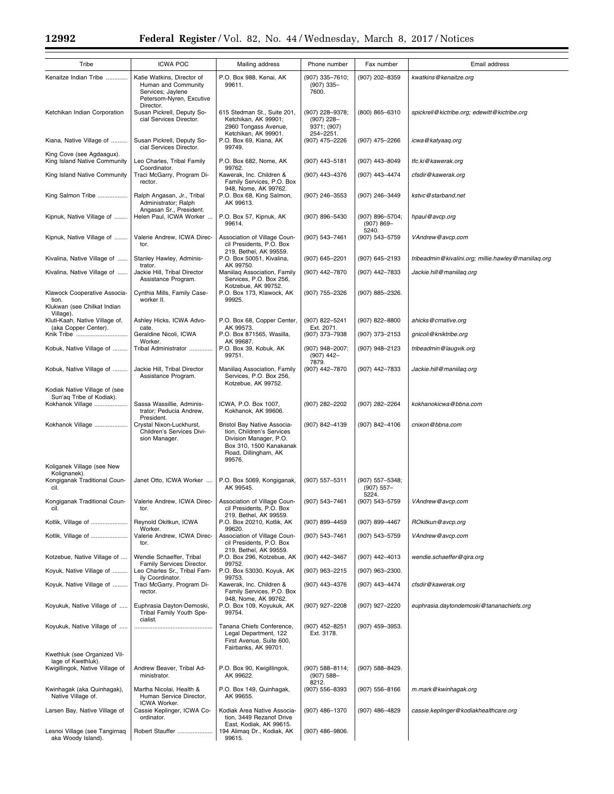| Tribe                                                                                 | <b>ICWA POC</b>                                                                                    | Mailing address                                                                                                                                 | Phone number                                   | Fax number                                | Email address                                       |
|---------------------------------------------------------------------------------------|----------------------------------------------------------------------------------------------------|-------------------------------------------------------------------------------------------------------------------------------------------------|------------------------------------------------|-------------------------------------------|-----------------------------------------------------|
| Kenaitze Indian Tribe                                                                 | Katie Watkins, Director of<br>Human and Community<br>Services; Jaylene<br>Petersom-Nyren, Excutive | P.O. Box 988, Kenai, AK<br>99611.                                                                                                               | (907) 335-7610;<br>$(907)$ 335-<br>7600.       | (907) 202-8359                            | kwatkins@kenaitze.org                               |
| Ketchikan Indian Corporation                                                          | Director.<br>Susan Pickrell, Deputy So-<br>cial Services Director.                                 | 615 Stedman St., Suite 201,<br>Ketchikan, AK 99901;<br>2960 Tongass Avenue,                                                                     | (907) 228-9378;<br>$(907)$ 228-<br>9371; (907) | (800) 865-6310                            | spickrell@kictribe.org; edewitt@kictribe.org        |
| Kiana, Native Village of                                                              | Susan Pickrell, Deputy So-<br>cial Services Director.                                              | Ketchikan, AK 99901.<br>P.O. Box 69, Kiana, AK<br>99749.                                                                                        | 254-2251.<br>(907) 475-2226                    | (907) 475-2266                            | icwa@katyaaq.org                                    |
| King Cove (see Agdaagux).<br>King Island Native Community                             | Leo Charles, Tribal Family<br>Coordinator.                                                         | P.O. Box 682, Nome, AK<br>99762.                                                                                                                | (907) 443-5181                                 | (907) 443-8049                            | tfc.ki@kawerak.org                                  |
| King Island Native Community                                                          | Traci McGarry, Program Di-<br>rector.                                                              | Kawerak, Inc. Children &<br>Family Services, P.O. Box                                                                                           | (907) 443-4376                                 | (907) 443-4474                            | cfsdir@kawerak.org                                  |
| King Salmon Tribe                                                                     | Ralph Angasan, Jr., Tribal<br>Administrator; Ralph<br>Angasan Sr., President.                      | 948, Nome, AK 99762.<br>P.O. Box 68, King Salmon,<br>AK 99613.                                                                                  | (907) 246-3553                                 | (907) 246-3449                            | kstvc@starband.net                                  |
| Kipnuk, Native Village of                                                             | Helen Paul, ICWA Worker                                                                            | P.O. Box 57, Kipnuk, AK<br>99614.                                                                                                               | (907) 896-5430                                 | (907) 896-5704;<br>$(907) 869-$<br>5240.  | hpaul@avcp.org                                      |
| Kipnuk, Native Village of                                                             | Valerie Andrew, ICWA Direc-<br>tor.                                                                | Association of Village Coun-<br>cil Presidents, P.O. Box<br>219, Bethel, AK 99559.                                                              | (907) 543-7461                                 | (907) 543-5759                            | VAndrew@avcp.com                                    |
| Kivalina, Native Village of                                                           | Stanley Hawley, Adminis-<br>trator.                                                                | P.O. Box 50051, Kivalina,<br>AK 99750.                                                                                                          | (907) 645-2201                                 | (907) 645-2193                            | tribeadmin@kivalini.org; millie.hawley@maniilaq.org |
| Kivalina, Native Village of                                                           | Jackie Hill, Tribal Director<br>Assistance Program.                                                | Maniilaq Association, Family<br>Services, P.O. Box 256,                                                                                         | (907) 442-7870                                 | (907) 442-7833                            | Jackie.hill@maniilaq.org                            |
| Klawock Cooperative Associa-<br>tion.<br>Klukwan (see Chilkat Indian                  | Cynthia Mills, Family Case-<br>worker II.                                                          | Kotzebue, AK 99752.<br>P.O. Box 173, Klawock, AK<br>99925.                                                                                      | (907) 755-2326                                 | (907) 885-2326.                           |                                                     |
| Village).<br>Kluti-Kaah, Native Village of,                                           | Ashley Hicks, ICWA Advo-                                                                           | P.O. Box 68, Copper Center,                                                                                                                     | (907) 822-5241                                 | $(907)$ 822-8800                          | ahicks@crnative.org                                 |
| (aka Copper Center).<br>Knik Tribe                                                    | cate.<br>Geraldine Nicoli, ICWA<br>Worker.                                                         | AK 99573.<br>P.O. Box 871565, Wasilla,<br>AK 99687.                                                                                             | Ext. 2071.<br>(907) 373-7938                   | (907) 373-2153                            | gnicoli@kniktribe.org                               |
| Kobuk, Native Village of                                                              | Tribal Administrator                                                                               | P.O. Box 39, Kobuk, AK<br>99751.                                                                                                                | (907) 948-2007;<br>$(907)$ 442-<br>7879.       | (907) 948-2123                            | tribeadmin@laugvik.org                              |
| Kobuk, Native Village of                                                              | Jackie Hill, Tribal Director<br>Assistance Program.                                                | Maniilaq Association, Family<br>Services, P.O. Box 256,<br>Kotzebue, AK 99752.                                                                  | (907) 442-7870                                 | (907) 442-7833                            | Jackie.hill@maniilaq.org                            |
| Kodiak Native Village of (see                                                         |                                                                                                    |                                                                                                                                                 |                                                |                                           |                                                     |
| Sun'aq Tribe of Kodiak).<br>Kokhanok Village                                          | Sassa Wassillie, Adminis-<br>trator; Peducia Andrew,<br>President.                                 | ICWA, P.O. Box 1007,<br>Kokhanok, AK 99606.                                                                                                     | (907) 282-2202                                 | (907) 282-2264                            | kokhanokicwa@bbna.com                               |
| Kokhanok Village                                                                      | Crystal Nixon-Luckhurst,<br>Children's Services Divi-<br>sion Manager.                             | Bristol Bay Native Associa-<br>tion, Children's Services<br>Division Manager, P.O.<br>Box 310, 1500 Kanakanak<br>Road, Dillingham, AK<br>99576. | (907) 842-4139                                 | (907) 842-4106                            | cnixon@bbna.com                                     |
| Koliganek Village (see New                                                            |                                                                                                    |                                                                                                                                                 |                                                |                                           |                                                     |
| Kolignanek).<br>Kongiganak Traditional Coun-<br>cil.                                  | Janet Otto, ICWA Worker                                                                            | P.O. Box 5069, Kongiganak,<br>AK 99545.                                                                                                         | (907) 557-5311                                 | (907) 557-5348;<br>$(907) 557 -$<br>5224. |                                                     |
| Kongiganak Traditional Coun-<br>cil.                                                  | Valerie Andrew, ICWA Direc-<br>tor.                                                                | Association of Village Coun-<br>cil Presidents, P.O. Box<br>219, Bethel, AK 99559.                                                              | (907) 543-7461                                 | (907) 543–5759                            | VAndrew@avcp.com                                    |
| Kotlik, Village of                                                                    | Reynold Okitkun, ICWA                                                                              | P.O. Box 20210, Kotlik, AK                                                                                                                      | (907) 899-4459                                 | (907) 899-4467                            | ROkitkun@avcp.org                                   |
| Kotlik, Village of                                                                    | Worker.<br>Valerie Andrew, ICWA Direc-<br>tor.                                                     | 99620.<br>Association of Village Coun-<br>cil Presidents, P.O. Box                                                                              | (907) 543-7461                                 | (907) 543-5759                            | VAndrew@avcp.com                                    |
| Kotzebue, Native Village of                                                           | Wendie Schaeffer, Tribal<br>Family Services Director.                                              | 219, Bethel, AK 99559.<br>P.O. Box 296, Kotzebue, AK<br>99752.                                                                                  | (907) 442-3467                                 | (907) 442-4013                            | wendie.schaeffer@qira.org                           |
| Koyuk, Native Village of                                                              | Leo Charles Sr., Tribal Fam-<br>ily Coordinator.                                                   | P.O. Box 53030, Koyuk, AK<br>99753.                                                                                                             | (907) 963-2215                                 | (907) 963-2300.                           |                                                     |
| Koyuk, Native Village of                                                              | Traci McGarry, Program Di-<br>rector.                                                              | Kawerak, Inc. Children &<br>Family Services, P.O. Box<br>948, Nome, AK 99762.                                                                   | (907) 443-4376                                 | (907) 443-4474                            | cfsdir@kawerak.org                                  |
| Koyukuk, Native Village of                                                            | Euphrasia Dayton-Demoski,<br>Tribal Family Youth Spe-<br>cialist.                                  | P.O. Box 109, Koyukuk, AK<br>99754.                                                                                                             | (907) 927-2208                                 | (907) 927-2220                            | euphrasia.daytondemoski@tananachiefs.org            |
| Koyukuk, Native Village of                                                            |                                                                                                    | Tanana Chiefs Conference,<br>Legal Department, 122<br>First Avenue, Suite 600,<br>Fairbanks, AK 99701.                                          | (907) 452-8251<br>Ext. 3178.                   | (907) 459-3953.                           |                                                     |
| Kwethluk (see Organized Vil-<br>lage of Kwethluk).<br>Kwigillingok, Native Village of | Andrew Beaver, Tribal Ad-<br>ministrator.                                                          | P.O. Box 90, Kwigillingok,<br>AK 99622.                                                                                                         | (907) 588-8114;<br>$(907) 588 -$               | (907) 588-8429.                           |                                                     |
| Kwinhagak (aka Quinhagak),<br>Native Village of.                                      | Martha Nicolai, Health &<br>Human Service Director,                                                | P.O. Box 149, Quinhagak,<br>AK 99655.                                                                                                           | 8212.<br>(907) 556-8393                        | $(907) 556 - 8166$                        | m.mark@kwinhagak.org                                |
| Larsen Bay, Native Village of                                                         | ICWA Worker.<br>Cassie Keplinger, ICWA Co-<br>ordinator.                                           | Kodiak Area Native Associa-<br>tion, 3449 Rezanof Drive                                                                                         | (907) 486-1370                                 | (907) 486-4829                            | cassie.keplinger@kodiakhealthcare.org               |
| Lesnoi Village (see Tangirnaq<br>aka Woody Island).                                   | Robert Stauffer                                                                                    | East, Kodiak, AK 99615.<br>194 Alimaq Dr., Kodiak, AK<br>99615.                                                                                 | (907) 486-9806.                                |                                           |                                                     |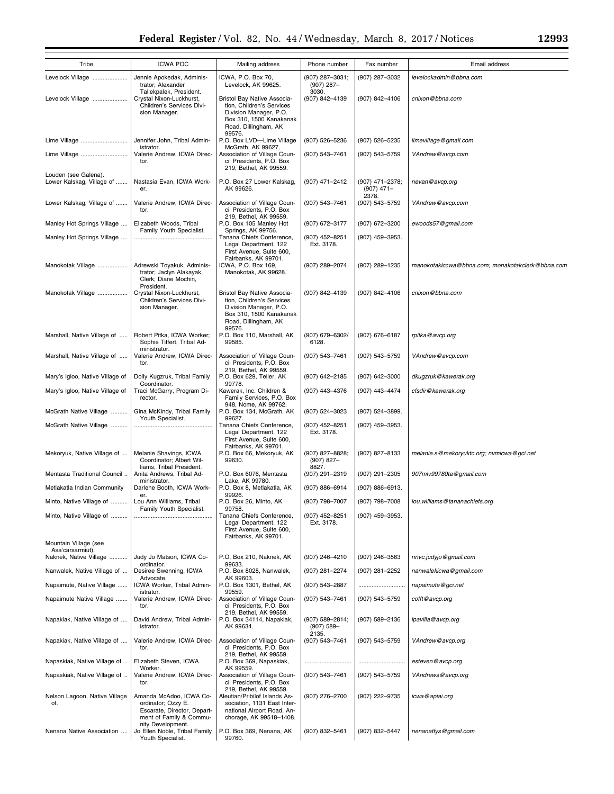| Tribe                                             | <b>ICWA POC</b>                                                                                                              | Mailing address                                                                                                                                 | Phone number                              | Fax number                               | Email address                                    |
|---------------------------------------------------|------------------------------------------------------------------------------------------------------------------------------|-------------------------------------------------------------------------------------------------------------------------------------------------|-------------------------------------------|------------------------------------------|--------------------------------------------------|
| Levelock Village                                  | Jennie Apokedak, Adminis-<br>trator; Alexander                                                                               | ICWA, P.O. Box 70,<br>Levelock, AK 99625.                                                                                                       | (907) 287-3031;<br>$(907) 287 -$          | (907) 287-3032                           | levelockadmin@bbna.com                           |
| Levelock Village                                  | Tallekpalek, President.<br>Crystal Nixon-Luckhurst,<br>Children's Services Divi-<br>sion Manager.                            | Bristol Bay Native Associa-<br>tion, Children's Services<br>Division Manager, P.O.<br>Box 310, 1500 Kanakanak<br>Road, Dillingham, AK           | 3030.<br>(907) 842-4139                   | (907) 842-4106                           | cnixon@bbna.com                                  |
| Lime Village                                      | Jennifer John, Tribal Admin-                                                                                                 | 99576.<br>P.O. Box LVD-Lime Village                                                                                                             | (907) 526-5236                            | (907) 526-5235                           | limevillage@gmail.com                            |
| Lime Village                                      | istrator.<br>Valerie Andrew, ICWA Direc-<br>tor.                                                                             | McGrath, AK 99627.<br>Association of Village Coun-<br>cil Presidents, P.O. Box<br>219, Bethel, AK 99559.                                        | (907) 543-7461                            | (907) 543-5759                           | VAndrew@avcp.com                                 |
| Louden (see Galena).<br>Lower Kalskag, Village of | Nastasia Evan, ICWA Work-<br>er.                                                                                             | P.O. Box 27 Lower Kalskag,<br>AK 99626.                                                                                                         | (907) 471-2412                            | (907) 471-2378;<br>$(907)$ 471-<br>2378. | nevan@avcp.org                                   |
| Lower Kalskag, Village of                         | Valerie Andrew, ICWA Direc-<br>tor.                                                                                          | Association of Village Coun-<br>cil Presidents, P.O. Box<br>219, Bethel, AK 99559.                                                              | (907) 543-7461                            | (907) 543-5759                           | VAndrew@avcp.com                                 |
| Manley Hot Springs Village                        | Elizabeth Woods, Tribal<br>Family Youth Specialist.                                                                          | P.O. Box 105 Manley Hot<br>Springs, AK 99756.                                                                                                   | (907) 672-3177                            | (907) 672-3200                           | ewoods57@gmail.com                               |
| Manley Hot Springs Village                        |                                                                                                                              | Tanana Chiefs Conference,<br>Legal Department, 122<br>First Avenue, Suite 600,                                                                  | (907) 452-8251<br>Ext. 3178.              | (907) 459-3953.                          |                                                  |
| Manokotak Village                                 | Adrewski Toyakuk, Adminis-<br>trator; Jaclyn Alakayak,<br>Clerk; Diane Mochin,<br>President.                                 | Fairbanks, AK 99701.<br>ICWA, P.O. Box 169,<br>Manokotak, AK 99628.                                                                             | (907) 289-2074                            | (907) 289-1235                           | manokotakiccwa@bbna.com; monakotakclerk@bbna.com |
| Manokotak Village                                 | Crystal Nixon-Luckhurst,<br>Children's Services Divi-<br>sion Manager.                                                       | Bristol Bay Native Associa-<br>tion, Children's Services<br>Division Manager, P.O.<br>Box 310, 1500 Kanakanak<br>Road, Dillingham, AK<br>99576. | (907) 842-4139                            | (907) 842-4106                           | cnixon@bbna.com                                  |
| Marshall, Native Village of                       | Robert Pitka, ICWA Worker;<br>Sophie Tiffert, Tribal Ad-<br>ministrator.                                                     | P.O. Box 110, Marshall, AK<br>99585.                                                                                                            | (907) 679-6302/<br>6128.                  | (907) 676-6187                           | rpitka@avcp.org                                  |
| Marshall, Native Village of                       | Valerie Andrew, ICWA Direc-<br>tor.                                                                                          | Association of Village Coun-<br>cil Presidents, P.O. Box<br>219, Bethel, AK 99559.                                                              | (907) 543-7461                            | (907) 543-5759                           | VAndrew@avcp.com                                 |
| Mary's Igloo, Native Village of                   | Dolly Kugzruk, Tribal Family<br>Coordinator.                                                                                 | P.O. Box 629, Teller, AK<br>99778.                                                                                                              | (907) 642-2185                            | (907) 642-3000                           | dkugzruk@kawerak.org                             |
| Mary's Igloo, Native Village of                   | Traci McGarry, Program Di-<br>rector.                                                                                        | Kawerak, Inc. Children &<br>Family Services, P.O. Box<br>948, Nome, AK 99762.                                                                   | (907) 443-4376                            | (907) 443-4474                           | cfsdir@kawerak.org                               |
| McGrath Native Village                            | Gina McKindy, Tribal Family<br>Youth Specialist.                                                                             | P.O. Box 134, McGrath, AK<br>99627.                                                                                                             | (907) 524-3023                            | (907) 524-3899.                          |                                                  |
| McGrath Native Village                            |                                                                                                                              | Tanana Chiefs Conference,<br>Legal Department, 122<br>First Avenue, Suite 600,<br>Fairbanks, AK 99701.                                          | (907) 452-8251<br>Ext. 3178.              | (907) 459-3953.                          |                                                  |
| Mekoryuk, Native Village of                       | Melanie Shavings, ICWA<br>Coordinator; Albert Wil-<br>liams, Tribal President.                                               | P.O. Box 66, Mekoryuk, AK<br>99630.                                                                                                             | (907) 827-8828;<br>$(907) 827 -$<br>8827. | (907) 827-8133                           | melanie.s@mekoryuktc.org; nvmicwa@gci.net        |
| Mentasta Traditional Council                      | Anita Andrews, Tribal Ad-<br>ministrator.                                                                                    | P.O. Box 6076, Mentasta<br>Lake, AK 99780.                                                                                                      | (907) 291-2319                            | (907) 291-2305                           | 907mlv99780ta@gmail.com                          |
| Metlakatla Indian Community                       | Darlene Booth, ICWA Work-<br>er.                                                                                             | P.O. Box 8, Metlakatla, AK<br>99926.                                                                                                            | $(907) 886 - 6914$                        | (907) 886-6913.                          |                                                  |
| Minto, Native Village of                          | Lou Ann Williams, Tribal<br>Family Youth Specialist.                                                                         | P.O. Box 26, Minto, AK<br>99758.                                                                                                                | (907) 798-7007                            | (907) 798-7008                           | lou.williams@tananachiefs.org                    |
| Minto, Native Village of<br>Mountain Village (see |                                                                                                                              | Tanana Chiefs Conference,<br>Legal Department, 122<br>First Avenue, Suite 600,<br>Fairbanks, AK 99701.                                          | (907) 452-8251<br>Ext. 3178.              | (907) 459-3953.                          |                                                  |
| Asa'carsarmiut).<br>Naknek, Native Village        | Judy Jo Matson, ICWA Co-                                                                                                     | P.O. Box 210, Naknek, AK                                                                                                                        | (907) 246-4210                            | (907) 246-3563                           | nnvc.judyjo@gmail.com                            |
| Nanwalek, Native Village of                       | ordinator.<br>Desiree Swenning, ICWA<br>Advocate.                                                                            | 99633.<br>P.O. Box 8028, Nanwalek,<br>AK 99603.                                                                                                 | (907) 281-2274                            | (907) 281-2252                           | nanwalekicwa@gmail.com                           |
| Napaimute, Native Village                         | ICWA Worker, Tribal Admin-<br>istrator.                                                                                      | P.O. Box 1301, Bethel, AK<br>99559.                                                                                                             | (907) 543-2887                            |                                          | napaimute@gci.net                                |
| Napaimute Native Village                          | Valerie Andrew, ICWA Direc-<br>tor.                                                                                          | Association of Village Coun-<br>cil Presidents, P.O. Box<br>219, Bethel, AK 99559.                                                              | (907) 543-7461                            | (907) 543-5759                           | cofft@avcp.org                                   |
| Napakiak, Native Village of                       | David Andrew, Tribal Admin-<br>istrator.                                                                                     | P.O. Box 34114, Napakiak,<br>AK 99634.                                                                                                          | (907) 589-2814;<br>$(907) 589-$<br>2135.  | (907) 589-2136                           | Ipavilla@avcp.org                                |
| Napakiak, Native Village of                       | Valerie Andrew, ICWA Direc-<br>tor.                                                                                          | Association of Village Coun-<br>cil Presidents, P.O. Box<br>219, Bethel, AK 99559.                                                              | (907) 543-7461                            | (907) 543-5759                           | VAndrew@avcp.org                                 |
| Napaskiak, Native Village of                      | Elizabeth Steven, ICWA<br>Worker.                                                                                            | P.O. Box 369, Napaskiak,<br>AK 99559.                                                                                                           |                                           |                                          | esteven@avcp.org                                 |
| Napaskiak, Native Village of                      | Valerie Andrew, ICWA Direc-<br>tor.                                                                                          | Association of Village Coun-<br>cil Presidents, P.O. Box<br>219, Bethel, AK 99559.                                                              | (907) 543-7461                            | (907) 543-5759                           | VAndrews@avcp.org                                |
| Nelson Lagoon, Native Village<br>of.              | Amanda McAdoo, ICWA Co-<br>ordinator; Ozzy E.<br>Escarate, Director, Depart-<br>ment of Family & Commu-<br>nity Development. | Aleutian/Pribilof Islands As-<br>sociation, 1131 East Inter-<br>national Airport Road, An-<br>chorage, AK 99518-1408.                           | (907) 276-2700                            | (907) 222-9735                           | icwa@apiai.org                                   |
| Nenana Native Association                         | Jo Ellen Noble, Tribal Family<br>Youth Specialist.                                                                           | P.O. Box 369, Nenana, AK<br>99760.                                                                                                              | (907) 832-5461                            | (907) 832-5447                           | nenanatfys@gmail.com                             |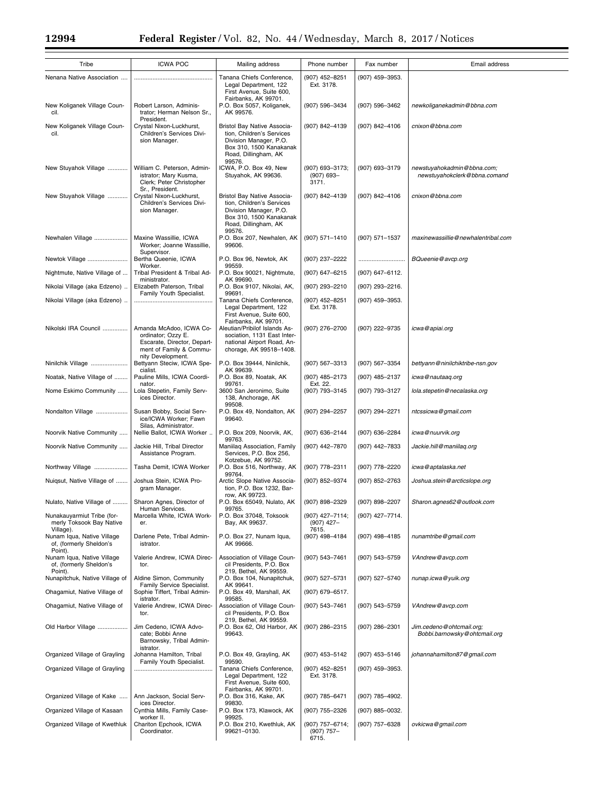Ξ

| Tribe                                                               | <b>ICWA POC</b>                                                                                                              | Mailing address                                                                                                                               | Phone number                              | Fax number      | Email address                                              |
|---------------------------------------------------------------------|------------------------------------------------------------------------------------------------------------------------------|-----------------------------------------------------------------------------------------------------------------------------------------------|-------------------------------------------|-----------------|------------------------------------------------------------|
| Nenana Native Association                                           |                                                                                                                              | Tanana Chiefs Conference,<br>Legal Department, 122<br>First Avenue, Suite 600,                                                                | (907) 452-8251<br>Ext. 3178.              | (907) 459-3953. |                                                            |
| New Koliganek Village Coun-<br>cil.                                 | Robert Larson, Adminis-<br>trator; Herman Nelson Sr.,<br>President.                                                          | Fairbanks, AK 99701.<br>P.O. Box 5057, Koliganek,<br>AK 99576.                                                                                | (907) 596-3434                            | (907) 596-3462  | newkoliganekadmin@bbna.com                                 |
| New Koliganek Village Coun-<br>cil.                                 | Crystal Nixon-Luckhurst,<br>Children's Services Divi-<br>sion Manager.                                                       | Bristol Bay Native Associa-<br>tion, Children's Services<br>Division Manager, P.O.<br>Box 310, 1500 Kanakanak<br>Road, Dillingham, AK         | (907) 842-4139                            | (907) 842-4106  | cnixon@bbna.com                                            |
| New Stuyahok Village                                                | William C. Peterson, Admin-<br>istrator; Mary Kusma,<br>Clerk; Peter Christopher<br>Sr., President.                          | 99576.<br>ICWA, P.O. Box 49, New<br>Stuyahok, AK 99636.                                                                                       | (907) 693-3173;<br>$(907) 693 -$<br>3171. | (907) 693-3179  | newstuyahokadmin@bbna.com;<br>newstuyahokclerk@bbna.comand |
| New Stuyahok Village                                                | Crystal Nixon-Luckhurst,<br>Children's Services Divi-<br>sion Manager.                                                       | Bristol Bay Native Associa-<br>tion, Children's Services<br>Division Manager, P.O.<br>Box 310, 1500 Kanakanak<br>Road, Dillingham, AK         | (907) 842-4139                            | (907) 842-4106  | cnixon@bbna.com                                            |
| Newhalen Village                                                    | Maxine Wassillie, ICWA<br>Worker; Joanne Wassillie,<br>Supervisor.                                                           | 99576.<br>P.O. Box 207, Newhalen, AK<br>99606.                                                                                                | (907) 571-1410                            | (907) 571-1537  | maxinewassillie@newhalentribal.com                         |
| Newtok Village                                                      | Bertha Queenie, ICWA<br>Worker.                                                                                              | P.O. Box 96, Newtok, AK<br>99559.                                                                                                             | (907) 237-2222                            |                 | BQueenie@avcp.org                                          |
| Nightmute, Native Village of                                        | Tribal President & Tribal Ad-<br>ministrator.                                                                                | P.O. Box 90021, Nightmute,<br>AK 99690.                                                                                                       | (907) 647-6215                            | (907) 647-6112. |                                                            |
| Nikolai Village (aka Edzeno)                                        | Elizabeth Paterson, Tribal                                                                                                   | P.O. Box 9107, Nikolai, AK,<br>99691.                                                                                                         | (907) 293-2210                            | (907) 293-2216. |                                                            |
| Nikolai Village (aka Edzeno)                                        | Family Youth Specialist.                                                                                                     | Tanana Chiefs Conference,<br>Legal Department, 122<br>First Avenue, Suite 600,                                                                | (907) 452-8251<br>Ext. 3178.              | (907) 459-3953. |                                                            |
| Nikolski IRA Council                                                | Amanda McAdoo, ICWA Co-<br>ordinator; Ozzy E.<br>Escarate, Director, Depart-<br>ment of Family & Commu-<br>nity Development. | Fairbanks, AK 99701.<br>Aleutian/Pribilof Islands As-<br>sociation. 1131 East Inter-<br>national Airport Road, An-<br>chorage, AK 99518-1408. | (907) 276-2700                            | (907) 222-9735  | icwa@apiai.org                                             |
| Ninilchik Village                                                   | Bettyann Steciw, ICWA Spe-<br>cialist.                                                                                       | P.O. Box 39444, Ninilchik,<br>AK 99639.                                                                                                       | (907) 567-3313                            | (907) 567-3354  | bettyann@ninilchiktribe-nsn.gov                            |
| Noatak, Native Village of                                           | Pauline Mills, ICWA Coordi-                                                                                                  | P.O. Box 89, Noatak, AK                                                                                                                       | (907) 485-2173                            | (907) 485-2137  | icwa@nautaaq.org                                           |
| Nome Eskimo Community                                               | nator.<br>Lola Stepetin, Family Serv-<br>ices Director.                                                                      | 99761.<br>3600 San Jeronimo, Suite<br>138, Anchorage, AK<br>99508.                                                                            | Ext. 22.<br>(907) 793-3145                | (907) 793-3127  | lola.stepetin@necalaska.org                                |
| Nondalton Village                                                   | Susan Bobby, Social Serv-<br>ice/ICWA Worker; Fawn<br>Silas, Administrator.                                                  | P.O. Box 49, Nondalton, AK<br>99640.                                                                                                          | (907) 294-2257                            | (907) 294–2271  | ntcssicwa@gmail.com                                        |
| Noorvik Native Community                                            | Nellie Ballot, ICWA Worker                                                                                                   | P.O. Box 209, Noorvik, AK,<br>99763.                                                                                                          | (907) 636-2144                            | (907) 636-2284  | icwa@nuurvik.org                                           |
| Noorvik Native Community                                            | Jackie Hill, Tribal Director<br>Assistance Program.                                                                          | Maniilag Association, Family<br>Services, P.O. Box 256,<br>Kotzebue, AK 99752.                                                                | (907) 442-7870                            | (907) 442-7833  | Jackie.hill@maniilaq.org                                   |
| Northway Village                                                    | Tasha Demit, ICWA Worker                                                                                                     | P.O. Box 516, Northway, AK<br>99764.                                                                                                          | (907) 778-2311                            | (907) 778-2220  | icwa@aptalaska.net                                         |
| Nuigsut, Native Village of                                          | Joshua Stein, ICWA Pro-<br>gram Manager.                                                                                     | Arctic Slope Native Associa-<br>tion, P.O. Box 1232, Bar-<br>row, AK 99723.                                                                   | (907) 852-9374                            | (907) 852-2763  | Joshua.stein@arcticslope.org                               |
| Nulato, Native Village of                                           | Sharon Agnes, Director of<br>Human Services.                                                                                 | P.O. Box 65049, Nulato, AK<br>99765.                                                                                                          | (907) 898-2329                            | (907) 898-2207  | Sharon.agnes62@outlook.com                                 |
| Nunakauyarmiut Tribe (for-<br>merly Toksook Bay Native<br>Village). | Marcella White, ICWA Work-<br>er.                                                                                            | P.O. Box 37048, Toksook<br>Bay, AK 99637.                                                                                                     | (907) 427-7114;<br>$(907)$ 427-<br>7615.  | (907) 427-7714. |                                                            |
| Nunam Iqua, Native Village<br>of, (formerly Sheldon's<br>Point).    | Darlene Pete, Tribal Admin-<br>istrator.                                                                                     | P.O. Box 27, Nunam Iqua,<br>AK 99666.                                                                                                         | $(907)$ 498-4184                          | (907) 498-4185  | nunamtribe@gmail.com                                       |
| Nunam Iqua, Native Village<br>of, (formerly Sheldon's<br>Point).    | Valerie Andrew, ICWA Direc-<br>tor.                                                                                          | Association of Village Coun-<br>cil Presidents, P.O. Box<br>219. Bethel. AK 99559.                                                            | (907) 543-7461                            | (907) 543-5759  | VAndrew@avcp.com                                           |
| Nunapitchuk, Native Village of                                      | Aldine Simon, Community<br>Family Service Specialist.                                                                        | P.O. Box 104, Nunapitchuk,<br>AK 99641.                                                                                                       | (907) 527-5731                            | (907) 527-5740  | nunap.icwa@yuik.org                                        |
| Ohagamiut, Native Village of                                        | Sophie Tiffert, Tribal Admin-<br>istrator.                                                                                   | P.O. Box 49, Marshall, AK<br>99585.                                                                                                           | (907) 679-6517.                           |                 |                                                            |
| Ohagamiut, Native Village of                                        | Valerie Andrew, ICWA Direc-<br>tor.                                                                                          | Association of Village Coun-<br>cil Presidents, P.O. Box<br>219, Bethel, AK 99559.                                                            | (907) 543-7461                            | (907) 543-5759  | VAndrew@avcp.com                                           |
| Old Harbor Village                                                  | Jim Cedeno, ICWA Advo-<br>cate; Bobbi Anne<br>Barnowsky, Tribal Admin-<br>istrator.                                          | P.O. Box 62, Old Harbor, AK<br>99643.                                                                                                         | (907) 286-2315                            | (907) 286-2301  | Jim.cedeno@ohtcmail.org;<br>Bobbi.barnowsky@ohtcmail.org   |
| Organized Village of Grayling                                       | Johanna Hamilton, Tribal<br>Family Youth Specialist.                                                                         | P.O. Box 49, Grayling, AK<br>99590.                                                                                                           | (907) 453-5142                            | (907) 453-5146  | johannahamilton87@gmail.com                                |
| Organized Village of Grayling                                       |                                                                                                                              | Tanana Chiefs Conference,<br>Legal Department, 122<br>First Avenue, Suite 600,                                                                | (907) 452-8251<br>Ext. 3178.              | (907) 459-3953. |                                                            |
| Organized Village of Kake                                           | Ann Jackson, Social Serv-                                                                                                    | Fairbanks, AK 99701.<br>P.O. Box 316, Kake, AK                                                                                                | (907) 785-6471                            | (907) 785-4902. |                                                            |
| Organized Village of Kasaan                                         | ices Director.<br>Cynthia Mills, Family Case-                                                                                | 99830.<br>P.O. Box 173, Klawock, AK                                                                                                           | (907) 755-2326                            | (907) 885-0032. |                                                            |
| Organized Village of Kwethluk                                       | worker II.<br>Chariton Epchook, ICWA<br>Coordinator.                                                                         | 99925.<br>P.O. Box 210, Kwethluk, AK<br>99621-0130.                                                                                           | (907) 757-6714;<br>(907) 757-<br>6715.    | (907) 757-6328  | ovkicwa@gmail.com                                          |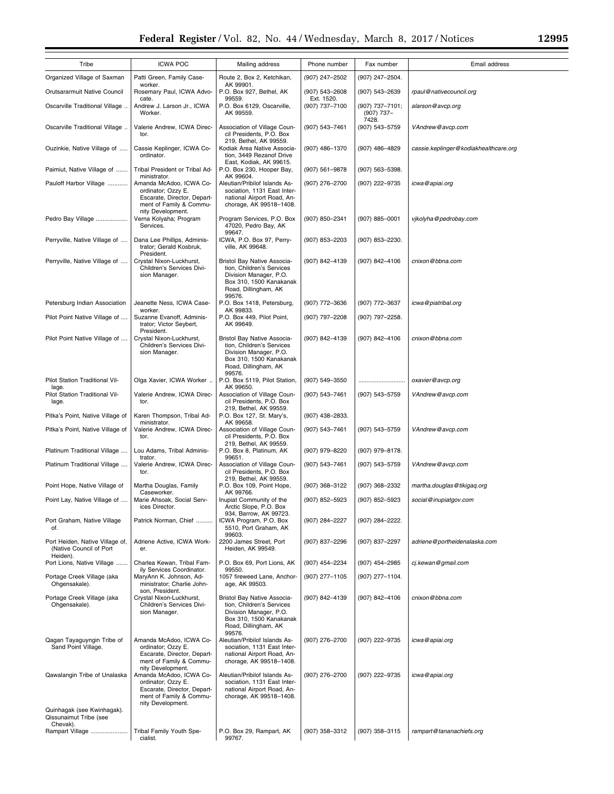| Tribe                                                                  | <b>ICWA POC</b>                                                                                                              | Mailing address                                                                                                                                 | Phone number                 | Fax number                               | Email address                         |
|------------------------------------------------------------------------|------------------------------------------------------------------------------------------------------------------------------|-------------------------------------------------------------------------------------------------------------------------------------------------|------------------------------|------------------------------------------|---------------------------------------|
| Organized Village of Saxman                                            | Patti Green, Family Case-<br>worker.                                                                                         | Route 2, Box 2, Ketchikan,<br>AK 99901.                                                                                                         | (907) 247-2502               | (907) 247-2504.                          |                                       |
| Orutsararmuit Native Council                                           | Rosemary Paul, ICWA Advo-<br>cate.                                                                                           | P.O. Box 927, Bethel, AK<br>99559.                                                                                                              | (907) 543-2608<br>Ext. 1520. | (907) 543-2639                           | rpaul@nativecouncil.org               |
| Oscarville Traditional Village                                         | Andrew J. Larson Jr., ICWA<br>Worker.                                                                                        | P.O. Box 6129, Oscarville,<br>AK 99559.                                                                                                         | (907) 737-7100               | (907) 737-7101;<br>$(907) 737-$<br>7428. | alarson@avcp.org                      |
| Oscarville Traditional Village                                         | Valerie Andrew, ICWA Direc-<br>tor.                                                                                          | Association of Village Coun-<br>cil Presidents, P.O. Box<br>219, Bethel, AK 99559.                                                              | (907) 543-7461               | (907) 543-5759                           | VAndrew@avcp.com                      |
| Ouzinkie, Native Village of                                            | Cassie Keplinger, ICWA Co-<br>ordinator.                                                                                     | Kodiak Area Native Associa-<br>tion, 3449 Rezanof Drive<br>East, Kodiak, AK 99615.                                                              | (907) 486-1370               | (907) 486-4829                           | cassie.keplinger@kodiakhealthcare.org |
| Paimiut, Native Village of                                             | Tribal President or Tribal Ad-<br>ministrator.                                                                               | P.O. Box 230, Hooper Bay,<br>AK 99604.                                                                                                          | (907) 561-9878               | (907) 563-5398.                          |                                       |
| Pauloff Harbor Village                                                 | Amanda McAdoo, ICWA Co-<br>ordinator; Ozzy E.<br>Escarate, Director, Depart-<br>ment of Family & Commu-                      | Aleutian/Pribilof Islands As-<br>sociation, 1131 East Inter-<br>national Airport Road, An-<br>chorage, AK 99518-1408.                           | (907) 276-2700               | (907) 222-9735                           | icwa@apiai.org                        |
| Pedro Bay Village                                                      | nity Development.<br>Verna Kolyaha; Program<br>Services.                                                                     | Program Services, P.O. Box<br>47020, Pedro Bay, AK<br>99647.                                                                                    | (907) 850-2341               | $(907) 885 - 0001$                       | vjkolyha@pedrobay.com                 |
| Perryville, Native Village of                                          | Dana Lee Phillips, Adminis-<br>trator; Gerald Kosbruk,<br>President.                                                         | ICWA, P.O. Box 97, Perry-<br>ville, AK 99648.                                                                                                   | (907) 853-2203               | (907) 853-2230.                          |                                       |
| Perryville, Native Village of                                          | Crystal Nixon-Luckhurst,<br>Children's Services Divi-<br>sion Manager.                                                       | Bristol Bay Native Associa-<br>tion, Children's Services<br>Division Manager, P.O.<br>Box 310, 1500 Kanakanak<br>Road, Dillingham, AK<br>99576. | (907) 842-4139               | (907) 842-4106                           | cnixon@bbna.com                       |
| Petersburg Indian Association                                          | Jeanette Ness, ICWA Case-<br>worker.                                                                                         | P.O. Box 1418, Petersburg,<br>AK 99833.                                                                                                         | (907) 772-3636               | (907) 772-3637                           | icwa@piatribal.org                    |
| Pilot Point Native Village of                                          | Suzanne Evanoff, Adminis-<br>trator; Victor Seybert,<br>President.                                                           | P.O. Box 449, Pilot Point,<br>AK 99649.                                                                                                         | (907) 797-2208               | (907) 797-2258.                          |                                       |
| Pilot Point Native Village of                                          | Crystal Nixon-Luckhurst,<br>Children's Services Divi-<br>sion Manager.                                                       | Bristol Bay Native Associa-<br>tion, Children's Services<br>Division Manager, P.O.<br>Box 310, 1500 Kanakanak<br>Road, Dillingham, AK<br>99576. | (907) 842-4139               | (907) 842-4106                           | cnixon@bbna.com                       |
| Pilot Station Traditional Vil-<br>lage.                                | Olga Xavier, ICWA Worker                                                                                                     | P.O. Box 5119, Pilot Station,<br>AK 99650.                                                                                                      | (907) 549-3550               |                                          | oxavier@avcp.org                      |
| Pilot Station Traditional Vil-<br>lage.                                | Valerie Andrew, ICWA Direc-<br>tor.                                                                                          | Association of Village Coun-<br>cil Presidents, P.O. Box<br>219, Bethel, AK 99559.                                                              | (907) 543-7461               | (907) 543-5759                           | VAndrew@avcp.com                      |
| Pitka's Point, Native Village of                                       | Karen Thompson, Tribal Ad-<br>ministrator.                                                                                   | P.O. Box 127, St. Mary's,<br>AK 99658.                                                                                                          | (907) 438-2833.              |                                          |                                       |
| Pitka's Point, Native Village of                                       | Valerie Andrew, ICWA Direc-<br>tor.                                                                                          | Association of Village Coun-<br>cil Presidents, P.O. Box<br>219, Bethel, AK 99559.                                                              | (907) 543-7461               | (907) 543-5759                           | VAndrew@avcp.com                      |
| Platinum Traditional Village                                           | Lou Adams, Tribal Adminis-<br>trator.                                                                                        | P.O. Box 8, Platinum, AK<br>99651.                                                                                                              | (907) 979-8220               | (907) 979-8178.                          |                                       |
| Platinum Traditional Village                                           | Valerie Andrew, ICWA Direc-<br>tor.                                                                                          | Association of Village Coun-<br>cil Presidents, P.O. Box<br>219, Bethel, AK 99559.                                                              | (907) 543–7461               | (907) 543-5759                           | VAndrew@avcp.com                      |
| Point Hope, Native Village of                                          | Martha Douglas, Family<br>Caseworker.                                                                                        | P.O. Box 109, Point Hope,<br>AK 99766.                                                                                                          | (907) 368-3122               | (907) 368-2332                           | martha.douglas@tikigaq.org            |
| Point Lay, Native Village of                                           | Marie Ahsoak, Social Serv-<br>ices Director.                                                                                 | Inupiat Community of the<br>Arctic Slope, P.O. Box<br>934, Barrow, AK 99723.                                                                    | (907) 852-5923               | (907) 852-5923                           | social@inupiatgov.com                 |
| Port Graham, Native Village<br>of.                                     | Patrick Norman, Chief                                                                                                        | ICWA Program, P.O. Box<br>5510. Port Graham. AK<br>99603.                                                                                       | (907) 284-2227               | (907) 284-2222.                          |                                       |
| Port Heiden, Native Village of,<br>(Native Council of Port<br>Heiden). | Adriene Active, ICWA Work-<br>er.                                                                                            | 2200 James Street, Port<br>Heiden, AK 99549.                                                                                                    | (907) 837-2296               | (907) 837-2297                           | adriene@portheidenalaska.com          |
| Port Lions, Native Village                                             | Charlea Kewan, Tribal Fam-<br>ily Services Coordinator.                                                                      | P.O. Box 69, Port Lions, AK<br>99550.                                                                                                           | (907) 454-2234               | (907) 454-2985                           | cj.kewan@gmail.com                    |
| Portage Creek Village (aka<br>Ohgensakale).                            | MaryAnn K. Johnson, Ad-<br>ministrator; Charlie John-<br>son, President.                                                     | 1057 fireweed Lane, Anchor-<br>age, AK 99503.                                                                                                   | (907) 277-1105               | (907) 277-1104.                          |                                       |
| Portage Creek Village (aka<br>Ohgensakale).                            | Crystal Nixon-Luckhurst,<br>Children's Services Divi-<br>sion Manager.                                                       | Bristol Bay Native Associa-<br>tion, Children's Services<br>Division Manager, P.O.<br>Box 310, 1500 Kanakanak<br>Road, Dillingham, AK<br>99576. | (907) 842-4139               | (907) 842-4106                           | cnixon@bbna.com                       |
| Qagan Tayaguyngin Tribe of<br>Sand Point Village.                      | Amanda McAdoo, ICWA Co-<br>ordinator; Ozzy E.<br>Escarate, Director, Depart-<br>ment of Family & Commu-<br>nity Development. | Aleutian/Pribilof Islands As-<br>sociation, 1131 East Inter-<br>national Airport Road, An-<br>chorage, AK 99518-1408.                           | (907) 276-2700               | (907) 222-9735                           | icwa@apiai.org                        |
| Qawalangin Tribe of Unalaska                                           | Amanda McAdoo, ICWA Co-<br>ordinator; Ozzy E.<br>Escarate, Director, Depart-<br>ment of Family & Commu-<br>nity Development. | Aleutian/Pribilof Islands As-<br>sociation, 1131 East Inter-<br>national Airport Road, An-<br>chorage, AK 99518-1408.                           | (907) 276-2700               | (907) 222-9735                           | icwa@apiai.org                        |
| Quinhagak (see Kwinhagak).<br>Qissunaimut Tribe (see<br>Chevak).       |                                                                                                                              |                                                                                                                                                 |                              |                                          |                                       |
| Rampart Village                                                        | Tribal Family Youth Spe-<br>cialist.                                                                                         | P.O. Box 29, Rampart, AK<br>99767.                                                                                                              | (907) 358-3312               | (907) 358-3115                           | rampart@tananachiefs.org              |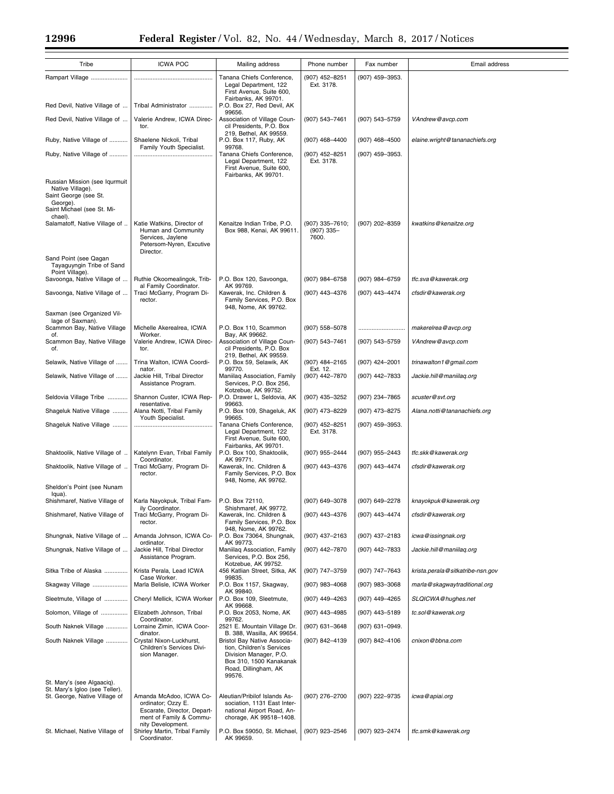| Tribe                                                                                                                | <b>ICWA POC</b>                                                                                                 | Mailing address                                                                                                                      | Phone number                             | Fax number       | Email address                    |
|----------------------------------------------------------------------------------------------------------------------|-----------------------------------------------------------------------------------------------------------------|--------------------------------------------------------------------------------------------------------------------------------------|------------------------------------------|------------------|----------------------------------|
| Rampart Village<br>Red Devil, Native Village of                                                                      | Tribal Administrator                                                                                            | Tanana Chiefs Conference,<br>Legal Department, 122<br>First Avenue, Suite 600,<br>Fairbanks, AK 99701.<br>P.O. Box 27, Red Devil, AK | (907) 452-8251<br>Ext. 3178.             | (907) 459-3953.  |                                  |
| Red Devil, Native Village of                                                                                         | Valerie Andrew, ICWA Direc-                                                                                     | 99656.<br>Association of Village Coun-                                                                                               | (907) 543-7461                           | (907) 543-5759   | VAndrew@avcp.com                 |
|                                                                                                                      | tor.                                                                                                            | cil Presidents, P.O. Box<br>219, Bethel, AK 99559.                                                                                   |                                          |                  |                                  |
| Ruby, Native Village of                                                                                              | Shaelene Nickoli, Tribal<br>Family Youth Specialist.                                                            | P.O. Box 117, Ruby, AK<br>99768.                                                                                                     | (907) 468-4400                           | (907) 468-4500   | elaine.wright@tananachiefs.org   |
| Ruby, Native Village of                                                                                              |                                                                                                                 | Tanana Chiefs Conference,<br>Legal Department, 122<br>First Avenue, Suite 600,<br>Fairbanks, AK 99701.                               | (907) 452-8251<br>Ext. 3178.             | (907) 459-3953.  |                                  |
| Russian Mission (see Iqurmuit<br>Native Village).<br>Saint George (see St.<br>George).<br>Saint Michael (see St. Mi- |                                                                                                                 |                                                                                                                                      |                                          |                  |                                  |
| chael).                                                                                                              |                                                                                                                 |                                                                                                                                      |                                          |                  |                                  |
| Salamatoff, Native Village of<br>Sand Point (see Qagan                                                               | Katie Watkins, Director of<br>Human and Community<br>Services, Jaylene<br>Petersom-Nyren, Excutive<br>Director. | Kenaitze Indian Tribe, P.O.<br>Box 988, Kenai, AK 99611.                                                                             | (907) 335–7610;<br>$(907)$ 335-<br>7600. | (907) 202-8359   | kwatkins@kenaitze.org            |
| Tayaguyngin Tribe of Sand                                                                                            |                                                                                                                 |                                                                                                                                      |                                          |                  |                                  |
| Point Village).<br>Savoonga, Native Village of                                                                       | Ruthie Okoomealingok, Trib-                                                                                     | P.O. Box 120, Savoonga,                                                                                                              | (907) 984-6758                           | (907) 984-6759   | tfc.sva@kawerak.org              |
| Savoonga, Native Village of                                                                                          | al Family Coordinator.<br>Traci McGarry, Program Di-                                                            | AK 99769.<br>Kawerak, Inc. Children &                                                                                                | (907) 443-4376                           | (907) 443-4474   | cfsdir@kawerak.org               |
|                                                                                                                      | rector.                                                                                                         | Family Services, P.O. Box<br>948, Nome, AK 99762.                                                                                    |                                          |                  |                                  |
| Saxman (see Organized Vil-<br>lage of Saxman).                                                                       |                                                                                                                 |                                                                                                                                      |                                          |                  |                                  |
| Scammon Bay, Native Village<br>of.                                                                                   | Michelle Akerealrea, ICWA<br>Worker.                                                                            | P.O. Box 110, Scammon<br>Bay, AK 99662.                                                                                              | (907) 558-5078                           |                  | makerelrea@avcp.org              |
| Scammon Bay, Native Village<br>of.                                                                                   | Valerie Andrew, ICWA Direc-<br>tor.                                                                             | Association of Village Coun-<br>cil Presidents, P.O. Box<br>219, Bethel, AK 99559.                                                   | (907) 543-7461                           | (907) 543-5759   | VAndrew@avcp.com                 |
| Selawik, Native Village of                                                                                           | Trina Walton, ICWA Coordi-                                                                                      | P.O. Box 59, Selawik, AK                                                                                                             | (907) 484-2165                           | (907) 424-2001   | trinawalton1@gmail.com           |
| Selawik, Native Village of                                                                                           | nator.<br>Jackie Hill, Tribal Director<br>Assistance Program.                                                   | 99770.<br>Maniilaq Association, Family<br>Services, P.O. Box 256,                                                                    | Ext. 12.<br>(907) 442-7870               | (907) 442-7833   | Jackie.hill@maniilaq.org         |
| Seldovia Village Tribe                                                                                               | Shannon Custer, ICWA Rep-                                                                                       | Kotzebue, AK 99752.<br>P.O. Drawer L, Seldovia, AK                                                                                   | (907) 435-3252                           | (907) 234-7865   | scuster@svt.org                  |
| Shageluk Native Village                                                                                              | resentative.<br>Alana Notti, Tribal Family                                                                      | 99663.<br>P.O. Box 109, Shageluk, AK                                                                                                 | (907) 473-8229                           | (907) 473-8275   | Alana.notti@tananachiefs.org     |
| Shageluk Native Village                                                                                              | Youth Specialist.                                                                                               | 99665<br>Tanana Chiefs Conference,<br>Legal Department, 122<br>First Avenue, Suite 600,                                              | (907) 452-8251<br>Ext. 3178.             | (907) 459-3953.  |                                  |
| Shaktoolik, Native Village of                                                                                        | Katelynn Evan, Tribal Family                                                                                    | Fairbanks, AK 99701.<br>P.O. Box 100, Shaktoolik,                                                                                    | (907) 955-2444                           | (907) 955-2443   | tfc.skk@kawerak.org              |
| Shaktoolik, Native Village of                                                                                        | Coordinator.<br>Traci McGarry, Program Di-<br>rector.                                                           | AK 99771.<br>Kawerak, Inc. Children &<br>Family Services, P.O. Box<br>948, Nome, AK 99762.                                           | (907) 443-4376                           | (907) 443-4474   | cfsdir@kawerak.org               |
| Sheldon's Point (see Nunam                                                                                           |                                                                                                                 |                                                                                                                                      |                                          |                  |                                  |
| Iqua).<br>Shishmaref, Native Village of                                                                              | Karla Nayokpuk, Tribal Fam-<br>ily Coordinator.                                                                 | P.O. Box 72110,<br>Shishmaref, AK 99772.                                                                                             | (907) 649-3078                           | (907) 649-2278   | knayokpuk@kawerak.org            |
| Shishmaref, Native Village of                                                                                        | Traci McGarry, Program Di-<br>rector.                                                                           | Kawerak, Inc. Children &<br>Family Services, P.O. Box                                                                                | (907) 443-4376                           | (907) 443-4474   | cfsdir@kawerak.org               |
| Shungnak, Native Village of                                                                                          | Amanda Johnson, ICWA Co-                                                                                        | 948, Nome, AK 99762.<br>P.O. Box 73064, Shungnak,                                                                                    | (907) 437-2163                           | (907) 437-2183   | icwa@issingnak.org               |
| Shungnak, Native Village of                                                                                          | ordinator.<br>Jackie Hill, Tribal Director<br>Assistance Program.                                               | AK 99773.<br>Maniilaq Association, Family<br>Services, P.O. Box 256,                                                                 | (907) 442-7870                           | (907) 442-7833   | Jackie.hill@maniilaq.org         |
| Sitka Tribe of Alaska                                                                                                | Krista Perala, Lead ICWA                                                                                        | Kotzebue, AK 99752.<br>456 Katlian Street, Sitka, AK                                                                                 | (907) 747-3759                           | (907) 747-7643   | krista.perala@sitkatribe-nsn.gov |
| Skagway Village                                                                                                      | Case Worker.<br>Marla Belisle, ICWA Worker                                                                      | 99835.<br>P.O. Box 1157, Skagway,                                                                                                    | $(907)$ 983-4068                         | $(907)$ 983-3068 | marla@skagwaytraditional.org     |
| Sleetmute, Village of                                                                                                | Cheryl Mellick, ICWA Worker                                                                                     | AK 99840.<br>P.O. Box 109, Sleetmute,                                                                                                | (907) 449-4263                           | (907) 449-4265   | SLQICWA@hughes.net               |
| Solomon, Village of                                                                                                  | Elizabeth Johnson, Tribal                                                                                       | AK 99668.<br>P.O. Box 2053, Nome, AK                                                                                                 | (907) 443-4985                           | (907) 443-5189   | tc.sol@kawerak.org               |
| South Naknek Village                                                                                                 | Coordinator.<br>Lorraine Zimin, ICWA Coor-                                                                      | 99762.<br>2521 E. Mountain Village Dr.                                                                                               | (907) 631-3648                           | (907) 631-0949.  |                                  |
| South Naknek Village                                                                                                 | dinator.<br>Crystal Nixon-Luckhurst,                                                                            | B. 388. Wasilla, AK 99654.<br>Bristol Bay Native Associa-                                                                            | (907) 842-4139                           | (907) 842-4106   | cnixon@bbna.com                  |
|                                                                                                                      | Children's Services Divi-<br>sion Manager.                                                                      | tion, Children's Services<br>Division Manager, P.O.<br>Box 310, 1500 Kanakanak<br>Road, Dillingham, AK<br>99576.                     |                                          |                  |                                  |
| St. Mary's (see Algaaciq).<br>St. Mary's Igloo (see Teller).                                                         |                                                                                                                 |                                                                                                                                      |                                          |                  |                                  |
| St. George, Native Village of                                                                                        | Amanda McAdoo, ICWA Co-<br>ordinator; Ozzy E.<br>Escarate, Director, Depart-<br>ment of Family & Commu-         | Aleutian/Pribilof Islands As-<br>sociation, 1131 East Inter-<br>national Airport Road, An-<br>chorage, AK 99518-1408.                | (907) 276-2700                           | (907) 222-9735   | icwa@apiai.org                   |
| St. Michael, Native Village of                                                                                       | nity Development.<br>Shirley Martin, Tribal Family<br>Coordinator.                                              | P.O. Box 59050, St. Michael,<br>AK 99659.                                                                                            | (907) 923-2546                           | (907) 923-2474   | tfc.smk@kawerak.org              |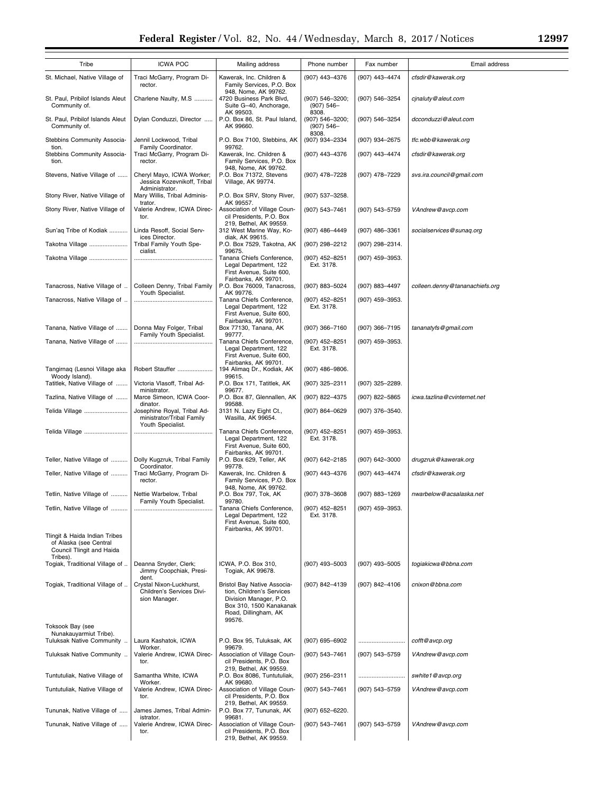| Tribe                                                                                            | <b>ICWA POC</b>                                                               | Mailing address                                                                                                                                 | Phone number                                       | Fax number       | Email address                  |
|--------------------------------------------------------------------------------------------------|-------------------------------------------------------------------------------|-------------------------------------------------------------------------------------------------------------------------------------------------|----------------------------------------------------|------------------|--------------------------------|
| St. Michael, Native Village of                                                                   | Traci McGarry, Program Di-<br>rector.                                         | Kawerak, Inc. Children &<br>Family Services, P.O. Box                                                                                           | (907) 443-4376                                     | (907) 443-4474   | cfsdir@kawerak.org             |
| St. Paul, Pribilof Islands Aleut<br>Community of.                                                | Charlene Naulty, M.S                                                          | 948, Nome, AK 99762.<br>4720 Business Park Blvd,<br>Suite G-40, Anchorage,                                                                      | (907) 546-3200;<br>$(907) 546 -$                   | (907) 546-3254   | cjnaluty@aleut.com             |
| St. Paul, Pribilof Islands Aleut<br>Community of.                                                | Dylan Conduzzi, Director                                                      | AK 99503.<br>P.O. Box 86, St. Paul Island,<br>AK 99660.                                                                                         | 8308.<br>(907) 546-3200;<br>$(907) 546 -$<br>8308. | (907) 546-3254   | dcconduzzi@aleut.com           |
| Stebbins Community Associa-<br>tion.                                                             | Jennil Lockwood, Tribal<br>Family Coordinator.                                | P.O. Box 7100, Stebbins, AK<br>99762.                                                                                                           | (907) 934–2334                                     | (907) 934-2675   | tfc.wbb@kawerak.org            |
| Stebbins Community Associa-<br>tion.                                                             | Traci McGarry, Program Di-<br>rector.                                         | Kawerak, Inc. Children &<br>Family Services, P.O. Box<br>948, Nome, AK 99762.                                                                   | (907) 443-4376                                     | (907) 443-4474   | cfsdir@kawerak.org             |
| Stevens, Native Village of                                                                       | Cheryl Mayo, ICWA Worker;<br>Jessica Kozevnikoff, Tribal<br>Administrator.    | P.O. Box 71372, Stevens<br>Village, AK 99774.                                                                                                   | (907) 478-7228                                     | (907) 478-7229   | svs.ira.council@gmail.com      |
| Stony River, Native Village of                                                                   | Mary Willis, Tribal Adminis-<br>trator.                                       | P.O. Box SRV, Stony River,<br>AK 99557.                                                                                                         | (907) 537-3258.                                    |                  |                                |
| Stony River, Native Village of                                                                   | Valerie Andrew, ICWA Direc-<br>tor.                                           | Association of Village Coun-<br>cil Presidents, P.O. Box<br>219, Bethel, AK 99559.                                                              | (907) 543-7461                                     | (907) 543-5759   | VAndrew@avcp.com               |
| Sun'aq Tribe of Kodiak                                                                           | Linda Resoff, Social Serv-<br>ices Director.                                  | 312 West Marine Way, Ko-<br>diak, AK 99615.                                                                                                     | (907) 486-4449                                     | $(907)$ 486-3361 | socialservices@sunaq.org       |
| Takotna Village                                                                                  | Tribal Family Youth Spe-<br>cialist.                                          | P.O. Box 7529, Takotna, AK<br>99675.                                                                                                            | (907) 298-2212                                     | (907) 298-2314.  |                                |
| Takotna Village                                                                                  |                                                                               | Tanana Chiefs Conference,<br>Legal Department, 122<br>First Avenue, Suite 600,<br>Fairbanks, AK 99701.                                          | (907) 452-8251<br>Ext. 3178.                       | (907) 459-3953.  |                                |
| Tanacross, Native Village of                                                                     | Colleen Denny, Tribal Family<br>Youth Specialist.                             | P.O. Box 76009, Tanacross,<br>AK 99776.                                                                                                         | (907) 883-5024                                     | (907) 883-4497   | colleen.denny@tananachiefs.org |
| Tanacross, Native Village of                                                                     |                                                                               | Tanana Chiefs Conference,<br>Legal Department, 122<br>First Avenue, Suite 600,<br>Fairbanks, AK 99701.                                          | (907) 452-8251<br>Ext. 3178.                       | (907) 459-3953.  |                                |
| Tanana, Native Village of                                                                        | Donna May Folger, Tribal<br>Family Youth Specialist.                          | Box 77130, Tanana, AK<br>99777.                                                                                                                 | (907) 366-7160                                     | (907) 366-7195   | tananatyfs@gmail.com           |
| Tanana, Native Village of                                                                        |                                                                               | Tanana Chiefs Conference,<br>Legal Department, 122<br>First Avenue, Suite 600,                                                                  | (907) 452-8251<br>Ext. 3178.                       | (907) 459-3953.  |                                |
| Tangirnaq (Lesnoi Village aka                                                                    | Robert Stauffer                                                               | Fairbanks, AK 99701.<br>194 Alimaq Dr., Kodiak, AK                                                                                              | (907) 486-9806.                                    |                  |                                |
| Woody Island).<br>Tatitlek, Native Village of                                                    | Victoria Vlasoff, Tribal Ad-<br>ministrator.                                  | 99615.<br>P.O. Box 171, Tatitlek, AK                                                                                                            | (907) 325-2311                                     | (907) 325-2289.  |                                |
| Tazlina, Native Village of                                                                       | Marce Simeon, ICWA Coor-<br>dinator.                                          | 99677.<br>P.O. Box 87, Glennallen, AK<br>99588.                                                                                                 | (907) 822-4375                                     | (907) 822-5865   | icwa.tazlina@cvinternet.net    |
| Telida Village                                                                                   | Josephine Royal, Tribal Ad-<br>ministrator/Tribal Family<br>Youth Specialist. | 3131 N. Lazy Eight Ct.,<br>Wasilla, AK 99654.                                                                                                   | (907) 864-0629                                     | (907) 376-3540.  |                                |
| Telida Village                                                                                   |                                                                               | Tanana Chiefs Conference,<br>Legal Department, 122<br>First Avenue, Suite 600,                                                                  | (907) 452-8251<br>Ext. 3178.                       | (907) 459-3953.  |                                |
| Teller, Native Village of                                                                        | Dolly Kugzruk, Tribal Family<br>Coordinator.                                  | Fairbanks, AK 99701.<br>P.O. Box 629, Teller, AK<br>99778.                                                                                      | (907) 642-2185                                     | (907) 642-3000   | drugzruk@kawerak.org           |
| Teller, Native Village of                                                                        | Traci McGarry, Program Di-<br>rector.                                         | Kawerak, Inc. Children &<br>Family Services, P.O. Box<br>948, Nome, AK 99762.                                                                   | (907) 443-4376                                     | (907) 443-4474   | cfsdir@kawerak.org             |
| Tetlin, Native Village of                                                                        | Nettie Warbelow, Tribal<br>Family Youth Specialist.                           | P.O. Box 797, Tok, AK<br>99780.                                                                                                                 | (907) 378-3608                                     | (907) 883-1269   | nwarbelow@acsalaska.net        |
| Tetlin, Native Village of                                                                        |                                                                               | Tanana Chiefs Conference,<br>Legal Department, 122<br>First Avenue, Suite 600,<br>Fairbanks, AK 99701.                                          | (907) 452-8251<br>Ext. 3178.                       | (907) 459-3953.  |                                |
| Tlingit & Haida Indian Tribes<br>of Alaska (see Central<br>Council Tlingit and Haida<br>Tribes). |                                                                               |                                                                                                                                                 |                                                    |                  |                                |
| Togiak, Traditional Village of                                                                   | Deanna Snyder, Clerk;<br>Jimmy Coopchiak, Presi-<br>dent.                     | ICWA, P.O. Box 310,<br>Togiak, AK 99678.                                                                                                        | (907) 493-5003                                     | (907) 493-5005   | togiakicwa@bbna.com            |
| Togiak, Traditional Village of                                                                   | Crystal Nixon-Luckhurst,<br>Children's Services Divi-<br>sion Manager.        | Bristol Bay Native Associa-<br>tion, Children's Services<br>Division Manager, P.O.<br>Box 310, 1500 Kanakanak<br>Road, Dillingham, AK<br>99576. | (907) 842-4139                                     | (907) 842-4106   | cnixon@bbna.com                |
| Toksook Bay (see<br>Nunakauyarmiut Tribe).                                                       |                                                                               |                                                                                                                                                 |                                                    |                  |                                |
| Tuluksak Native Community                                                                        | Laura Kashatok, ICWA<br>Worker.                                               | P.O. Box 95, Tuluksak, AK<br>99679.                                                                                                             | (907) 695-6902                                     |                  | cofft@avcp.org                 |
| Tuluksak Native Community                                                                        | Valerie Andrew, ICWA Direc-<br>tor.                                           | Association of Village Coun-<br>cil Presidents, P.O. Box                                                                                        | (907) 543-7461                                     | (907) 543-5759   | VAndrew@avcp.com               |
| Tuntutuliak, Native Village of                                                                   | Samantha White, ICWA                                                          | 219, Bethel, AK 99559.<br>P.O. Box 8086, Tuntutuliak,                                                                                           | (907) 256-2311                                     |                  | swhite1@avcp.org               |
| Tuntutuliak, Native Village of                                                                   | Worker.<br>Valerie Andrew, ICWA Direc-<br>tor.                                | AK 99680.<br>Association of Village Coun-<br>cil Presidents, P.O. Box                                                                           | (907) 543-7461                                     | (907) 543-5759   | VAndrew@avcp.com               |
| Tununak, Native Village of                                                                       | James James, Tribal Admin-                                                    | 219, Bethel, AK 99559.<br>P.O. Box 77, Tununak, AK                                                                                              | (907) 652–6220.                                    |                  |                                |
| Tununak, Native Village of                                                                       | istrator.<br>Valerie Andrew, ICWA Direc-<br>tor.                              | 99681.<br>Association of Village Coun-<br>cil Presidents, P.O. Box<br>219, Bethel, AK 99559.                                                    | (907) 543-7461                                     | (907) 543-5759   | VAndrew@avcp.com               |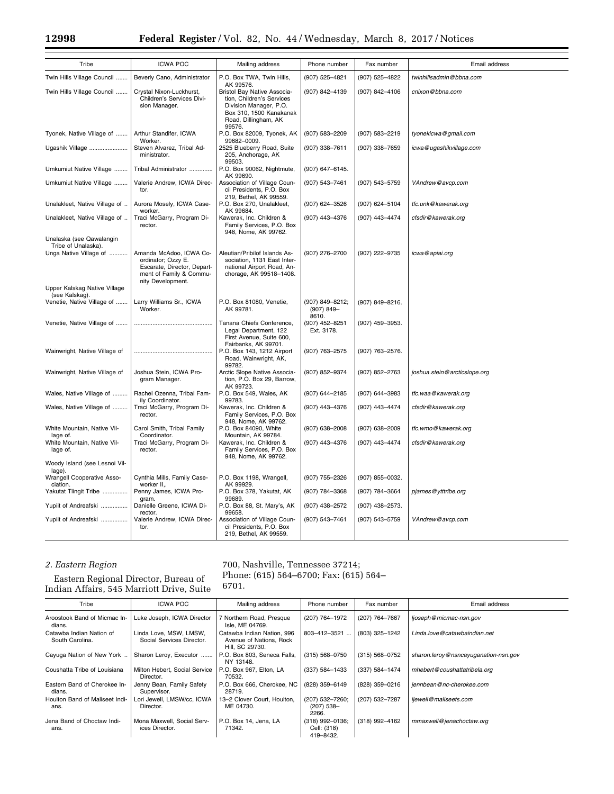۳

| Tribe                                           | <b>ICWA POC</b>                                                                                                              | Mailing address                                                                                                                                 | Phone number                           | Fax number      | Email address                |
|-------------------------------------------------|------------------------------------------------------------------------------------------------------------------------------|-------------------------------------------------------------------------------------------------------------------------------------------------|----------------------------------------|-----------------|------------------------------|
| Twin Hills Village Council                      | Beverly Cano, Administrator                                                                                                  | P.O. Box TWA, Twin Hills,<br>AK 99576.                                                                                                          | (907) 525-4821                         | (907) 525-4822  | twinhillsadmin@bbna.com      |
| Twin Hills Village Council                      | Crystal Nixon-Luckhurst,<br>Children's Services Divi-<br>sion Manager.                                                       | Bristol Bay Native Associa-<br>tion, Children's Services<br>Division Manager, P.O.<br>Box 310, 1500 Kanakanak<br>Road, Dillingham, AK<br>99576. | (907) 842-4139                         | (907) 842-4106  | cnixon@bbna.com              |
| Tyonek, Native Village of                       | Arthur Standifer, ICWA<br>Worker.                                                                                            | P.O. Box 82009, Tyonek, AK<br>99682-0009.                                                                                                       | (907) 583-2209                         | (907) 583-2219  | tyonekicwa@gmail.com         |
| Ugashik Village                                 | Steven Alvarez, Tribal Ad-<br>ministrator.                                                                                   | 2525 Blueberry Road, Suite<br>205, Anchorage, AK<br>99503.                                                                                      | (907) 338-7611                         | (907) 338-7659  | icwa@ugashikvillage.com      |
| Umkumiut Native Village                         | Tribal Administrator                                                                                                         | P.O. Box 90062, Nightmute,<br>AK 99690.                                                                                                         | (907) 647-6145.                        |                 |                              |
| Umkumiut Native Village                         | Valerie Andrew, ICWA Direc-<br>tor.                                                                                          | Association of Village Coun-<br>cil Presidents, P.O. Box<br>219, Bethel, AK 99559.                                                              | (907) 543-7461                         | (907) 543-5759  | VAndrew@avcp.com             |
| Unalakleet, Native Village of                   | Aurora Mosely, ICWA Case-<br>worker.                                                                                         | P.O. Box 270, Unalakleet,<br>AK 99684.                                                                                                          | (907) 624-3526                         | (907) 624-5104  | tfc.unk@kawerak.org          |
| Unalakleet, Native Village of                   | Traci McGarry, Program Di-<br>rector.                                                                                        | Kawerak, Inc. Children &<br>Family Services, P.O. Box<br>948, Nome, AK 99762.                                                                   | (907) 443-4376                         | (907) 443-4474  | cfsdir@kawerak.org           |
| Unalaska (see Qawalangin<br>Tribe of Unalaska). |                                                                                                                              |                                                                                                                                                 |                                        |                 |                              |
| Unga Native Village of                          | Amanda McAdoo, ICWA Co-<br>ordinator: Ozzy E.<br>Escarate, Director, Depart-<br>ment of Family & Commu-<br>nity Development. | Aleutian/Pribilof Islands As-<br>sociation. 1131 East Inter-<br>national Airport Road, An-<br>chorage, AK 99518-1408.                           | (907) 276-2700                         | (907) 222-9735  | icwa@apiai.org               |
| Upper Kalskag Native Village<br>(see Kalskag).  |                                                                                                                              |                                                                                                                                                 |                                        |                 |                              |
| Venetie, Native Village of                      | Larry Williams Sr., ICWA<br>Worker.                                                                                          | P.O. Box 81080, Venetie,<br>AK 99781.                                                                                                           | (907) 849-8212;<br>(907) 849-<br>8610. | (907) 849-8216. |                              |
| Venetie, Native Village of                      |                                                                                                                              | Tanana Chiefs Conference,<br>Legal Department, 122<br>First Avenue, Suite 600,<br>Fairbanks, AK 99701.                                          | (907) 452-8251<br>Ext. 3178.           | (907) 459-3953. |                              |
| Wainwright, Native Village of                   |                                                                                                                              | P.O. Box 143, 1212 Airport<br>Road, Wainwright, AK,<br>99782.                                                                                   | (907) 763-2575                         | (907) 763-2576. |                              |
| Wainwright, Native Village of                   | Joshua Stein, ICWA Pro-<br>gram Manager.                                                                                     | Arctic Slope Native Associa-<br>tion, P.O. Box 29, Barrow,<br>AK 99723.                                                                         | (907) 852-9374                         | (907) 852-2763  | joshua.stein@arcticslope.org |
| Wales, Native Village of                        | Rachel Ozenna, Tribal Fam-<br>ily Coordinator.                                                                               | P.O. Box 549, Wales, AK<br>99783.                                                                                                               | (907) 644-2185                         | (907) 644-3983  | tfc.waa@kawerak.org          |
| Wales, Native Village of                        | Traci McGarry, Program Di-<br>rector.                                                                                        | Kawerak, Inc. Children &<br>Family Services, P.O. Box<br>948, Nome, AK 99762.                                                                   | (907) 443-4376                         | (907) 443-4474  | cfsdir@kawerak.org           |
| White Mountain, Native Vil-<br>lage of.         | Carol Smith, Tribal Family<br>Coordinator.                                                                                   | P.O. Box 84090, White<br>Mountain, AK 99784.                                                                                                    | (907) 638-2008                         | (907) 638-2009  | tfc.wmo@kawerak.org          |
| White Mountain, Native Vil-<br>lage of.         | Traci McGarry, Program Di-<br>rector.                                                                                        | Kawerak, Inc. Children &<br>Family Services, P.O. Box<br>948, Nome, AK 99762.                                                                   | (907) 443-4376                         | (907) 443-4474  | cfsdir@kawerak.org           |
| Woody Island (see Lesnoi Vil-<br>lage).         |                                                                                                                              |                                                                                                                                                 |                                        |                 |                              |
| Wrangell Cooperative Asso-<br>ciation.          | Cynthia Mills, Family Case-<br>worker II,.                                                                                   | P.O. Box 1198, Wrangell,<br>AK 99929.                                                                                                           | (907) 755-2326                         | (907) 855-0032. |                              |
| Yakutat Tlingit Tribe                           | Penny James, ICWA Pro-<br>gram.                                                                                              | P.O. Box 378, Yakutat, AK<br>99689.                                                                                                             | (907) 784-3368                         | (907) 784-3664  | pjames@ytttribe.org          |
| Yupiit of Andreafski                            | Danielle Greene, ICWA Di-<br>rector.                                                                                         | P.O. Box 88, St. Mary's, AK<br>99658.                                                                                                           | (907) 438-2572                         | (907) 438-2573. |                              |
| Yupiit of Andreafski                            | Valerie Andrew, ICWA Direc-<br>tor.                                                                                          | Association of Village Coun-<br>cil Presidents, P.O. Box<br>219, Bethel, AK 99559.                                                              | (907) 543-7461                         | (907) 543-5759  | VAndrew@avcp.com             |

## *2. Eastern Region*

Eastern Regional Director, Bureau of Indian Affairs, 545 Marriott Drive, Suite

## 700, Nashville, Tennessee 37214; Phone: (615) 564–6700; Fax: (615) 564– 6701.

| Tribe                                       | <b>ICWA POC</b>                                     | Mailing address                                                          | Phone number                                  | Fax number         | Email address                        |
|---------------------------------------------|-----------------------------------------------------|--------------------------------------------------------------------------|-----------------------------------------------|--------------------|--------------------------------------|
| Aroostook Band of Micmac In-<br>dians.      | Luke Joseph, ICWA Director                          | 7 Northern Road, Presque<br>Isle. ME 04769.                              | (207) 764-1972                                | (207) 764-7667     | ljoseph@micmac-nsn.gov               |
| Catawba Indian Nation of<br>South Carolina. | Linda Love, MSW, LMSW,<br>Social Services Director. | Catawba Indian Nation, 996<br>Avenue of Nations, Rock<br>Hill, SC 29730. | 803-412-3521                                  | (803) 325-1242     | Linda.love@catawbaindian.net         |
| Cayuga Nation of New York                   | Sharon Leroy, Executor                              | P.O. Box 803, Seneca Falls,<br>NY 13148.                                 | $(315) 568 - 0750$                            | $(315) 568 - 0752$ | sharon.leroy@nsncayuganation-nsn.gov |
| Coushatta Tribe of Louisiana                | Milton Hebert, Social Service<br>Director.          | P.O. Box 967, Elton, LA<br>70532.                                        | (337) 584-1433                                | (337) 584-1474     | mhebert@coushattatribela.org         |
| Eastern Band of Cherokee In-<br>dians.      | Jenny Bean, Family Safety<br>Supervisor.            | P.O. Box 666, Cherokee, NC<br>28719.                                     | (828) 359-6149                                | (828) 359-0216     | iennbean@nc-cherokee.com             |
| Houlton Band of Maliseet Indi-<br>ans.      | Lori Jewell, LMSW/cc, ICWA<br>Director.             | 13-2 Clover Court, Houlton,<br>ME 04730.                                 | (207) 532-7260;<br>$(207)$ 538-<br>2266.      | (207) 532-7287     | ljewell@maliseets.com                |
| Jena Band of Choctaw Indi-<br>ans.          | Mona Maxwell, Social Serv-<br>ices Director.        | P.O. Box 14, Jena, LA<br>71342.                                          | $(318)$ 992-0136;<br>Cell: (318)<br>419-8432. | (318) 992-4162     | mmaxwell@jenachoctaw.org             |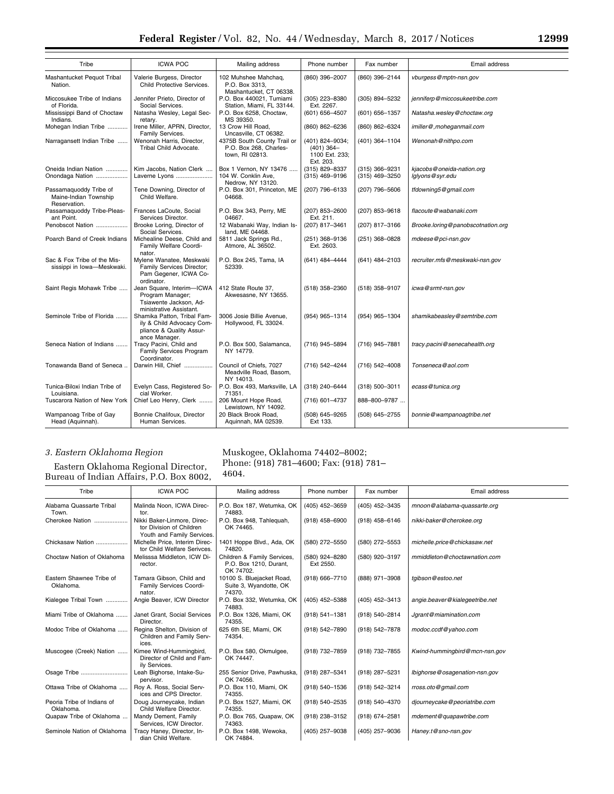| Tribe                                                           | <b>ICWA POC</b>                                                                                       | Mailing address                                                          | Phone number                                                   | Fax number                       | Email address                                |
|-----------------------------------------------------------------|-------------------------------------------------------------------------------------------------------|--------------------------------------------------------------------------|----------------------------------------------------------------|----------------------------------|----------------------------------------------|
| Mashantucket Pequot Tribal<br>Nation.                           | Valerie Burgess, Director<br>Child Protective Services.                                               | 102 Muhshee Mahchaq,<br>P.O. Box 3313.<br>Mashantucket, CT 06338.        | (860) 396-2007                                                 | (860) 396-2144                   | vburgess@mptn-nsn.gov                        |
| Miccosukee Tribe of Indians<br>of Florida.                      | Jennifer Prieto, Director of<br>Social Services.                                                      | P.O. Box 440021, Tumiami<br>Station, Miami, FL 33144.                    | (305) 223-8380<br>Ext. 2267.                                   | (305) 894-5232                   | jenniferp@miccosukeetribe.com                |
| Mississippi Band of Choctaw<br>Indians.                         | Natasha Wesley, Legal Sec-<br>retary.                                                                 | P.O. Box 6258, Choctaw,<br>MS 39350.                                     | (601) 656-4507                                                 | (601) 656-1357                   | Natasha.wesley@choctaw.org                   |
| Mohegan Indian Tribe                                            | Irene Miller, APRN, Director,<br>Family Services.                                                     | 13 Crow Hill Road,<br>Uncasville, CT 06382.                              | (860) 862-6236                                                 | (860) 862-6324                   | imiller@,moheganmail.com                     |
| Narragansett Indian Tribe                                       | Wenonah Harris, Director,<br>Tribal Child Advocate.                                                   | 4375B South County Trail or<br>P.O. Box 268, Charles-<br>town, RI 02813. | (401) 824-9034;<br>$(401)$ 364-<br>1100 Ext. 233;<br>Ext. 203. | (401) 364-1104                   | Wenonah@nithpo.com                           |
| Oneida Indian Nation<br>Onondaga Nation                         | Kim Jacobs, Nation Clerk<br>Laverne Lyons                                                             | Box 1 Vernon, NY 13476<br>104 W. Conklin Ave.<br>Nedrow, NY 13120.       | (315) 829-8337<br>(315) 469-9196                               | (315) 366-9231<br>(315) 469-3250 | kjacobs@oneida-nation.org<br>lglyons@syr.edu |
| Passamaquoddy Tribe of<br>Maine-Indian Township<br>Reservation. | Tene Downing, Director of<br>Child Welfare.                                                           | P.O. Box 301, Princeton, ME<br>04668.                                    | (207) 796-6133                                                 | (207) 796-5606                   | tfdowning5@gmail.com                         |
| Passamaguoddy Tribe-Pleas-<br>ant Point.                        | Frances LaCoute, Social<br>Services Director.                                                         | P.O. Box 343, Perry, ME<br>04667.                                        | (207) 853-2600<br>Ext. 211.                                    | (207) 853-9618                   | flacoute@wabanaki.com                        |
| Penobscot Nation                                                | Brooke Loring, Director of<br>Social Services.                                                        | 12 Wabanaki Way, Indian Is-<br>land, ME 04468.                           | (207) 817-3461                                                 | (207) 817-3166                   | Brooke.loring@panobscotnation.org            |
| Poarch Band of Creek Indians                                    | Michealine Deese, Child and<br>Family Welfare Coordi-<br>nator.                                       | 5811 Jack Springs Rd.,<br>Atmore, AL 36502.                              | (251) 368-9136<br>Ext. 2603.                                   | (251) 368-0828                   | mdeese@pci-nsn.gov                           |
| Sac & Fox Tribe of the Mis-<br>sissippi in Iowa-Meskwaki.       | Mylene Wanatee, Meskwaki<br>Family Services Director;<br>Pam Gegener, ICWA Co-<br>ordinator.          | P.O. Box 245, Tama, IA<br>52339.                                         | (641) 484-4444                                                 | (641) 484-2103                   | recruiter.mfs@meskwaki-nsn.gov               |
| Saint Regis Mohawk Tribe                                        | Jean Square, Interim-ICWA<br>Program Manager;<br>Tsiawente Jackson, Ad-<br>ministrative Assistant.    | 412 State Route 37,<br>Akwesasne, NY 13655.                              | $(518)$ 358-2360                                               | (518) 358-9107                   | icwa@srmt-nsn.gov                            |
| Seminole Tribe of Florida                                       | Shamika Patton, Tribal Fam-<br>ily & Child Advocacy Com-<br>pliance & Quality Assur-<br>ance Manager. | 3006 Josie Billie Avenue,<br>Hollywood, FL 33024.                        | (954) 965-1314                                                 | (954) 965-1304                   | shamikabeasley@semtribe.com                  |
| Seneca Nation of Indians                                        | Tracy Pacini, Child and<br>Family Services Program<br>Coordinator.                                    | P.O. Box 500, Salamanca,<br>NY 14779.                                    | (716) 945-5894                                                 | (716) 945-7881                   | tracy.pacini@senecahealth.org                |
| Tonawanda Band of Seneca                                        | Darwin Hill, Chief                                                                                    | Council of Chiefs, 7027<br>Meadville Road, Basom,<br>NY 14013.           | (716) 542-4244                                                 | (716) 542-4008                   | Tonseneca@aol.com                            |
| Tunica-Biloxi Indian Tribe of<br>Louisiana.                     | Evelyn Cass, Registered So-<br>cial Worker.                                                           | P.O. Box 493, Marksville, LA<br>71351.                                   | (318) 240-6444                                                 | (318) 500-3011                   | ecass@tunica.org                             |
| Tuscarora Nation of New York                                    | Chief Leo Henry, Clerk                                                                                | 206 Mount Hope Road,<br>Lewistown, NY 14092.                             | (716) 601-4737                                                 | 888-800-9787                     |                                              |
| Wampanoag Tribe of Gay<br>Head (Aquinnah).                      | Bonnie Chalifoux, Director<br>Human Services.                                                         | 20 Black Brook Road,<br>Aquinnah, MA 02539.                              | (508) 645-9265<br>Ext 133.                                     | (508) 645-2755                   | bonnie@wampanoagtribe.net                    |

## *3. Eastern Oklahoma Region*

Eastern Oklahoma Regional Director, Bureau of Indian Affairs, P.O. Box 8002,

## Muskogee, Oklahoma 74402–8002; Phone: (918) 781–4600; Fax: (918) 781– 4604.

| Tribe                                   | <b>ICWA POC</b>                                                                       | Mailing address                                                    | Phone number                | Fax number       | Email address                  |
|-----------------------------------------|---------------------------------------------------------------------------------------|--------------------------------------------------------------------|-----------------------------|------------------|--------------------------------|
| Alabama Quassarte Tribal<br>Town.       | Malinda Noon, ICWA Direc-<br>tor.                                                     | P.O. Box 187, Wetumka, OK<br>74883.                                | (405) 452-3659              | (405) 452-3435   | mnoon@alabama-quassarte.org    |
| Cherokee Nation                         | Nikki Baker-Linmore, Direc-<br>tor Division of Children<br>Youth and Family Services. | P.O. Box 948, Tahlequah,<br>OK 74465.                              | $(918)$ 458-6900            | $(918)$ 458-6146 | nikki-baker@cherokee.org       |
| Chickasaw Nation                        | Michelle Price, Interim Direc-<br>tor Child Welfare Serivces.                         | 1401 Hoppe Blvd., Ada, OK<br>74820.                                | (580) 272-5550              | (580) 272-5553   | michelle.price@chickasaw.net   |
| Choctaw Nation of Oklahoma              | Melisssa Middleton, ICW Di-<br>rector.                                                | Children & Family Services,<br>P.O. Box 1210, Durant,<br>OK 74702. | (580) 924-8280<br>Ext 2550. | (580) 920-3197   | mmiddleton@choctawnation.com   |
| Eastern Shawnee Tribe of<br>Oklahoma.   | Tamara Gibson, Child and<br>Family Services Coordi-<br>nator.                         | 10100 S. Bluejacket Road,<br>Suite 3, Wyandotte, OK<br>74370.      | (918) 666-7710              | (888) 971-3908   | tgibson@estoo.net              |
| Kialegee Tribal Town                    | Angie Beaver, ICW Director                                                            | P.O. Box 332, Wetumka, OK<br>74883.                                | (405) 452-5388              | (405) 452-3413   | angie.beaver@kialegeetribe.net |
| Miami Tribe of Oklahoma                 | Janet Grant, Social Services<br>Director.                                             | P.O. Box 1326, Miami, OK<br>74355.                                 | $(918) 541 - 1381$          | (918) 540-2814   | Jgrant@miamination.com         |
| Modoc Tribe of Oklahoma                 | Regina Shelton, Division of<br>Children and Family Serv-<br>ices.                     | 625 6th SE, Miami, OK<br>74354.                                    | (918) 542-7890              | (918) 542-7878   | modoc.ccdf@yahoo.com           |
| Muscogee (Creek) Nation                 | Kimee Wind-Humminabird.<br>Director of Child and Fam-<br>ily Services.                | P.O. Box 580, Okmulgee,<br>OK 74447.                               | (918) 732-7859              | (918) 732-7855   | Kwind-hummingbird@mcn-nsn.gov  |
|                                         | Leah Bighorse, Intake-Su-<br>pervisor.                                                | 255 Senior Drive, Pawhuska,<br>OK 74056.                           | (918) 287-5341              | (918) 287-5231   | Ibighorse@osagenation-nsn.gov  |
| Ottawa Tribe of Oklahoma                | Roy A. Ross, Social Serv-<br>ices and CPS Director.                                   | P.O. Box 110, Miami, OK<br>74355.                                  | (918) 540-1536              | (918) 542-3214   | rross.oto@gmail.com            |
| Peoria Tribe of Indians of<br>Oklahoma. | Doug Journeycake, Indian<br>Child Welfare Director.                                   | P.O. Box 1527, Miami, OK<br>74355.                                 | (918) 540-2535              | (918) 540-4370   | djourneycake@peoriatribe.com   |
| Quapaw Tribe of Oklahoma                | Mandy Dement, Family<br>Services, ICW Director.                                       | P.O. Box 765, Quapaw, OK<br>74363.                                 | (918) 238-3152              | (918) 674-2581   | mdement@quapawtribe.com        |
| Seminole Nation of Oklahoma             | Tracy Haney, Director, In-<br>dian Child Welfare.                                     | P.O. Box 1498, Wewoka,<br>OK 74884.                                | (405) 257-9038              | (405) 257-9036   | Haney.t@sno-nsn.gov            |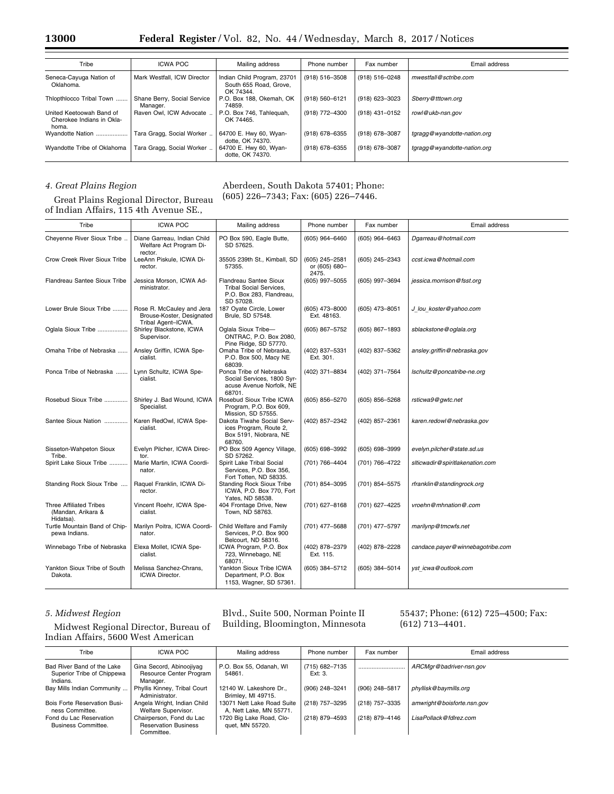| Tribe                                                          | <b>ICWA POC</b>                         | Mailing address                                                    | Phone number       | Fax number     | Email address               |
|----------------------------------------------------------------|-----------------------------------------|--------------------------------------------------------------------|--------------------|----------------|-----------------------------|
| Seneca-Cayuga Nation of<br>Oklahoma.                           | Mark Westfall, ICW Director             | Indian Child Program, 23701<br>South 655 Road, Grove,<br>OK 74344. | $(918) 516 - 3508$ | (918) 516-0248 | mwestfall@sctribe.com       |
| Thlopthlocco Tribal Town                                       | Shane Berry, Social Service<br>Manager. | P.O. Box 188, Okemah, OK<br>74859.                                 | $(918) 560 - 6121$ | (918) 623-3023 | Sberry@tttown.org           |
| United Keetoowah Band of<br>Cherokee Indians in Okla-<br>homa. | Raven Owl. ICW Advocate                 | P.O. Box 746, Tahleguah,<br>OK 74465.                              | (918) 772-4300     | (918) 431-0152 | rowl@ukb-nsn.gov            |
| Wyandotte Nation                                               | Tara Gragg, Social Worker               | 64700 E. Hwy 60, Wyan-<br>dotte, OK 74370.                         | (918) 678-6355     | (918) 678-3087 | tgragg@wyandotte-nation.org |
| Wyandotte Tribe of Oklahoma                                    | Tara Gragg, Social Worker               | 64700 E. Hwy 60, Wyan-<br>dotte, OK 74370.                         | (918) 678-6355     | (918) 678-3087 | tgragg@wyandotte-nation.org |

## *4. Great Plains Region*

Great Plains Regional Director, Bureau of Indian Affairs, 115 4th Avenue SE.,

## Aberdeen, South Dakota 57401; Phone: (605) 226–7343; Fax: (605) 226–7446.

| Tribe                                                             | <b>ICWA POC</b>                                                              | Mailing address                                                                                   | Phone number                             | Fax number       | Email address                    |
|-------------------------------------------------------------------|------------------------------------------------------------------------------|---------------------------------------------------------------------------------------------------|------------------------------------------|------------------|----------------------------------|
| Cheyenne River Sioux Tribe                                        | Diane Garreau, Indian Child<br>Welfare Act Program Di-<br>rector.            | PO Box 590, Eagle Butte,<br>SD 57625.                                                             | (605) 964-6460                           | (605) 964-6463   | Dgarreau@hotmail.com             |
| Crow Creek River Sioux Tribe                                      | LeeAnn Piskule, ICWA Di-<br>rector.                                          | 35505 239th St., Kimball, SD<br>57355.                                                            | (605) 245-2581<br>or (605) 680-<br>2475. | (605) 245-2343   | ccst.icwa@hotmail.com            |
| Flandreau Santee Sioux Tribe                                      | Jessica Morson, ICWA Ad-<br>ministrator.                                     | Flandreau Santee Sioux<br><b>Tribal Social Services,</b><br>P.O. Box 283, Flandreau,<br>SD 57028. | (605) 997-5055                           | (605) 997-3694   | jessica.morrison@fsst.org        |
| Lower Brule Sioux Tribe                                           | Rose R. McCauley and Jera<br>Brouse-Koster, Designated<br>Tribal Agent-ICWA. | 187 Oyate Circle, Lower<br>Brule, SD 57548.                                                       | (605) 473-8000<br>Ext. 48163.            | $(605)$ 473-8051 | J lou koster@yahoo.com           |
| Oglala Sioux Tribe                                                | Shirley Blackstone, ICWA<br>Supervisor.                                      | Oglala Sioux Tribe-<br>ONTRAC, P.O. Box 2080,<br>Pine Ridge, SD 57770.                            | (605) 867-5752                           | $(605)$ 867-1893 | sblackstone@oglala.org           |
| Omaha Tribe of Nebraska                                           | Ansley Griffin, ICWA Spe-<br>cialist.                                        | Omaha Tribe of Nebraska,<br>P.O. Box 500, Macy NE<br>68039.                                       | (402) 837-5331<br>Ext. 301.              | (402) 837-5362   | ansley.griffin@nebraska.gov      |
| Ponca Tribe of Nebraska                                           | Lynn Schultz, ICWA Spe-<br>cialist.                                          | Ponca Tribe of Nebraska<br>Social Services, 1800 Syr-<br>acuse Avenue Norfolk, NE<br>68701.       | (402) 371-8834                           | (402) 371-7564   | Ischultz@poncatribe-ne.org       |
| Rosebud Sioux Tribe                                               | Shirley J. Bad Wound, ICWA<br>Specialist.                                    | Rosebud Sioux Tribe ICWA<br>Program, P.O. Box 609,<br>Mission, SD 57555.                          | (605) 856-5270                           | $(605)$ 856-5268 | rsticwa9@gwtc.net                |
| Santee Sioux Nation                                               | Karen RedOwl, ICWA Spe-<br>cialist.                                          | Dakota Tiwahe Social Serv-<br>ices Program, Route 2,<br>Box 5191, Niobrara, NE<br>68760.          | (402) 857-2342                           | (402) 857-2361   | karen.redowl@nebraska.gov        |
| Sisseton-Wahpeton Sioux<br>Tribe.                                 | Evelyn Pilcher, ICWA Direc-<br>tor.                                          | PO Box 509 Agency Village,<br>SD 57262.                                                           | (605) 698-3992                           | (605) 698-3999   | evelyn.pilcher@state.sd.us       |
| Spirit Lake Sioux Tribe                                           | Marie Martin, ICWA Coordi-<br>nator.                                         | Spirit Lake Tribal Social<br>Services, P.O. Box 356,<br>Fort Totten, ND 58335.                    | (701) 766-4404                           | (701) 766-4722   | slticwadir@spiritlakenation.com  |
| Standing Rock Sioux Tribe                                         | Raquel Franklin, ICWA Di-<br>rector.                                         | <b>Standing Rock Sioux Tribe</b><br>ICWA, P.O. Box 770, Fort<br>Yates, ND 58538.                  | (701) 854-3095                           | (701) 854-5575   | rfranklin@standingrock.org       |
| <b>Three Affiliated Tribes</b><br>(Mandan, Arikara &<br>Hidatsa). | Vincent Roehr, ICWA Spe-<br>cialist.                                         | 404 Frontage Drive, New<br>Town, ND 58763.                                                        | (701) 627-8168                           | (701) 627-4225   | vroehn@mhnation@.com             |
| Turtle Mountain Band of Chip-<br>pewa Indians.                    | Marilyn Poitra, ICWA Coordi-<br>nator.                                       | Child Welfare and Family<br>Services, P.O. Box 900<br>Belcourt, ND 58316.                         | (701) 477-5688                           | (701) 477-5797   | marilynp@tmcwfs.net              |
| Winnebago Tribe of Nebraska                                       | Elexa Mollet, ICWA Spe-<br>cialist.                                          | ICWA Program, P.O. Box<br>723, Winnebago, NE<br>68071.                                            | (402) 878-2379<br>Ext. 115.              | (402) 878-2228   | candace.payer@winnebagotribe.com |
| Yankton Sioux Tribe of South<br>Dakota.                           | Melissa Sanchez-Chrans,<br>ICWA Director.                                    | Yankton Sioux Tribe ICWA<br>Department, P.O. Box<br>1153, Wagner, SD 57361.                       | (605) 384-5712                           | (605) 384-5014   | yst icwa@outlook.com             |

## *5. Midwest Region*

Midwest Regional Director, Bureau of Indian Affairs, 5600 West American

Blvd., Suite 500, Norman Pointe II Building, Bloomington, Minnesota 55437; Phone: (612) 725–4500; Fax: (612) 713–4401.

| Tribe                                                                | <b>ICWA POC</b>                                                       | Mailing address                                       | Phone number              | Fax number     | Email address              |
|----------------------------------------------------------------------|-----------------------------------------------------------------------|-------------------------------------------------------|---------------------------|----------------|----------------------------|
| Bad River Band of the Lake<br>Superior Tribe of Chippewa<br>Indians. | Gina Secord, Abinoojiyag<br>Resource Center Program<br>Manager.       | P.O. Box 55, Odanah, WI<br>54861.                     | (715) 682-7135<br>Ext: 3. |                | ARCMgr@badriver-nsn.gov    |
| Bay Mills Indian Community                                           | Phyllis Kinney, Tribal Court<br>Administrator.                        | 12140 W. Lakeshore Dr<br>Brimley, MI 49715.           | (906) 248-3241            | (906) 248-5817 | phyllisk@baymills.org      |
| Bois Forte Reservation Busi-<br>ness Committee.                      | Angela Wright, Indian Child<br>Welfare Supervisor.                    | 13071 Nett Lake Road Suite<br>A, Nett Lake, MN 55771. | (218) 757-3295            | (218) 757-3335 | amwright@boisforte.nsn.gov |
| Fond du Lac Reservation<br>Business Committee.                       | Chairperson, Fond du Lac<br><b>Reservation Business</b><br>Committee. | 1720 Big Lake Road, Clo-<br>quet, MN 55720.           | (218) 879-4593            | (218) 879-4146 | LisaPollack@fdlrez.com     |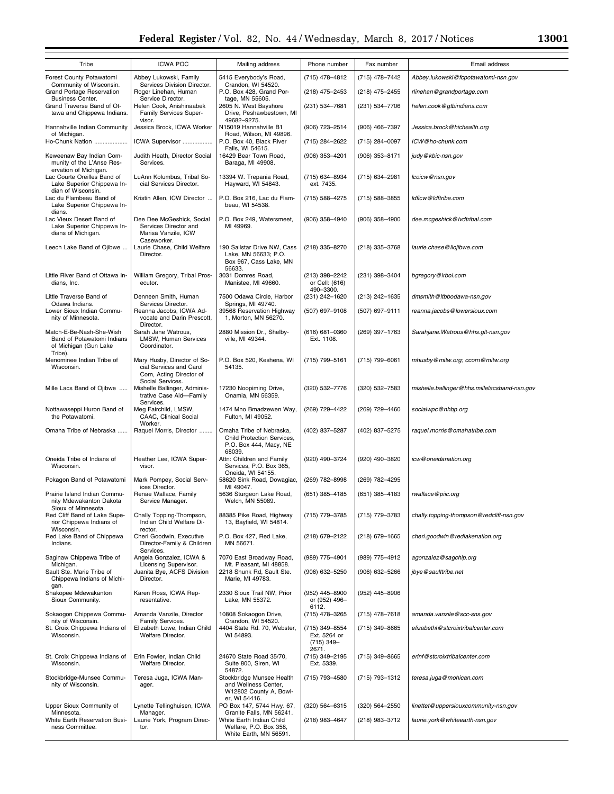| Tribe                                                                                      | <b>ICWA POC</b>                                                                                        | Mailing address                                                                              | Phone number                                            | Fax number       | Email address                                |
|--------------------------------------------------------------------------------------------|--------------------------------------------------------------------------------------------------------|----------------------------------------------------------------------------------------------|---------------------------------------------------------|------------------|----------------------------------------------|
| Forest County Potawatomi                                                                   | Abbey Lukowski, Family                                                                                 | 5415 Everybody's Road,                                                                       | (715) 478-4812                                          | (715) 478-7442   | Abbey.lukowski@fcpotawatomi-nsn.gov          |
| Community of Wisconsin.<br><b>Grand Portage Reservation</b>                                | Services Division Director.<br>Roger Linehan, Human                                                    | Crandon, WI 54520.<br>P.O. Box 428, Grand Por-                                               | (218) 475-2453                                          | (218) 475-2455   | rlinehan@grandportage.com                    |
| Business Center.<br>Grand Traverse Band of Ot-<br>tawa and Chippewa Indians.               | Service Director.<br>Helen Cook, Anishinaabek<br>Family Services Super-                                | tage, MN 55605.<br>2605 N. West Bayshore<br>Drive, Peshawbestown, MI                         | (231) 534-7681                                          | (231) 534-7706   | helen.cook@gtbindians.com                    |
| Hannahville Indian Community<br>of Michigan.                                               | visor.<br>Jessica Brock, ICWA Worker                                                                   | 49682-9275.<br>N15019 Hannahville B1<br>Road, Wilson, MI 49896.                              | (906) 723-2514                                          | (906) 466-7397   | Jessica.brock@hichealth.org                  |
| Ho-Chunk Nation                                                                            | ICWA Supervisor                                                                                        | P.O. Box 40, Black River                                                                     | (715) 284-2622                                          | (715) 284-0097   | ICW@ho-chunk.com                             |
| Keweenaw Bay Indian Com-<br>munity of the L'Anse Res-<br>ervation of Michigan.             | Judith Heath, Director Social<br>Services.                                                             | Falls, WI 54615.<br>16429 Bear Town Road,<br>Baraga, MI 49908.                               | (906) 353-4201                                          | (906) 353-8171   | judy@kbic-nsn.gov                            |
| Lac Courte Oreilles Band of<br>Lake Superior Chippewa In-<br>dian of Wisconsin.            | LuAnn Kolumbus, Tribal So-<br>cial Services Director.                                                  | 13394 W. Trepania Road,<br>Hayward, WI 54843.                                                | (715) 634-8934<br>ext. 7435.                            | (715) 634-2981   | Icoicw@nsn.gov                               |
| Lac du Flambeau Band of<br>Lake Superior Chippewa In-                                      | Kristin Allen, ICW Director                                                                            | P.O. Box 216, Lac du Flam-<br>beau, WI 54538.                                                | (715) 588-4275                                          | (715) 588-3855   | Idficw@Idftribe.com                          |
| dians.<br>Lac Vieux Desert Band of<br>Lake Superior Chippewa In-<br>dians of Michigan.     | Dee Dee McGeshick, Social<br>Services Director and<br>Marisa Vanzile, ICW<br>Caseworker.               | P.O. Box 249, Watersmeet,<br>MI 49969.                                                       | (906) 358-4940                                          | $(906)$ 358-4900 | dee.mcgeshick@lvdtribal.com                  |
| Leech Lake Band of Ojibwe                                                                  | Laurie Chase, Child Welfare<br>Director.                                                               | 190 Sailstar Drive NW, Cass<br>Lake, MN 56633: P.O.<br>Box 967, Cass Lake, MN<br>56633.      | (218) 335-8270                                          | (218) 335-3768   | laurie.chase@llojibwe.com                    |
| Little River Band of Ottawa In-<br>dians, Inc.                                             | William Gregory, Tribal Pros-<br>ecutor.                                                               | 3031 Domres Road,<br>Manistee, MI 49660.                                                     | (213) 398-2242<br>or Cell: (616)<br>490-3300.           | (231) 398-3404   | bgregory@Irboi.com                           |
| Little Traverse Band of<br>Odawa Indians.                                                  | Denneen Smith, Human<br>Services Director.                                                             | 7500 Odawa Circle, Harbor<br>Springs, MI 49740.                                              | (231) 242-1620                                          | (213) 242-1635   | dmsmith@Itbbodawa-nsn.gov                    |
| Lower Sioux Indian Commu-<br>nity of Minnesota.                                            | Reanna Jacobs, ICWA Ad-<br>vocate and Darin Prescott,<br>Director.                                     | 39568 Reservation Highway<br>1, Morton, MN 56270.                                            | (507) 697-9108                                          | (507) 697-9111   | reanna.jacobs@lowersioux.com                 |
| Match-E-Be-Nash-She-Wish<br>Band of Potawatomi Indians<br>of Michigan (Gun Lake<br>Tribe). | Sarah Jane Watrous,<br>LMSW, Human Services<br>Coordinator.                                            | 2880 Mission Dr., Shelby-<br>ville, MI 49344.                                                | $(616) 681 - 0360$<br>Ext. 1108.                        | (269) 397-1763   | Sarahjane. Watrous@hhs.glt-nsn.gov           |
| Menominee Indian Tribe of<br>Wisconsin.                                                    | Mary Husby, Director of So-<br>cial Services and Carol<br>Corn, Acting Director of<br>Social Services. | P.O. Box 520, Keshena, WI<br>54135.                                                          | (715) 799-5161                                          | (715) 799-6061   | mhusby@mitw.org; ccorn@mitw.org              |
| Mille Lacs Band of Ojibwe                                                                  | Mishelle Ballinger, Adminis-<br>trative Case Aid-Family<br>Services.                                   | 17230 Noopiming Drive,<br>Onamia, MN 56359.                                                  | (320) 532-7776                                          | (320) 532-7583   | mishelle.ballinger@hhs.millelacsband-nsn.gov |
| Nottawaseppi Huron Band of<br>the Potawatomi.                                              | Meg Fairchild, LMSW,<br>CAAC, Clinical Social<br>Worker.                                               | 1474 Mno Bmadzewen Way,<br>Fulton, MI 49052.                                                 | (269) 729-4422                                          | (269) 729-4460   | socialwpc@nhbp.org                           |
| Omaha Tribe of Nebraska                                                                    | Raquel Morris, Director                                                                                | Omaha Tribe of Nebraska,<br>Child Protection Services,<br>P.O. Box 444, Macy, NE<br>68039.   | (402) 837-5287                                          | (402) 837-5275   | raquel.morris@omahatribe.com                 |
| Oneida Tribe of Indians of<br>Wisconsin.                                                   | Heather Lee, ICWA Super-<br>visor.                                                                     | Attn: Children and Family<br>Services, P.O. Box 365,<br>Oneida, WI 54155.                    | (920) 490-3724                                          | (920) 490-3820   | icw@oneidanation.org                         |
| Pokagon Band of Potawatomi                                                                 | Mark Pompey, Social Serv-<br>ices Director.                                                            | 58620 Sink Road, Dowagiac,<br>MI 49047.                                                      | (269) 782-8998                                          | (269) 782-4295   |                                              |
| Prairie Island Indian Commu-<br>nity Mdewakanton Dakota<br>Sioux of Minnesota.             | Renae Wallace, Family<br>Service Manager.                                                              | 5636 Sturgeon Lake Road,<br>Welch, MN 55089.                                                 | (651) 385-4185                                          | $(651)$ 385-4183 | rwallace@piic.org                            |
| Red Cliff Band of Lake Supe-<br>rior Chippewa Indians of<br>Wisconsin.                     | Chally Topping-Thompson,<br>Indian Child Welfare Di-<br>rector.                                        | 88385 Pike Road, Highway<br>13, Bayfield, WI 54814.                                          | (715) 779-3785                                          | (715) 779-3783   | chally.topping-thompson@redcliff-nsn.gov     |
| Red Lake Band of Chippewa<br>Indians.                                                      | Cheri Goodwin, Executive<br>Director-Family & Children<br>Services.                                    | P.O. Box 427, Red Lake,<br>MN 56671.                                                         | (218) 679-2122                                          | (218) 679-1665   | cheri.goodwin@redlakenation.org              |
| Saginaw Chippewa Tribe of<br>Michigan.                                                     | Angela Gonzalez, ICWA &<br>Licensing Supervisor.                                                       | 7070 East Broadway Road,<br>Mt. Pleasant, MI 48858.                                          | (989) 775-4901                                          | (989) 775-4912   | agonzalez@sagchip.org                        |
| Sault Ste. Marie Tribe of<br>Chippewa Indians of Michi-<br>gan.                            | Juanita Bye, ACFS Division<br>Director.                                                                | 2218 Shunk Rd. Sault Ste.<br>Marie, MI 49783.                                                | (906) 632-5250                                          | (906) 632-5266   | jbye@saulttribe.net                          |
| Shakopee Mdewakanton<br>Sioux Community.                                                   | Karen Ross, ICWA Rep-<br>resentative.                                                                  | 2330 Sioux Trail NW, Prior<br>Lake, MN 55372.                                                | (952) 445-8900<br>or (952) 496-<br>6112.                | (952) 445-8906   |                                              |
| Sokaogon Chippewa Commu-                                                                   | Amanda Vanzile, Director                                                                               | 10808 Sokaogon Drive,                                                                        | (715) 478-3265                                          | (715) 478-7618   | amanda.vanzile@scc-sns.gov                   |
| nity of Wisconsin.<br>St. Croix Chippewa Indians of<br>Wisconsin.                          | Family Services.<br>Elizabeth Lowe, Indian Child<br>Welfare Director.                                  | Crandon, WI 54520.<br>4404 State Rd. 70, Webster,<br>WI 54893.                               | (715) 349-8554<br>Ext. 5264 or<br>$(715)$ 349-<br>2671. | (715) 349-8665   | elizabethl@stcroixtribalcenter.com           |
| St. Croix Chippewa Indians of<br>Wisconsin.                                                | Erin Fowler, Indian Child<br>Welfare Director.                                                         | 24670 State Road 35/70,<br>Suite 800, Siren, WI<br>54872.                                    | (715) 349-2195<br>Ext. 5339.                            | (715) 349-8665   | erinf@stcroixtribalcenter.com                |
| Stockbridge-Munsee Commu-<br>nity of Wisconsin.                                            | Teresa Juga, ICWA Man-<br>ager.                                                                        | Stockbridge Munsee Health<br>and Wellness Center,<br>W12802 County A, Bowl-<br>er, WI 54416. | (715) 793-4580                                          | (715) 793-1312   | teresa.juga@mohican.com                      |
| Upper Sioux Community of<br>Minnesota.                                                     | Lynette Tellinghuisen, ICWA<br>Manager.                                                                | PO Box 147, 5744 Hwy. 67,<br>Granite Falls, MN 56241.                                        | (320) 564-6315                                          | (320) 564-2550   | linettet@uppersiouxcommunity-nsn.gov         |
| White Earth Reservation Busi-<br>ness Committee.                                           | Laurie York, Program Direc-<br>tor.                                                                    | White Earth Indian Child<br>Welfare, P.O. Box 358,<br>White Earth, MN 56591.                 | (218) 983-4647                                          | (218) 983-3712   | laurie.york@whiteearth-nsn.gov               |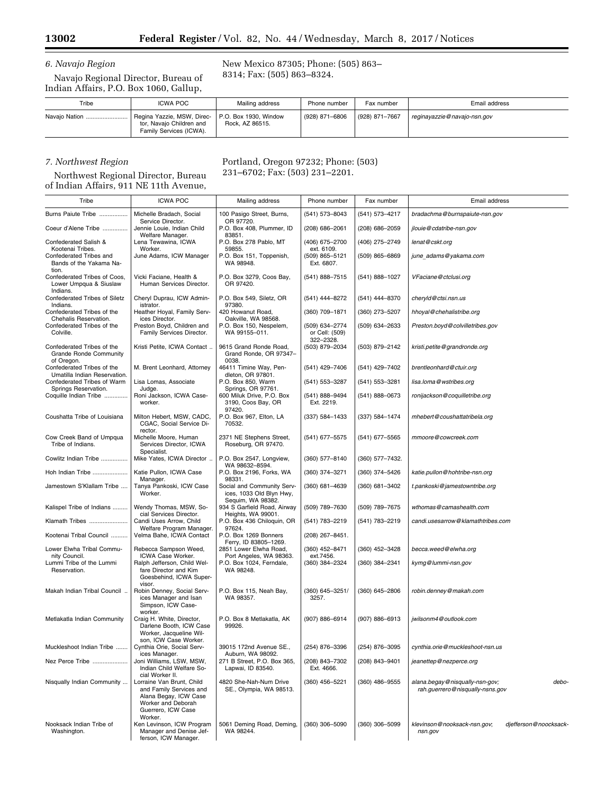# *6. Navajo Region*

Navajo Regional Director, Bureau of Indian Affairs, P.O. Box 1060, Gallup,

New Mexico 87305; Phone: (505) 863– 8314; Fax: (505) 863–8324.

| Tribe         | <b>ICWA POC</b>                                                                   | Mailing address                          | Phone number   | Fax number     | Email address               |
|---------------|-----------------------------------------------------------------------------------|------------------------------------------|----------------|----------------|-----------------------------|
| Navajo Nation | Regina Yazzie, MSW, Direc-<br>tor, Navajo Children and<br>Family Services (ICWA). | P.O. Box 1930, Window<br>Rock. AZ 86515. | (928) 871-6806 | (928) 871-7667 | reginayazzie@navajo-nsn.gov |

## *7. Northwest Region*

Northwest Regional Director, Bureau of Indian Affairs, 911 NE 11th Avenue,

## Portland, Oregon 97232; Phone: (503) 231–6702; Fax: (503) 231–2201.

| Tribe                                                                           | <b>ICWA POC</b>                                                                                                                      | Mailing address                                           | Phone number                                  | Fax number         | Email address                                                              |
|---------------------------------------------------------------------------------|--------------------------------------------------------------------------------------------------------------------------------------|-----------------------------------------------------------|-----------------------------------------------|--------------------|----------------------------------------------------------------------------|
| Burns Paiute Tribe                                                              | Michelle Bradach, Social<br>Service Director.                                                                                        | 100 Pasigo Street, Burns,<br>OR 97720.                    | (541) 573-8043                                | (541) 573-4217     | bradachma@burnspaiute-nsn.gov                                              |
| Coeur d'Alene Tribe                                                             | Jennie Louie, Indian Child<br>Welfare Manager.                                                                                       | P.O. Box 408, Plummer, ID<br>83851.                       | $(208)$ 686-2061                              | (208) 686-2059     | jlouie@cdatribe-nsn.gov                                                    |
| Confederated Salish &                                                           | Lena Tewawina, ICWA                                                                                                                  | P.O. Box 278 Pablo, MT                                    | (406) 675-2700                                | (406) 275-2749     | lenat@cskt.org                                                             |
| Kootenai Tribes.<br>Confederated Tribes and<br>Bands of the Yakama Na-<br>tion. | Worker.<br>June Adams, ICW Manager                                                                                                   | 59855.<br>P.O. Box 151, Toppenish,<br>WA 98948.           | ext. 6109.<br>(509) 865-5121<br>Ext. 6807.    | (509) 865-6869     | june adams@yakama.com                                                      |
| Confederated Tribes of Coos,<br>Lower Umpqua & Siuslaw<br>Indians.              | Vicki Faciane, Health &<br>Human Services Director.                                                                                  | P.O. Box 3279, Coos Bay,<br>OR 97420.                     | (541) 888-7515                                | (541) 888-1027     | VFaciane@ctclusi.org                                                       |
| Confederated Tribes of Siletz<br>Indians.                                       | Cheryl Duprau, ICW Admin-<br>istrator.                                                                                               | P.O. Box 549, Siletz, OR<br>97380.                        | (541) 444-8272                                | (541) 444-8370     | cheryld@ctsi.nsn.us                                                        |
| Confederated Tribes of the<br>Chehalis Reservation.                             | Heather Hoyal, Family Serv-<br>ices Director.                                                                                        | 420 Howanut Road,<br>Oakville, WA 98568.                  | (360) 709-1871                                | (360) 273-5207     | hhoyal@chehalistribe.org                                                   |
| Confederated Tribes of the<br>Colville.                                         | Preston Boyd, Children and<br>Family Services Director.                                                                              | P.O. Box 150, Nespelem,<br>WA 99155-011.                  | (509) 634-2774<br>or Cell: (509)<br>322-2328. | (509) 634-2633     | Preston.boyd@colvilletribes.gov                                            |
| Confederated Tribes of the<br><b>Grande Ronde Community</b><br>of Oregon.       | Kristi Petite, ICWA Contact                                                                                                          | 9615 Grand Ronde Road,<br>Grand Ronde, OR 97347-<br>0038. | (503) 879-2034                                | (503) 879-2142     | kristi.petite@grandronde.org                                               |
| Confederated Tribes of the<br>Umatilla Indian Reservation.                      | M. Brent Leonhard, Attorney                                                                                                          | 46411 Timine Way, Pen-<br>dleton, OR 97801.               | (541) 429-7406                                | (541) 429-7402     | brentleonhard@ctuir.org                                                    |
| Confederated Tribes of Warm<br>Springs Reservation.                             | Lisa Lomas, Associate<br>Judge.                                                                                                      | P.O. Box 850, Warm<br>Springs, OR 97761.                  | (541) 553-3287                                | $(541) 553 - 3281$ | lisa.loma@wstribes.org                                                     |
| Coquille Indian Tribe                                                           | Roni Jackson, ICWA Case-<br>worker.                                                                                                  | 600 Miluk Drive, P.O. Box<br>3190, Coos Bay, OR<br>97420. | (541) 888-9494<br>Ext. 2219.                  | (541) 888-0673     | ronijackson@coquilletribe.org                                              |
| Coushatta Tribe of Louisiana                                                    | Milton Hebert, MSW, CADC,<br>CGAC, Social Service Di-<br>rector.                                                                     | P.O. Box 967, Elton, LA<br>70532.                         | (337) 584-1433                                | (337) 584-1474     | mhebert@coushattatribela.org                                               |
| Cow Creek Band of Umpqua<br>Tribe of Indians.                                   | Michelle Moore, Human<br>Services Director, ICWA<br>Specialist.                                                                      | 2371 NE Stephens Street,<br>Roseburg, OR 97470.           | (541) 677-5575                                | (541) 677-5565     | mmoore@cowcreek.com                                                        |
| Cowlitz Indian Tribe                                                            | Mike Yates, ICWA Director                                                                                                            | P.O. Box 2547, Longview,<br>WA 98632-8594.                | $(360)$ 577-8140                              | (360) 577-7432.    |                                                                            |
| Hoh Indian Tribe                                                                | Katie Pullon, ICWA Case<br>Manager.                                                                                                  | P.O. Box 2196, Forks, WA<br>98331.                        | (360) 374-3271                                | (360) 374-5426     | katie.pullon@hohtribe-nsn.org                                              |
| Jamestown S'Klallam Tribe                                                       | Tanya Pankoski, ICW Case<br>Worker.                                                                                                  | Social and Community Serv-<br>ices, 1033 Old Blyn Hwy,    | (360) 681-4639                                | (360) 681-3402     | t.pankoski@jamestowntribe.org                                              |
| Kalispel Tribe of Indians                                                       | Wendy Thomas, MSW, So-<br>cial Services Director.                                                                                    | Sequim, WA 98382.<br>934 S Garfield Road, Airway          | (509) 789-7630                                | (509) 789-7675     | wthomas@camashealth.com                                                    |
| Klamath Tribes                                                                  | Candi Uses Arrow, Child                                                                                                              | Heights, WA 99001.<br>P.O. Box 436 Chiloquin, OR          | (541) 783-2219                                | (541) 783-2219     | candi.usesarrow@klamathtribes.com                                          |
| Kootenai Tribal Council                                                         | Welfare Program Manager.<br>Velma Bahe, ICWA Contact                                                                                 | 97624.<br>P.O. Box 1269 Bonners<br>Ferry, ID 83805-1269.  | (208) 267-8451.                               |                    |                                                                            |
| Lower Elwha Tribal Commu-<br>nity Council.                                      | Rebecca Sampson Weed,<br>ICWA Case Worker.                                                                                           | 2851 Lower Elwha Road,<br>Port Angeles, WA 98363.         | (360) 452-8471<br>ext.7456.                   | (360) 452-3428     | becca.weed@elwha.org                                                       |
| Lummi Tribe of the Lummi<br>Reservation.                                        | Ralph Jefferson, Child Wel-<br>fare Director and Kim<br>Goesbehind, ICWA Super-<br>visor.                                            | P.O. Box 1024, Ferndale,<br>WA 98248.                     | (360) 384-2324                                | (360) 384-2341     | kymg@lummi-nsn.gov                                                         |
| Makah Indian Tribal Council                                                     | Robin Denney, Social Serv-<br>ices Manager and Isan<br>Simpson, ICW Case-<br>worker.                                                 | P.O. Box 115, Neah Bay,<br>WA 98357.                      | (360) 645-3251/<br>3257.                      | (360) 645-2806     | robin.denney@makah.com                                                     |
| Metlakatla Indian Community                                                     | Craig H. White, Director,<br>Darlene Booth, ICW Case<br>Worker, Jacqueline Wil-<br>son, ICW Case Worker.                             | P.O. Box 8 Metlakatla, AK<br>99926.                       | (907) 886-6914                                | (907) 886-6913     | jwilsonm4@outlook.com                                                      |
| Muckleshoot Indian Tribe                                                        | Cynthia Orie, Social Serv-                                                                                                           | 39015 172nd Avenue SE.,<br>Auburn, WA 98092.              | (254) 876-3396                                | (254) 876-3095     | cynthia.orie@muckleshoot-nsn.us                                            |
| Nez Perce Tribe                                                                 | ices Manager.<br>Joni Williams, LSW, MSW,<br>Indian Child Welfare So-<br>cial Worker II.                                             | 271 B Street, P.O. Box 365,<br>Lapwai, ID 83540.          | (208) 843-7302<br>Ext. 4666.                  | (208) 843-9401     | jeanettep@nezperce.org                                                     |
| Nisqually Indian Community                                                      | Lorraine Van Brunt, Child<br>and Family Services and<br>Alana Begay, ICW Case<br>Worker and Deborah<br>Guerrero, ICW Case<br>Worker. | 4820 She-Nah-Num Drive<br>SE., Olympia, WA 98513.         | (360) 456-5221                                | (360) 486-9555     | alana.begay@nisqually-nsn-gov;<br>debo-<br>rah.guerrero@nisqually-nsns.gov |
| Nooksack Indian Tribe of<br>Washington.                                         | Ken Levinson, ICW Program<br>Manager and Denise Jef-<br>ferson, ICW Manager.                                                         | 5061 Deming Road, Deming,<br>WA 98244.                    | (360) 306-5090                                | (360) 306-5099     | djefferson@noocksack-<br>klevinson@nooksack-nsn.gov;<br>nsn.gov            |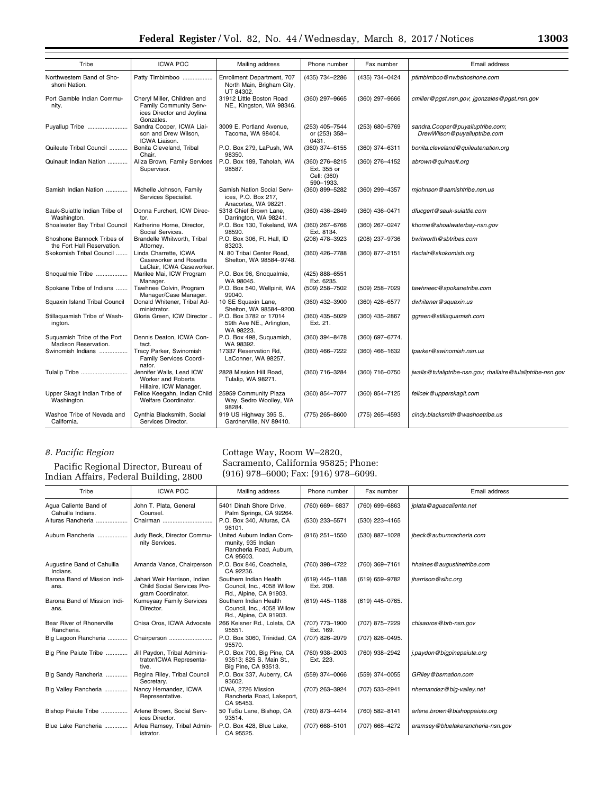| Tribe                                                    | <b>ICWA POC</b>                                                                                 | Mailing address                                                           | Phone number                                              | Fax number      | Email address                                                    |
|----------------------------------------------------------|-------------------------------------------------------------------------------------------------|---------------------------------------------------------------------------|-----------------------------------------------------------|-----------------|------------------------------------------------------------------|
| Northwestern Band of Sho-<br>shoni Nation.               | Patty Timbimboo                                                                                 | Enrollment Department, 707<br>North Main, Brigham City,<br>UT 84302.      | (435) 734-2286                                            | (435) 734-0424  | ptimbimboo@nwbshoshone.com                                       |
| Port Gamble Indian Commu-<br>nity.                       | Cheryl Miller, Children and<br>Family Community Serv-<br>ices Director and Joylina<br>Gonzales. | 31912 Little Boston Road<br>NE., Kingston, WA 98346.                      | (360) 297-9665                                            | (360) 297-9666  | cmiller@pgst.nsn.gov; jgonzales@pgst.nsn.gov                     |
| Puyallup Tribe                                           | Sandra Cooper, ICWA Liai-<br>son and Drew Wilson,<br>ICWA Liaison.                              | 3009 E. Portland Avenue,<br>Tacoma, WA 98404.                             | (253) 405-7544<br>or (253) 358-<br>0431.                  | (253) 680-5769  | sandra.Cooper@puyalluptribe.com;<br>DrewWilson@puyalluptribe.com |
| Quileute Tribal Council                                  | Bonita Cleveland, Tribal<br>Chair.                                                              | P.O. Box 279, LaPush, WA<br>98350.                                        | (360) 374-6155                                            | (360) 374-6311  | bonita.cleveland@quileutenation.org                              |
| Quinault Indian Nation                                   | Aliza Brown, Family Services<br>Supervisor.                                                     | P.O. Box 189, Taholah, WA<br>98587.                                       | (360) 276-8215<br>Ext. 355 or<br>Cell: (360)<br>590-1933. | (360) 276-4152  | abrown@quinault.org                                              |
| Samish Indian Nation                                     | Michelle Johnson, Family<br>Services Specialist.                                                | Samish Nation Social Serv-<br>ices, P.O. Box 217,<br>Anacortes, WA 98221. | (360) 899-5282                                            | (360) 299-4357  | mjohnson@samishtribe.nsn.us                                      |
| Sauk-Suiattle Indian Tribe of<br>Washington.             | Donna Furchert, ICW Direc-<br>tor.                                                              | 5318 Chief Brown Lane,<br>Darrington, WA 98241.                           | (360) 436-2849                                            | (360) 436-0471  | dfucgert@sauk-suiattle.com                                       |
| Shoalwater Bay Tribal Council                            | Katherine Horne, Director,<br>Social Services.                                                  | P.O. Box 130, Tokeland, WA<br>98590.                                      | $(360)$ 267-6766<br>Ext. 8134.                            | (360) 267-0247  | khorne@shoalwaterbay-nsn.gov                                     |
| Shoshone Bannock Tribes of<br>the Fort Hall Reservation. | Brandelle Whitworth, Tribal<br>Attorney.                                                        | P.O. Box 306, Ft. Hall, ID<br>83203.                                      | (208) 478-3923                                            | (208) 237-9736  | bwitworth@sbtribes.com                                           |
| Skokomish Tribal Council                                 | Linda Charrette, ICWA<br>Caseworker and Rosetta<br>LaClair, ICWA Caseworker.                    | N. 80 Tribal Center Road,<br>Shelton, WA 98584-9748.                      | (360) 426-7788                                            | (360) 877-2151  | rlaclair@skokomish.org                                           |
| Snoqualmie Tribe                                         | Marilee Mai, ICW Program<br>Manager.                                                            | P.O. Box 96, Snoqualmie,<br>WA 98045.                                     | (425) 888-6551<br>Ext. 6235.                              |                 |                                                                  |
| Spokane Tribe of Indians                                 | Tawhnee Colvin, Program<br>Manager/Case Manager.                                                | P.O. Box 540, Wellpinit, WA<br>99040.                                     | (509) 258-7502                                            | (509) 258-7029  | tawhneec@spokanetribe.com                                        |
| Squaxin Island Tribal Council                            | Donald Whitener, Tribal Ad-<br>ministrator.                                                     | 10 SE Squaxin Lane,<br>Shelton, WA 98584-9200.                            | (360) 432-3900                                            | (360) 426-6577  | dwhitener@squaxin.us                                             |
| Stillaquamish Tribe of Wash-<br>ington.                  | Gloria Green, ICW Director                                                                      | P.O. Box 3782 or 17014<br>59th Ave NE., Arlington,<br>WA 98223.           | (360) 435-5029<br>Ext. 21.                                | (360) 435-2867  | ggreen@stillaguamish.com                                         |
| Suguamish Tribe of the Port<br>Madison Reservation.      | Dennis Deaton, ICWA Con-<br>tact.                                                               | P.O. Box 498, Suguamish,<br>WA 98392.                                     | (360) 394-8478                                            | (360) 697-6774. |                                                                  |
| Swinomish Indians                                        | Tracy Parker, Swinomish<br>Family Services Coordi-<br>nator.                                    | 17337 Reservation Rd,<br>LaConner, WA 98257.                              | (360) 466-7222                                            | (360) 466-1632  | tparker@swinomish.nsn.us                                         |
| Tulalip Tribe                                            | Jennifer Walls, Lead ICW<br>Worker and Roberta<br>Hillaire, ICW Manager.                        | 2828 Mission Hill Road,<br>Tulalip, WA 98271.                             | (360) 716-3284                                            | (360) 716-0750  | jwalls@tulaliptribe-nsn.gov; rhallaire@tulaliptribe-nsn.gov      |
| Upper Skagit Indian Tribe of<br>Washington.              | Felice Keegahn, Indian Child<br>Welfare Coordinator.                                            | 25959 Community Plaza<br>Way, Sedro Woolley, WA<br>98284.                 | (360) 854-7077                                            | (360) 854-7125  | felicek@upperskagit.com                                          |
| Washoe Tribe of Nevada and<br>California.                | Cynthia Blacksmith, Social<br>Services Director.                                                | 919 US Highway 395 S.,<br>Gardnerville, NV 89410.                         | (775) 265-8600                                            | (775) 265-4593  | cindy.blacksmith@washoetribe.us                                  |

# *8. Pacific Region*

Pacific Regional Director, Bureau of Indian Affairs, Federal Building, 2800

## Cottage Way, Room W–2820, Sacramento, California 95825; Phone: (916) 978–6000; Fax: (916) 978–6099.

| Tribe                                      | <b>ICWA POC</b>                                                                 | Mailing address                                                                         | Phone number                  | Fax number      | Email address                     |
|--------------------------------------------|---------------------------------------------------------------------------------|-----------------------------------------------------------------------------------------|-------------------------------|-----------------|-----------------------------------|
| Agua Caliente Band of<br>Cahuilla Indians. | John T. Plata, General<br>Counsel.                                              | 5401 Dinah Shore Drive,<br>Palm Springs, CA 92264.                                      | (760) 669-6837                | (760) 699-6863  | jplata@aquacaliente.net           |
| Alturas Rancheria                          | Chairman                                                                        | P.O. Box 340, Alturas, CA<br>96101.                                                     | (530) 233-5571                | (530) 223-4165  |                                   |
| Auburn Rancheria                           | Judy Beck, Director Commu-<br>nity Services.                                    | United Auburn Indian Com-<br>munity, 935 Indian<br>Rancheria Road, Auburn,<br>CA 95603. | $(916)$ 251-1550              | (530) 887-1028  | jbeck@auburnracheria.com          |
| Augustine Band of Cahuilla<br>Indians.     | Amanda Vance, Chairperson                                                       | P.O. Box 846, Coachella,<br>CA 92236.                                                   | (760) 398-4722                | (760) 369-7161  | hhaines@augustinetribe.com        |
| Barona Band of Mission Indi-<br>ans.       | Jahari Weir Harrison, Indian<br>Child Social Services Pro-<br>gram Coordinator. | Southern Indian Health<br>Council, Inc., 4058 Willow<br>Rd., Alpine, CA 91903.          | $(619)$ 445-1188<br>Ext. 208. | (619) 659-9782  | jharrison@sihc.org                |
| Barona Band of Mission Indi-<br>ans.       | Kumeyaay Family Services<br>Director.                                           | Southern Indian Health<br>Council, Inc., 4058 Willow<br>Rd., Alpine, CA 91903.          | $(619)$ 445-1188              | (619) 445-0765. |                                   |
| Bear River of Rhonerville<br>Rancheria.    | Chisa Oros, ICWA Advocate                                                       | 266 Keisner Rd., Loleta, CA<br>95551.                                                   | (707) 773-1900<br>Ext. 169.   | (707) 875-7229  | chisaoros@brb-nsn.gov             |
| Big Lagoon Rancheria                       | Chairperson                                                                     | P.O. Box 3060, Trinidad, CA<br>95570.                                                   | (707) 826-2079                | (707) 826-0495. |                                   |
| Big Pine Paiute Tribe                      | Jill Paydon, Tribal Adminis-<br>trator/ICWA Representa-<br>tive.                | P.O. Box 700, Big Pine, CA<br>93513: 825 S. Main St<br>Big Pine, CA 93513.              | (760) 938-2003<br>Ext. 223.   | (760) 938-2942  | j.paydon@bigpinepaiute.org        |
| Big Sandy Rancheria                        | Regina Riley, Tribal Council<br>Secretary.                                      | P.O. Box 337, Auberry, CA<br>93602.                                                     | (559) 374-0066                | (559) 374-0055  | GRiley@bsrnation.com              |
| Big Valley Rancheria                       | Nancy Hernandez, ICWA<br>Representative.                                        | ICWA. 2726 Mission<br>Rancheria Road, Lakeport,<br>CA 95453.                            | (707) 263-3924                | (707) 533-2941  | nhernandez@big-valley.net         |
| Bishop Paiute Tribe                        | Arlene Brown, Social Serv-<br>ices Director.                                    | 50 TuSu Lane, Bishop, CA<br>93514.                                                      | (760) 873-4414                | (760) 582-8141  | arlene.brown@bishoppaiute.org     |
| Blue Lake Rancheria                        | Arlea Ramsey, Tribal Admin-<br>istrator.                                        | P.O. Box 428, Blue Lake,<br>CA 95525.                                                   | (707) 668-5101                | (707) 668-4272  | aramsey@bluelakerancheria-nsn.gov |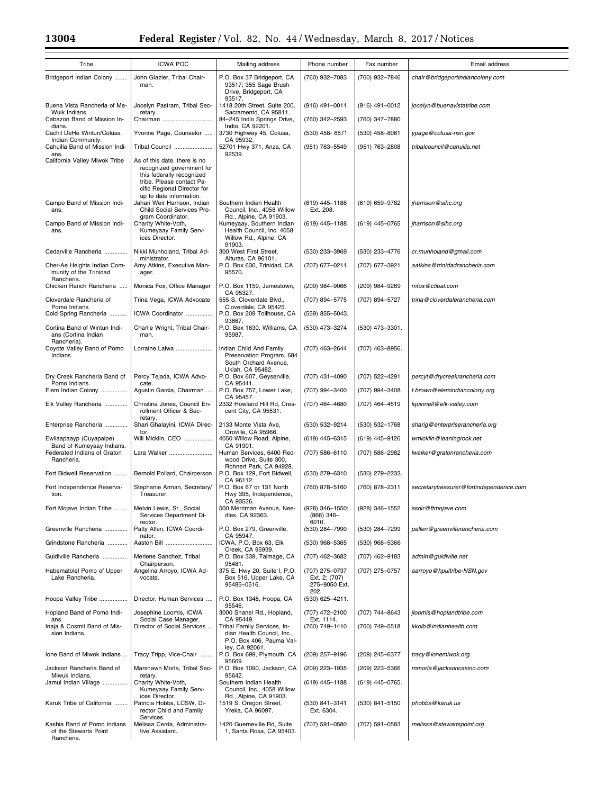| Tribe                                                               | <b>ICWA POC</b>                                                                                                                                                               | Mailing address                                                                                    | Phone number                                     | Fax number       | Email address                           |
|---------------------------------------------------------------------|-------------------------------------------------------------------------------------------------------------------------------------------------------------------------------|----------------------------------------------------------------------------------------------------|--------------------------------------------------|------------------|-----------------------------------------|
| Bridgeport Indian Colony                                            | John Glazier, Tribal Chair-<br>man.                                                                                                                                           | P.O. Box 37 Bridgeport, CA<br>93517; 355 Sage Brush<br>Drive, Bridgeport, CA                       | (760) 932-7083                                   | (760) 932-7846   | chair@bridgeportindiancolony.com        |
| Buena Vista Rancheria of Me-<br>Wuik Indians.                       | Jocelyn Pastram, Tribal Sec-<br>retary.                                                                                                                                       | 93517.<br>1418 20th Street, Suite 200,<br>Sacramento, CA 95811.                                    | $(916)$ 491-0011                                 | $(916)$ 491-0012 | jocelyn@buenavistatribe.com             |
| Cabazon Band of Mission In-<br>dians.                               | Chairman                                                                                                                                                                      | 84-245 Indio Springs Drive,<br>Indio, CA 92201.                                                    | (760) 342-2593                                   | (760) 347-7880   |                                         |
| Cachil DeHe Wintun/Colusa                                           | Yvonne Page, Counselor                                                                                                                                                        | 3730 Highway 45, Colusa,<br>CA 95932.                                                              | (530) 458-6571                                   | $(530)$ 458-8061 | ypage@colusa-nsn.gov                    |
| Indian Community.<br>Cahuilla Band of Mission Indi-                 | Tribal Council                                                                                                                                                                | 52701 Hwy 371, Anza, CA                                                                            | (951) 763-5549                                   | (951) 763-2808   | tribalcouncil@cahuilla.net              |
| ans.<br>California Valley Miwok Tribe                               | As of this date, there is no<br>recognized government for<br>this federally recognized<br>tribe. Please contact Pa-<br>cific Regional Director for<br>up to date information. | 92539.                                                                                             |                                                  |                  |                                         |
| Campo Band of Mission Indi-<br>ans.                                 | Jahari Weir Harrison, Indian<br>Child Social Services Pro-<br>gram Coordinator.                                                                                               | Southern Indian Health<br>Council, Inc., 4058 Willow<br>Rd., Alpine, CA 91903.                     | $(619)$ 445-1188<br>Ext. 208.                    | (619) 659-9782   | jharrison@sihc.org                      |
| Campo Band of Mission Indi-<br>ans.                                 | Charity White-Voth,<br>Kumeyaay Family Serv-<br>ices Director.                                                                                                                | Kumeyaay, Southern Indian<br>Health Council, Inc. 4058<br>Willow Rd., Alpine, CA<br>91903.         | (619) 445-1188                                   | (619) 445-0765   | jharrison@sihc.org                      |
| Cedarville Rancheria                                                | Nikki Munholand, Tribal Ad-<br>ministrator.                                                                                                                                   | 300 West First Street,<br>Alturas, CA 96101.                                                       | (530) 233-3969                                   | (530) 233-4776   | cr.munholand@gmail.com                  |
| Cher-Ae Heights Indian Com-<br>munity of the Trinidad<br>Rancheria. | Amy Atkins, Executive Man-<br>ager.                                                                                                                                           | P.O. Box 630, Trinidad, CA<br>95570.                                                               | (707) 677-0211                                   | (707) 677-3921   | aatkins@trinidadrancheria.com           |
| Chicken Ranch Rancheria                                             | Monica Fox, Office Manager                                                                                                                                                    | P.O. Box 1159, Jamestown,<br>CA 95327.                                                             | $(209)$ 984-9066                                 | (209) 984-9269   | mfox@ctibal.com                         |
| Cloverdale Rancheria of<br>Pomo Indians.                            | Trina Vega, ICWA Advocate                                                                                                                                                     | 555 S. Cloverdale Blvd.,<br>Cloverdale, CA 95425.                                                  | (707) 894-5775                                   | (707) 894-5727   | trina@cloverdalerancheria.com           |
| Cold Spring Rancheria                                               | ICWA Coordinator                                                                                                                                                              | P.O. Box 209 Tollhouse, CA<br>93667.                                                               | (559) 855-5043.                                  |                  |                                         |
| Cortina Band of Wintun Indi-<br>ans (Cortina Indian<br>Rancheria).  | Charlie Wright, Tribal Chair-<br>man.                                                                                                                                         | P.O. Box 1630, Williams, CA<br>95987.                                                              | (530) 473-3274                                   | (530) 473-3301.  |                                         |
| Coyote Valley Band of Pomo<br>Indians.                              | Lorraine Laiwa                                                                                                                                                                | Indian Child And Family<br>Preservation Program, 684<br>South Orchard Avenue,<br>Ukiah, CA 95482.  | (707) 463-2644                                   | (707) 463-8956.  |                                         |
| Dry Creek Rancheria Band of<br>Pomo Indians.                        | Percy Tejada, ICWA Advo-<br>cate.                                                                                                                                             | P.O. Box 607, Geyserville,<br>CA 95441.                                                            | (707) 431-4090                                   | (707) 522-4291   | percyt@drycreekrancheria.com            |
| Elem Indian Colony                                                  | Agustin Garcia, Chairman                                                                                                                                                      | P.O. Box 757, Lower Lake,<br>CA 95457.                                                             | (707) 994-3400                                   | (707) 994-3408   | t.brown@elemindiancolony.org            |
| Elk Valley Rancheria                                                | Christina Jones, Council En-<br>rollment Officer & Sec-<br>retary.                                                                                                            | 2332 Howland Hill Rd, Cres-<br>cent City, CA 95531.                                                | (707) 464-4680                                   | (707) 464-4519   | lquinnell@elk-valley.com                |
| Enterprise Rancheria                                                | Shari Ghalayini, ICWA Direc-<br>tor.                                                                                                                                          | 2133 Monte Vista Ave,<br>Oroville, CA 95966.                                                       | (530) 532-9214                                   | (530) 532-1768   | sharig@enterpriserancheria.org          |
| Ewiiaapaayp (Cuyapaipe)<br>Band of Kumeyaay Indians.                | Will Micklin, CEO                                                                                                                                                             | 4050 Willow Road, Alpine,<br>CA 91901.                                                             | $(619)$ 445-6315                                 | (619) 445-9126   | wmicklin@leaningrock.net                |
| Federated Indians of Graton<br>Rancheria.                           | Lara Walker                                                                                                                                                                   | Human Services, 6400 Red-<br>wood Drive, Suite 300,<br>Rohnert Park, CA 94928.                     | (707) 586-6110                                   | (707) 586-2982   | lwalker@gratonrancheria.com             |
| Fort Bidwell Reservation                                            | Bernold Pollard, Chairperson                                                                                                                                                  | P.O. Box 129, Fort Bidwell,<br>CA 96112.                                                           | (530) 279-6310                                   | (530) 279-2233.  |                                         |
| Fort Independence Reserva-<br>tion.                                 | Stephanie Arman, Secretary/<br>Treasurer.                                                                                                                                     | P.O. Box 67 or 131 North<br>Hwy 395, Independence,<br>CA 93526.                                    | (760) 878-5160                                   | (760) 878-2311   | secretarytreasurer@fortindependence.com |
| Fort Mojave Indian Tribe                                            | Melvin Lewis, Sr., Social<br>Services Department Di-<br>rector.                                                                                                               | 500 Merriman Avenue, Nee-<br>dles, CA 92363.                                                       | (928) 346-1550;<br>$(866)$ 346-<br>6010.         | (928) 346-1552   | ssdir@ftmojave.com                      |
| Greenville Rancheria                                                | Patty Allen, ICWA Coordi-<br>nator.                                                                                                                                           | P.O. Box 279, Greenville,<br>CA 95947.                                                             | (530) 284-7990                                   | (530) 284-7299   | pallen@greenvillerancheria.com          |
| Grindstone Rancheria                                                | Aaston Bill                                                                                                                                                                   | ICWA, P.O. Box 63, Elk<br>Creek, CA 95939.                                                         | (530) 968-5365                                   | (530) 968-5366   |                                         |
| Guidiville Rancheria                                                | Merlene Sanchez, Tribal<br>Chairperson.                                                                                                                                       | P.O. Box 339, Talmage, CA<br>95481.                                                                | (707) 462-3682                                   | (707) 462-9183   | admin@guidiville.net                    |
| Habematolel Pomo of Upper<br>Lake Rancheria.                        | Angelina Arroyo, ICWA Ad-<br>vocate.                                                                                                                                          | 375 E. Hwy 20, Suite I, P.O.<br>Box 516, Upper Lake, CA<br>95485-0516.                             | (707) 275-0737<br>Ext. 2; (707)<br>275-9050 Ext. | (707) 275-0757   | aarroyo@hpultribe-NSN.gov               |
| Hoopa Valley Tribe                                                  | Director, Human Services                                                                                                                                                      | P.O. Box 1348, Hoopa, CA                                                                           | 202.<br>(530) 625-4211.                          |                  |                                         |
| Hopland Band of Pomo Indi-                                          | Josephine Loomis, ICWA                                                                                                                                                        | 95546.<br>3000 Shanel Rd., Hopland,                                                                | (707) 472-2100                                   | (707) 744-8643   | jloomis@hoplandtribe.com                |
| ans.<br>Inaja & Cosmit Band of Mis-<br>sion Indians.                | Social Case Manager.<br>Director of Social Services                                                                                                                           | CA 95449.<br>Tribal Family Services, In-<br>dian Health Council, Inc.,<br>P.O. Box 406, Pauma Val- | Ext. 1114.<br>(760) 749-1410                     | (760) 749-5518   | kkolb@indianhealth.com                  |
| lone Band of Miwok Indians                                          | Tracy Tripp, Vice-Chair                                                                                                                                                       | ley, CA 92061.<br>P.O. Box 699, Plymouth, CA                                                       | (209) 257-9196                                   | (209) 245-6377   | tracy@ionemiwok.org                     |
| Jackson Rancheria Band of                                           | Marshawn Morla, Tribal Sec-                                                                                                                                                   | 95669.<br>P.O. Box 1090, Jackson, CA                                                               | (209) 223-1935                                   | (209) 223-5366   | mmorla@jacksoncasino.com                |
| Miwuk Indians.<br>Jamul Indian Village                              | retary.<br>Charity White-Voth,<br>Kumeyaay Family Serv-<br>ices Director.                                                                                                     | 95642.<br>Southern Indian Health<br>Council, Inc., 4058 Willow<br>Rd., Alpine, CA 91903.           | (619) 445-1188                                   | (619) 445-0765.  |                                         |
| Karuk Tribe of California                                           | Patricia Hobbs, LCSW, Di-<br>rector Child and Family<br>Services.                                                                                                             | 1519 S. Oregon Street,<br>Yreka, CA 96097.                                                         | (530) 841-3141<br>Ext. 6304.                     | (530) 841-5150   | phobbs@karuk.us                         |
| Kashia Band of Pomo Indians<br>of the Stewarts Point<br>Rancheria.  | Melissa Cerda, Administra-<br>tive Assistant.                                                                                                                                 | 1420 Guerneville Rd, Suite<br>1, Santa Rosa, CA 95403.                                             | (707) 591-0580                                   | (707) 591-0583   | melissa@stewartspoint.org               |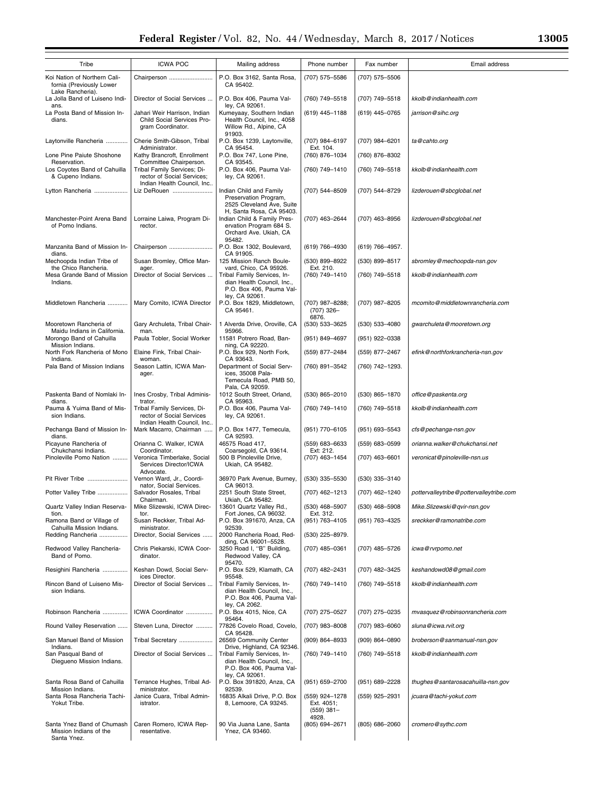|                                                                              |                                                                                         | <b>rederal Register</b> /VOI. 62, INO. 44/Wednesday, March 6, 2017/INOUCes                                |                                          |                 | 19009                            |
|------------------------------------------------------------------------------|-----------------------------------------------------------------------------------------|-----------------------------------------------------------------------------------------------------------|------------------------------------------|-----------------|----------------------------------|
| Tribe                                                                        | <b>ICWA POC</b>                                                                         | Mailing address                                                                                           | Phone number                             | Fax number      | Email address                    |
| Koi Nation of Northern Cali-<br>fornia (Previously Lower<br>Lake Rancheria). | Chairperson                                                                             | P.O. Box 3162, Santa Rosa,<br>CA 95402.                                                                   | (707) 575-5586                           | (707) 575-5506  |                                  |
| La Jolla Band of Luiseno Indi-<br>ans.                                       | Director of Social Services                                                             | P.O. Box 406, Pauma Val-<br>ley, CA 92061.                                                                | (760) 749-5518                           | (707) 749–5518  | kkolb@indianhealth.com           |
| La Posta Band of Mission In-<br>dians.                                       | Jahari Weir Harrison, Indian<br>Child Social Services Pro-<br>gram Coordinator.         | Kumeyaay, Southern Indian<br>Health Council, Inc., 4058<br>Willow Rd., Alpine, CA<br>91903.               | $(619)$ 445-1188                         | (619) 445-0765  | jarrison@sihc.org                |
| Laytonville Rancheria                                                        | Cherie Smith-Gibson, Tribal<br>Administrator.                                           | P.O. Box 1239, Laytonville,<br>CA 95454.                                                                  | (707) 984-6197<br>Ext. 104.              | (707) 984-6201  | ta@cahto.org                     |
| Lone Pine Paiute Shoshone<br>Reservation.                                    | Kathy Brancroft, Enrollment<br>Committee Chairperson.                                   | P.O. Box 747, Lone Pine,<br>CA 93545.                                                                     | (760) 876-1034                           | (760) 876-8302  |                                  |
| Los Coyotes Band of Cahuilla<br>& Cupeno Indians.                            | Tribal Family Services; Di-<br>rector of Social Services;<br>Indian Health Council, Inc | P.O. Box 406, Pauma Val-<br>ley, CA 92061.                                                                | (760) 749-1410                           | (760) 749-5518  | kkolb@indianhealth.com           |
| Lytton Rancheria                                                             | Liz DeRouen                                                                             | Indian Child and Family<br>Preservation Program,<br>2525 Cleveland Ave, Suite<br>H, Santa Rosa, CA 95403. | (707) 544-8509                           | (707) 544-8729  | lizderouen@sbcglobal.net         |
| Manchester-Point Arena Band<br>of Pomo Indians.                              | Lorraine Laiwa, Program Di-<br>rector.                                                  | Indian Child & Family Pres-<br>ervation Program 684 S.<br>Orchard Ave. Ukiah, CA<br>95482.                | (707) 463-2644                           | (707) 463-8956  | lizderouen@sbcqlobal.net         |
| Manzanita Band of Mission In-<br>dians.                                      | Chairperson                                                                             | P.O. Box 1302, Boulevard,<br>CA 91905.                                                                    | (619) 766-4930                           | (619) 766-4957. |                                  |
| Mechoopda Indian Tribe of<br>the Chico Rancheria.                            | Susan Bromley, Office Man-<br>ager.                                                     | 125 Mission Ranch Boule-<br>vard, Chico, CA 95926.                                                        | (530) 899-8922<br>Ext. 210.              | (530) 899-8517  | sbromley@mechoopda-nsn.gov       |
| Mesa Grande Band of Mission<br>Indians.                                      | Director of Social Services                                                             | Tribal Family Services, In-<br>dian Health Council, Inc.,<br>P.O. Box 406, Pauma Val-<br>ley, CA 92061.   | (760) 749-1410                           | (760) 749-5518  | kkolb@indianhealth.com           |
| Middletown Rancheria                                                         | Mary Comito, ICWA Director                                                              | P.O. Box 1829, Middletown,<br>CA 95461.                                                                   | (707) 987-8288;<br>$(707)$ 326-<br>6876. | (707) 987-8205  | mcomito@middletownrancheria.com  |
| Mooretown Rancheria of<br>Maidu Indians in California.                       | Gary Archuleta, Tribal Chair-<br>man.                                                   | 1 Alverda Drive, Oroville, CA<br>95966.                                                                   | (530) 533-3625                           | (530) 533-4080  | gwarchuleta@mooretown.org        |
| Morongo Band of Cahuilla<br>Mission Indians.                                 | Paula Tobler, Social Worker                                                             | 11581 Potrero Road, Ban-<br>ning, CA 92220.                                                               | (951) 849-4697                           | (951) 922–0338  |                                  |
| North Fork Rancheria of Mono<br>Indians.                                     | Elaine Fink, Tribal Chair-<br>woman.                                                    | P.O. Box 929, North Fork,<br>CA 93643.                                                                    | (559) 877-2484                           | (559) 877-2467  | efink@northforkrancheria-nsn.gov |
| Pala Band of Mission Indians                                                 | Season Lattin, ICWA Man-<br>ager.                                                       | Department of Social Serv-<br>ices, 35008 Pala-<br>Temecula Road, PMB 50,<br>Pala, CA 92059.              | (760) 891-3542                           | (760) 742-1293. |                                  |
| Paskenta Band of Nomlaki In-<br>dians.                                       | Ines Crosby, Tribal Adminis-<br>trator.                                                 | 1012 South Street, Orland,<br>CA 95963.                                                                   | (530) 865-2010                           | (530) 865-1870  | office@paskenta.org              |
| Pauma & Yuima Band of Mis-<br>sion Indians.                                  | Tribal Family Services, Di-<br>rector of Social Services<br>Indian Health Council, Inc  | P.O. Box 406, Pauma Val-<br>ley, CA 92061.                                                                | (760) 749-1410                           | (760) 749-5518  | kkolb@indianhealth.com           |
| Pechanga Band of Mission In-                                                 | Mark Macarro, Chairman                                                                  | P.O. Box 1477. Temecula.                                                                                  | (951) 770-6105                           | (951) 693-5543  | cfs@pechanga-nsn.gov             |

| Paskenta Band of Nomlaki In-<br>dians.                              | Ines Crosby, Tribal Adminis-<br>trator.                                                  | 1012 South Street, Orland,<br>CA 95963.                                                                 | (530) 865-2010                                        | (530) 865-1870   | office@paskenta.org                     |
|---------------------------------------------------------------------|------------------------------------------------------------------------------------------|---------------------------------------------------------------------------------------------------------|-------------------------------------------------------|------------------|-----------------------------------------|
| Pauma & Yuima Band of Mis-<br>sion Indians.                         | Tribal Family Services, Di-<br>rector of Social Services<br>Indian Health Council, Inc., | P.O. Box 406, Pauma Val-<br>ley, CA 92061.                                                              | (760) 749-1410                                        | (760) 749-5518   | kkolb@indianhealth.com                  |
| Pechanga Band of Mission In-<br>dians.                              | Mark Macarro, Chairman                                                                   | P.O. Box 1477, Temecula,<br>CA 92593.                                                                   | (951) 770-6105                                        | (951) 693-5543   | cfs@pechanga-nsn.gov                    |
| Picayune Rancheria of<br>Chukchansi Indians.                        | Orianna C. Walker, ICWA<br>Coordinator.                                                  | 46575 Road 417,<br>Coarsegold, CA 93614.                                                                | (559) 683-6633<br>Ext: 212.                           | (559) 683-0599   | orianna.walker@chukchansi.net           |
| Pinoleville Pomo Nation                                             | Veronica Timberlake, Social<br>Services Director/ICWA<br>Advocate.                       | 500 B Pinoleville Drive,<br>Ukiah, CA 95482.                                                            | (707) 463-1454                                        | (707) 463-6601   | veronicat@pinoleville-nsn.us            |
| Pit River Tribe                                                     | Vernon Ward, Jr., Coordi-<br>nator, Social Services.                                     | 36970 Park Avenue, Burney,<br>CA 96013.                                                                 | (530) 335-5530                                        | (530) 335-3140   |                                         |
| Potter Valley Tribe                                                 | Salvador Rosales, Tribal<br>Chairman.                                                    | 2251 South State Street,<br>Ukiah, CA 95482.                                                            | (707) 462-1213                                        | (707) 462-1240   | pottervalleytribe@pottervalleytribe.com |
| Quartz Valley Indian Reserva-<br>tion.                              | Mike Slizewski, ICWA Direc-<br>tor.                                                      | 13601 Quartz Valley Rd.,<br>Fort Jones, CA 96032.                                                       | (530) 468-5907<br>Ext. 312.                           | $(530)$ 468-5908 | Mike.Slizewski@qvir-nsn.gov             |
| Ramona Band or Village of<br>Cahuilla Mission Indians.              | Susan Reckker, Tribal Ad-<br>ministrator.                                                | P.O. Box 391670, Anza, CA<br>92539.                                                                     | (951) 763-4105                                        | (951) 763-4325   | sreckker@ramonatribe.com                |
| Redding Rancheria                                                   | Director, Social Services                                                                | 2000 Rancheria Road, Red-<br>ding, CA 96001-5528.                                                       | (530) 225-8979.                                       |                  |                                         |
| Redwood Valley Rancheria-<br>Band of Pomo.                          | Chris Piekarski, ICWA Coor-<br>dinator.                                                  | 3250 Road I, "B" Building,<br>Redwood Valley, CA<br>95470.                                              | (707) 485-0361                                        | (707) 485-5726   | icwa@rvrpomo.net                        |
| Resighini Rancheria                                                 | Keshan Dowd, Social Serv-<br>ices Director.                                              | P.O. Box 529, Klamath, CA<br>95548.                                                                     | (707) 482-2431                                        | (707) 482-3425   | keshandowd08@gmail.com                  |
| Rincon Band of Luiseno Mis-<br>sion Indians.                        | Director of Social Services                                                              | Tribal Family Services, In-<br>dian Health Council, Inc.,<br>P.O. Box 406, Pauma Val-<br>ley, CA 2062.  | (760) 749-1410                                        | (760) 749-5518   | kkolb@indianhealth.com                  |
| Robinson Rancheria                                                  | ICWA Coordinator                                                                         | P.O. Box 4015, Nice, CA<br>95464.                                                                       | (707) 275-0527                                        | (707) 275-0235   | mvasquez@robinsonrancheria.com          |
| Round Valley Reservation                                            | Steven Luna, Director                                                                    | 77826 Covelo Road, Covelo,<br>CA 95428.                                                                 | (707) 983-8008                                        | (707) 983-6060   | sluna@icwa.rvit.org                     |
| San Manuel Band of Mission<br>Indians.                              | Tribal Secretary                                                                         | 26569 Community Center<br>Drive, Highland, CA 92346.                                                    | (909) 864-8933                                        | (909) 864-0890   | broberson@sanmanual-nsn.gov             |
| San Pasqual Band of<br>Diegueno Mission Indians.                    | Director of Social Services                                                              | Tribal Family Services, In-<br>dian Health Council, Inc.,<br>P.O. Box 406, Pauma Val-<br>ley, CA 92061. | (760) 749-1410                                        | (760) 749-5518   | kkolb@indianhealth.com                  |
| Santa Rosa Band of Cahuilla<br>Mission Indians.                     | Terrance Hughes, Tribal Ad-<br>ministrator.                                              | P.O. Box 391820, Anza, CA<br>92539.                                                                     | (951) 659-2700                                        | (951) 689-2228   | thughes@santarosacahuilla-nsn.gov       |
| Santa Rosa Rancheria Tachi-<br>Yokut Tribe.                         | Janice Cuara, Tribal Admin-<br>istrator.                                                 | 16835 Alkali Drive, P.O. Box<br>8, Lemoore, CA 93245.                                                   | (559) 924-1278<br>Ext. 4051;<br>$(559)$ 381-<br>4928. | (559) 925-2931   | jcuara@tachi-yokut.com                  |
| Santa Ynez Band of Chumash<br>Mission Indians of the<br>Santa Ynez. | Caren Romero, ICWA Rep-<br>resentative.                                                  | 90 Via Juana Lane, Santa<br>Ynez, CA 93460.                                                             | (805) 694-2671                                        | (805) 686-2060   | cromero@sythc.com                       |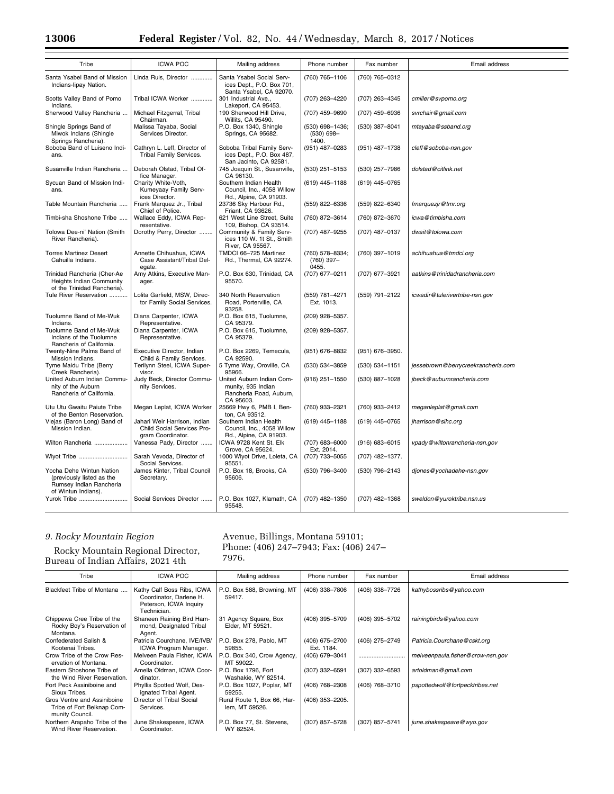-

| Tribe                                                                                  | <b>ICWA POC</b>                                                                 | Mailing address                                                                         | Phone number                              | Fax number         | Email address                      |
|----------------------------------------------------------------------------------------|---------------------------------------------------------------------------------|-----------------------------------------------------------------------------------------|-------------------------------------------|--------------------|------------------------------------|
| Santa Ysabel Band of Mission<br>Indians-lipay Nation.                                  | Linda Ruis, Director                                                            | Santa Ysabel Social Serv-<br>ices Dept., P.O. Box 701,<br>Santa Ysabel, CA 92070.       | (760) 765-1106                            | (760) 765-0312     |                                    |
| Scotts Valley Band of Pomo<br>Indians.                                                 | Tribal ICWA Worker                                                              | 301 Industrial Ave.,<br>Lakeport, CA 95453.                                             | (707) 263-4220                            | (707) 263-4345     | cmiller@svpomo.org                 |
| Sherwood Valley Rancheria                                                              | Michael Fitzgerral, Tribal<br>Chairman.                                         | 190 Sherwood Hill Drive,<br>Willits, CA 95490.                                          | (707) 459-9690                            | (707) 459-6936     | svrchair@gmail.com                 |
| Shingle Springs Band of<br>Miwok Indians (Shingle<br>Springs Rancheria).               | Malissa Tayaba, Social<br>Services Director.                                    | P.O. Box 1340, Shingle<br>Springs, CA 95682.                                            | (530) 698-1436;<br>$(530) 698 -$<br>1400. | (530) 387-8041     | mtayaba@ssband.org                 |
| Soboba Band of Luiseno Indi-<br>ans.                                                   | Cathryn L. Leff, Director of<br>Tribal Family Services.                         | Soboba Tribal Family Serv-<br>ices Dept., P.O. Box 487,<br>San Jacinto, CA 92581.       | (951) 487-0283                            | (951) 487-1738     | cleff@soboba-nsn.gov               |
| Susanville Indian Rancheria                                                            | Deborah Olstad, Tribal Of-<br>fice Manager.                                     | 745 Joaquin St., Susanville,<br>CA 96130.                                               | (530) 251-5153                            | (530) 257-7986     | dolstad@citlink.net                |
| Sycuan Band of Mission Indi-<br>ans.                                                   | Charity White-Voth,<br>Kumeyaay Family Serv-<br>ices Director.                  | Southern Indian Health<br>Council, Inc., 4058 Willow<br>Rd., Alpine, CA 91903.          | (619) 445-1188                            | $(619)$ 445-0765   |                                    |
| Table Mountain Rancheria                                                               | Frank Marquez Jr., Tribal<br>Chief of Police.                                   | 23736 Sky Harbour Rd.,<br>Friant, CA 93626.                                             | (559) 822-6336                            | (559) 822-6340     | fmarquezjr@tmr.org                 |
| Timbi-sha Shoshone Tribe                                                               | Wallace Eddy, ICWA Rep-<br>resentative.                                         | 621 West Line Street, Suite<br>109, Bishop, CA 93514.                                   | (760) 872-3614                            | (760) 872-3670     | icwa@timbisha.com                  |
| Tolowa Dee-ni' Nation (Smith<br>River Rancheria).                                      | Dorothy Perry, Director                                                         | Community & Family Serv-<br>ices 110 W. 1t St., Smith<br>River, CA 95567.               | (707) 487-9255                            | (707) 487-0137     | dwait@tolowa.com                   |
| <b>Torres Martinez Desert</b><br>Cahuilla Indians.                                     | Annette Chihuahua, ICWA<br>Case Assistant/Tribal Del-<br>egate.                 | TMDCI 66-725 Martinez<br>Rd., Thermal, CA 92274.                                        | (760) 578-8334;<br>(760) 397-<br>0455.    | (760) 397-1019     | achihuahua@tmdci.org               |
| Trinidad Rancheria (Cher-Ae<br>Heights Indian Community<br>of the Trinidad Rancheria). | Amy Atkins, Executive Man-<br>ager.                                             | P.O. Box 630, Trinidad, CA<br>95570.                                                    | (707) 677-0211                            | (707) 677-3921     | aatkins@trinidadrancheria.com      |
| Tule River Reservation                                                                 | Lolita Garfield, MSW, Direc-<br>tor Family Social Services.                     | 340 North Reservation<br>Road, Porterville, CA<br>93258.                                | (559) 781-4271<br>Ext. 1013.              | (559) 791-2122     | icwadir@tulerivertribe-nsn.gov     |
| Tuolumne Band of Me-Wuk<br>Indians.                                                    | Diana Carpenter, ICWA<br>Representative.                                        | P.O. Box 615, Tuolumne,<br>CA 95379.                                                    | (209) 928-5357.                           |                    |                                    |
| Tuolumne Band of Me-Wuk<br>Indians of the Tuolumne<br>Rancheria of California.         | Diana Carpenter, ICWA<br>Representative.                                        | P.O. Box 615, Tuolumne,<br>CA 95379.                                                    | (209) 928-5357.                           |                    |                                    |
| Twenty-Nine Palms Band of<br>Mission Indians.                                          | Executive Director, Indian<br>Child & Family Services.                          | P.O. Box 2269, Temecula,<br>CA 92590.                                                   | (951) 676-8832                            | (951) 676-3950.    |                                    |
| Tyme Maidu Tribe (Berry<br>Creek Rancheria).                                           | Terilynn Steel, ICWA Super-<br>visor.                                           | 5 Tyme Way, Oroville, CA<br>95966.                                                      | (530) 534-3859                            | (530) 534-1151     | jessebrown@berrycreekrancheria.com |
| United Auburn Indian Commu-<br>nity of the Auburn<br>Rancheria of California.          | Judy Beck, Director Commu-<br>nity Services.                                    | United Auburn Indian Com-<br>munity, 935 Indian<br>Rancheria Road, Auburn,<br>CA 95603. | (916) 251-1550                            | (530) 887-1028     | jbeck@auburnrancheria.com          |
| Utu Utu Gwaitu Paiute Tribe<br>of the Benton Reservation.                              | Megan Leplat, ICWA Worker                                                       | 25669 Hwy 6, PMB I, Ben-<br>ton, CA 93512.                                              | (760) 933-2321                            | (760) 933-2412     | meganleplat@gmail.com              |
| Viejas (Baron Long) Band of<br>Mission Indian.                                         | Jahari Weir Harrison, Indian<br>Child Social Services Pro-<br>gram Coordinator. | Southern Indian Health<br>Council, Inc., 4058 Willow<br>Rd., Alpine, CA 91903.          | (619) 445-1188                            | $(619)$ 445-0765   | jharrison@sihc.org                 |
| Wilton Rancheria                                                                       | Vanessa Pady, Director                                                          | ICWA 9728 Kent St. Elk<br>Grove, CA 95624.                                              | (707) 683-6000<br>Ext. 2014.              | $(916) 683 - 6015$ | vpady@wiltonrancheria-nsn.gov      |
| Wiyot Tribe                                                                            | Sarah Vevoda, Director of<br>Social Services.                                   | 1000 Wiyot Drive, Loleta, CA<br>95551.                                                  | (707) 733-5055                            | (707) 482-1377.    |                                    |
| Yocha Dehe Wintun Nation<br>(previously listed as the<br>Rumsey Indian Rancheria       | James Kinter, Tribal Council<br>Secretary.                                      | P.O. Box 18, Brooks, CA<br>95606.                                                       | (530) 796-3400                            | (530) 796-2143     | djones@yochadehe-nsn.gov           |
| of Wintun Indians).<br>Yurok Tribe                                                     | Social Services Director                                                        | P.O. Box 1027, Klamath, CA<br>95548.                                                    | (707) 482-1350                            | (707) 482-1368     | sweldon@yuroktribe.nsn.us          |

# *9. Rocky Mountain Region*

Rocky Mountain Regional Director, Bureau of Indian Affairs, 2021 4th

Avenue, Billings, Montana 59101; Phone: (406) 247–7943; Fax: (406) 247– 7976.

| Tribe                                                                        | <b>ICWA POC</b>                                                                                | Mailing address                               | Phone number                 | Fax number     | Email address                    |
|------------------------------------------------------------------------------|------------------------------------------------------------------------------------------------|-----------------------------------------------|------------------------------|----------------|----------------------------------|
| Blackfeet Tribe of Montana                                                   | Kathy Calf Boss Ribs, ICWA<br>Coordinator, Darlene H.<br>Peterson, ICWA Inquiry<br>Technician. | P.O. Box 588, Browning, MT<br>59417.          | (406) 338-7806               | (406) 338-7726 | kathybossribs@yahoo.com          |
| Chippewa Cree Tribe of the<br>Rocky Boy's Reservation of<br>Montana.         | Shaneen Raining Bird Ham-<br>mond, Designated Tribal<br>Agent.                                 | 31 Agency Square, Box<br>Elder, MT 59521.     | (406) 395-5709               | (406) 395-5702 | rainingbirds@yahoo.com           |
| Confederated Salish &<br>Kootenai Tribes.                                    | Patricia Courchane, IVE/IVB/<br>ICWA Program Manager.                                          | P.O. Box 278, Pablo, MT<br>59855.             | (406) 675-2700<br>Ext. 1184. | (406) 275-2749 | Patricia.Courchane@cskt.org      |
| Crow Tribe of the Crow Res-<br>ervation of Montana.                          | Melveen Paula Fisher, ICWA<br>Coordinator.                                                     | P.O. Box 340, Crow Agency,<br>MT 59022.       | (406) 679-3041               |                | melveenpaula.fisher@crow-nsn.gov |
| Eastern Shoshone Tribe of<br>the Wind River Reservation.                     | Amella Oldman, ICWA Coor-<br>dinator.                                                          | P.O. Box 1796, Fort<br>Washakie, WY 82514.    | (307) 332-6591               | (307) 332-6593 | artoldman@gmail.com              |
| Fort Peck Assiniboine and<br>Sioux Tribes.                                   | Phyllis Spotted Wolf, Des-<br>ignated Tribal Agent.                                            | P.O. Box 1027, Poplar, MT<br>59255.           | (406) 768-2308               | (406) 768-3710 | pspottedwolf@fortpecktribes.net  |
| Gros Ventre and Assiniboine<br>Tribe of Fort Belknap Com-<br>munity Council. | Director of Tribal Social<br>Services.                                                         | Rural Route 1, Box 66, Har-<br>lem, MT 59526. | (406) 353-2205.              |                |                                  |
| Northern Arapaho Tribe of the<br>Wind River Reservation.                     | June Shakespeare, ICWA<br>Coordinator.                                                         | P.O. Box 77, St. Stevens,<br>WY 82524.        | (307) 857-5728               | (307) 857-5741 | june.shakespeare@wyo.gov         |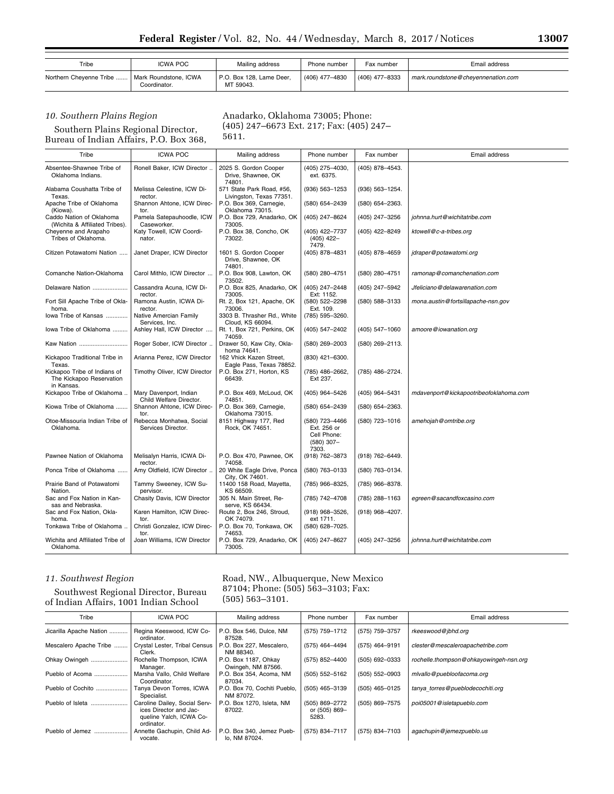| Tribe                   | ICWA POC                              | Mailing address                       | Phone number   | Fax number     | Email address                      |
|-------------------------|---------------------------------------|---------------------------------------|----------------|----------------|------------------------------------|
| Northern Cheyenne Tribe | Mark Roundstone, ICWA<br>Coordinator. | P.O. Box 128, Lame Deer,<br>MT 59043. | (406) 477–4830 | (406) 477–8333 | mark.roundstone@cheyennenation.com |

#### *10. Southern Plains Region*

Anadarko, Oklahoma 73005; Phone: (405) 247–6673 Ext. 217; Fax: (405) 247– 5611.

Southern Plains Regional Director, Bureau of Indian Affairs, P.O. Box 368,

#### Tribe ICWA POC | Mailing address | Phone number | Fax number | National address Absentee-Shawnee Tribe of Oklahoma Indians. Ronell Baker, ICW Director .. | 2025 S. Gordon Cooper Drive, Shawnee, OK 74801. (405) 275–4030, ext. 6375. (405) 878–4543. Alabama Coushatta Tribe of Texas. Melissa Celestine, ICW Director. 571 State Park Road, #56, Livingston, Texas 77351. (936) 563–1253 (936) 563–1254. Apache Tribe of Oklahoma (Kiowa). Caddo Nation of Oklahoma Shannon Ahtone, ICW Director. P.O. Box 369, Carnegie, Oklahoma 73015. (580) 654–2439 (580) 654–2363. (Wichita & Affiliated Tribes). Pamela Satepauhoodle, ICW Caseworker. P.O. Box 729, Anadarko, OK 73005. (405) 247–8624 (405) 247–3256 *[johnna.hurt@wichitatribe.com](mailto:johnna.hurt@wichitatribe.com)*  Cheyenne and Arapaho Tribes of Oklahoma. Katy Towell, ICW Coordinator. P.O. Box 38, Concho, OK 73022. (405) 422–7737 (405) 422– 7479.<br>(405) 878-4831 (405) 422–8249 *[ktowell@c-a-tribes.org](mailto:ktowell@c-a-tribes.org)*  Citizen Potawatomi Nation ..... Janet Draper, ICW Director | 1601 S. Gordon Cooper Drive, Shawnee, OK 74801. (405) 878–4831 (405) 878–4659 *[jdraper@potawatomi.org](mailto:jdraper@potawatomi.org)*  Comanche Nation-Oklahoma | Carol Mithlo, ICW Director ... | P.O. Box 908, Lawton, OK 73502. (580) 280–4751 (580) 280–4751 *[ramonap@comanchenation.com](mailto:ramonap@comanchenation.com)*  Delaware Nation ..................... Cassandra Acuna, ICW Director. P.O. Box 825, Anadarko, OK 73005. (405) 247–2448 Ext: 1152. (405) 247–5942 *[Jfeliciano@delawarenation.com](mailto:Jfeliciano@delawarenation.com)*  Fort Sill Apache Tribe of Oklahoma.<br>Iowa Tribe of Kansas Ramona Austin, ICWA Director. Rt. 2, Box 121, Apache, OK 73006. (580) 522–2298 Ext. 109. (580) 588–3133 *[mona.austin@fortsillapache-nsn.gov](mailto:mona.austin@fortsillapache-nsn.gov)*  Native Amercian Family Services, Inc. Iowa Tribe of Oklahoma ......... Ashley Hall, ICW Director .... Rt. 1, Box 721, Perkins, OK 3303 B. Thrasher Rd., White Cloud, KS 66094.<br>Rt. 1. Box 721. Perkins. OK (785) 595–3260. 74059. (405) 547–2402 (405) 547–1060 *[amoore@iowanation.org](mailto:amoore@iowanation.org)*  Kaw Nation ............................. Roger Sober, ICW Director .. Drawer 50, Kaw City, Oklahoma 74641.<br>162 Vhick Kazen Street, (580) 269–2003 (580) 269–2113. Kickapoo Traditional Tribe in Texas. Arianna Perez, ICW Director Eagle Pass, Texas 78852. Timothy Oliver, ICW Director P.O. Box 271, Horton, KS (830) 421–6300. Kickapoo Tribe of Indians of The Kickapoo Reservation in Kansas 66439. (785) 486–2662, Ext 237. (785) 486–2724. Kickapoo Tribe of Oklahoma .. Mary Davenport, Indian Child Welfare Director. P.O. Box 469, McLoud, OK 74851. (405) 964–5426 (405) 964–5431 *[mdavenport@kickapootribeofoklahoma.com](mailto:mdavenport@kickapootribeofoklahoma.com)*  Kiowa Tribe of Oklahoma ....... Shannon Ahtone, ICW Director. P.O. Box 369, Carnegie, Oklahoma 73015. (580) 654–2439 (580) 654–2363. Otoe-Missouria Indian Tribe of Oklahoma. Rebecca Monhatwa, Social Services Director. 8151 Highway 177, Red Rock, OK 74651. (580) 723–4466 Ext. 256 or Cell Phone: (580) 307– 7303.<br>(918) 762-3873 (580) 723–1016 *[amehojah@omtribe.org](mailto:amehojah@omtribe.org)*  Pawnee Nation of Oklahoma | Melisalyn Harris, ICWA Director. P.O. Box 470, Pawnee, OK 74058.<br>20 White Eagle Drive, Ponca (918) 762-6449. Ponca Tribe of Oklahoma ...... Amy Oldfield, ICW Director . City, OK 74601. (580) 763–0133 (580) 763–0134. Prairie Band of Potawatomi Nation. Tammy Sweeney, ICW Supervisor. 11400 158 Road, Mayetta, KS 66509.<br>305 N. Main Street, Re-(785) 966–8325, (785) 966–8378. Sac and Fox Nation in Kansas and Nebraska. Chasity Davis, ICW Director serve, KS 66434. (785) 742–4708 (785) 288–1163 *[egreen@sacandfoxcasino.com](mailto:egreen@sacandfoxcasino.com)*  Sac and Fox Nation, Oklahoma.<br>Tonkawa Tribe of Oklahoma Karen Hamilton, ICW Director. Route 2, Box 246, Stroud, OK 74079. (918) 968–3526, ext 1711. (918) 968–4207. Christi Gonzalez, ICW Director.<br>Joan Williams, ICW Director P.O. Box 70, Tonkawa, OK 74653. (580) 628–7025. Wichita and Affiliated Tribe of Oklahoma. P.O. Box 729, Anadarko, OK 73005. (405) 247–8627 (405) 247–3256 *[johnna.hurt@wichitatribe.com](mailto:johnna.hurt@wichitatribe.com)*

## *11. Southwest Region*

Southwest Regional Director, Bureau of Indian Affairs, 1001 Indian School

#### Road, NW., Albuquerque, New Mexico 87104; Phone: (505) 563–3103; Fax: (505) 563–3101.

| Tribe                   | <b>ICWA POC</b>                                                                                  | Mailing address                            | Phone number                             | Fax number         | Email address                          |
|-------------------------|--------------------------------------------------------------------------------------------------|--------------------------------------------|------------------------------------------|--------------------|----------------------------------------|
| Jicarilla Apache Nation | Regina Keeswood, ICW Co-<br>ordinator.                                                           | P.O. Box 546, Dulce, NM<br>87528.          | (575) 759-1712                           | (575) 759-3757     | rkeeswood@jbhd.org                     |
| Mescalero Apache Tribe  | Crystal Lester, Tribal Census<br>Clerk.                                                          | P.O. Box 227, Mescalero,<br>NM 88340.      | (575) 464-4494                           | (575) 464-9191     | clester@mescaleroapachetribe.com       |
| Ohkay Owingeh           | Rochelle Thompson, ICWA<br>Manager.                                                              | P.O. Box 1187, Ohkay<br>Owingeh, NM 87566. | (575) 852-4400                           | (505) 692-0333     | rochelle.thompson@ohkayowingeh-nsn.org |
| Pueblo of Acoma         | Marsha Vallo, Child Welfare<br>Coordinator.                                                      | P.O. Box 354, Acoma, NM<br>87034.          | (505) 552-5162                           | $(505) 552 - 0903$ | mivallo@puebloofacoma.org              |
| Pueblo of Cochito       | Tanya Devon Torres, ICWA<br>Specialist.                                                          | P.O. Box 70, Cochiti Pueblo,<br>NM 87072.  | (505) 465-3139                           | (505) 465-0125     | tanya torres@pueblodecochiti.org       |
| Pueblo of Isleta        | Caroline Dailey, Social Serv-<br>ices Director and Jac-<br>queline Yalch, ICWA Co-<br>ordinator. | P.O. Box 1270, Isleta, NM<br>87022.        | (505) 869-2772<br>or (505) 869-<br>5283. | (505) 869-7575     | poi05001@isletapueblo.com              |
| Pueblo of Jemez.<br>    | Annette Gachupin, Child Ad-<br>vocate.                                                           | P.O. Box 340, Jemez Pueb-<br>lo. NM 87024. | (575) 834-7117                           | (575) 834-7103     | agachupin@jemezpueblo.us               |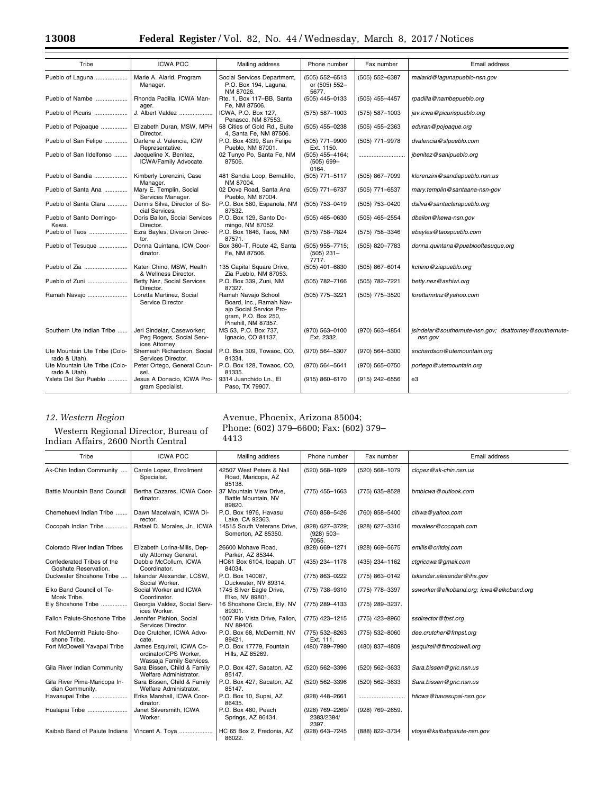۳

| Tribe                                          | <b>ICWA POC</b>                                                          | Mailing address                                                                                                         | Phone number                             | Fax number         | Email address                                                     |
|------------------------------------------------|--------------------------------------------------------------------------|-------------------------------------------------------------------------------------------------------------------------|------------------------------------------|--------------------|-------------------------------------------------------------------|
| Pueblo of Laguna                               | Marie A. Alarid, Program<br>Manager.                                     | Social Services Department,<br>P.O. Box 194, Laguna,<br>NM 87026.                                                       | (505) 552-6513<br>or (505) 552-<br>5677. | (505) 552-6387     | malarid@lagunapueblo-nsn.gov                                      |
| Pueblo of Nambe                                | Rhonda Padilla, ICWA Man-<br>ager.                                       | Rte. 1, Box 117-BB, Santa<br>Fe, NM 87506.                                                                              | (505) 445-0133                           | (505) 455-4457     | rpadilla@nambepueblo.org                                          |
| Pueblo of Picuris                              | J. Albert Valdez                                                         | ICWA, P.O. Box 127,<br>Penasco, NM 87553.                                                                               | (575) 587-1003                           | $(575) 587 - 1003$ | jav.icwa@picurispueblo.org                                        |
| Pueblo of Pojoaque                             | Elizabeth Duran, MSW, MPH<br>Director.                                   | 58 Cities of Gold Rd., Suite<br>4, Santa Fe, NM 87506.                                                                  | $(505)$ 455-0238                         | $(505)$ 455-2363   | eduran@pojoaque.org                                               |
| Pueblo of San Felipe                           | Darlene J. Valencia, ICW<br>Representative.                              | P.O. Box 4339, San Felipe<br>Pueblo, NM 87001.                                                                          | (505) 771-9900<br>Ext. 1150.             | (505) 771-9978     | dvalencia@sfpueblo.com                                            |
| Pueblo of San Ildelfonso                       | Jacqueline X. Benitez,<br>ICWA/Family Advocate.                          | 02 Tunyo Po, Santa Fe, NM<br>87506.                                                                                     | (505) 455-4164;<br>$(505) 699-$<br>0164. |                    | jbenitez@sanipueblo.org                                           |
| Pueblo of Sandia                               | Kimberly Lorenzini, Case<br>Manager.                                     | 481 Sandia Loop, Bernalillo,<br>NM 87004.                                                                               | (505) 771-5117                           | (505) 867-7099     | klorenzini@sandiapueblo.nsn.us                                    |
| Pueblo of Santa Ana                            | Mary E. Templin, Social<br>Services Manager.                             | 02 Dove Road, Santa Ana<br>Pueblo, NM 87004.                                                                            | (505) 771-6737                           | (505) 771-6537     | mary.templin@santaana-nsn-gov                                     |
| Pueblo of Santa Clara                          | Dennis Silva, Director of So-<br>cial Services.                          | P.O. Box 580, Espanola, NM<br>87532.                                                                                    | (505) 753-0419                           | (505) 753-0420     | dsilva@santaclarapueblo.org                                       |
| Pueblo of Santo Domingo-<br>Kewa.              | Doris Bailon, Social Services<br>Director.                               | P.O. Box 129, Santo Do-<br>mingo, NM 87052.                                                                             | $(505)$ 465-0630                         | $(505)$ 465-2554   | dbailon@kewa-nsn.gov                                              |
| Pueblo of Taos                                 | Ezra Bayles, Division Direc-<br>tor.                                     | P.O. Box 1846, Taos, NM<br>87571.                                                                                       | (575) 758-7824                           | (575) 758-3346     | ebayles@taospueblo.com                                            |
| Pueblo of Tesuque                              | Donna Quintana, ICW Coor-<br>dinator.                                    | Box 360-T, Route 42, Santa<br>Fe, NM 87506.                                                                             | (505) 955-7715;<br>$(505)$ 231-<br>7717. | (505) 820-7783     | donna.quintana@pueblooftesuque.org                                |
| Pueblo of Zia                                  | Kateri Chino, MSW, Health<br>& Wellness Director.                        | 135 Capital Square Drive,<br>Zia Pueblo, NM 87053.                                                                      | (505) 401-6830                           | $(505)$ 867-6014   | kchino@ziapueblo.org                                              |
| Pueblo of Zuni                                 | Betty Nez, Social Services<br>Director.                                  | P.O. Box 339, Zuni, NM<br>87327.                                                                                        | (505) 782-7166                           | (505) 782-7221     | betty.nez@ashiwi.org                                              |
| Ramah Navajo                                   | Loretta Martinez, Social<br>Service Director.                            | Ramah Navajo School<br>Board, Inc., Ramah Nav-<br>ajo Social Service Pro-<br>gram, P.O. Box 250,<br>Pinehill, NM 87357. | (505) 775-3221                           | (505) 775-3520     | lorettamrtnz@yahoo.com                                            |
| Southern Ute Indian Tribe                      | Jeri Sindelar, Caseworker;<br>Peg Rogers, Social Serv-<br>ices Attorney. | MS 53, P.O. Box 737,<br>Ignacio, CO 81137.                                                                              | (970) 563-0100<br>Ext. 2332.             | (970) 563-4854     | jsindelar@southernute-nsn.gov; dsattorney@southernute-<br>nsn.gov |
| Ute Mountain Ute Tribe (Colo-<br>rado & Utah). | Shemeah Richardson, Social<br>Services Director.                         | P.O. Box 309, Towaoc, CO,<br>81334.                                                                                     | (970) 564-5307                           | (970) 564-5300     | srichardson@utemountain.org                                       |
| Ute Mountain Ute Tribe (Colo-<br>rado & Utah). | Peter Ortego, General Coun-<br>sel.                                      | P.O. Box 128, Towaoc, CO,<br>81335.                                                                                     | (970) 564-5641                           | (970) 565-0750     | portego@utemountain.org                                           |
| Ysleta Del Sur Pueblo                          | Jesus A Donacio, ICWA Pro-<br>gram Specialist.                           | 9314 Juanchido Ln., El<br>Paso, TX 79907.                                                                               | $(915) 860 - 6170$                       | $(915)$ 242-6556   | e3                                                                |

## *12. Western Region*

Western Regional Director, Bureau of Indian Affairs, 2600 North Central

## Avenue, Phoenix, Arizona 85004; Phone: (602) 379–6600; Fax: (602) 379– 4413

| Tribe                                              | <b>ICWA POC</b>                                                                | Mailing address                                          | Phone number                              | Fax number      | Email address                            |
|----------------------------------------------------|--------------------------------------------------------------------------------|----------------------------------------------------------|-------------------------------------------|-----------------|------------------------------------------|
| Ak-Chin Indian Community                           | Carole Lopez, Enrollment<br>Specialist.                                        | 42507 West Peters & Nall<br>Road, Maricopa, AZ<br>85138. | (520) 568-1029                            | (520) 568-1079  | clopez@ak-chin.nsn.us                    |
| Battle Mountain Band Council                       | Bertha Cazares, ICWA Coor-<br>dinator.                                         | 37 Mountain View Drive,<br>Battle Mountain, NV<br>89820. | $(775)$ 455-1663                          | (775) 635-8528  | bmbicwa@outlook.com                      |
| Chemehuevi Indian Tribe                            | Dawn Macelwain, ICWA Di-<br>rector.                                            | P.O. Box 1976, Havasu<br>Lake, CA 92363.                 | (760) 858-5426                            | (760) 858-5400  | citiwa@yahoo.com                         |
| Cocopah Indian Tribe                               | Rafael D. Morales, Jr., ICWA                                                   | 14515 South Veterans Drive,<br>Somerton, AZ 85350.       | (928) 627-3729;<br>$(928) 503 -$<br>7055. | (928) 627-3316  | moralesr@cocopah.com                     |
| Colorado River Indian Tribes                       | Elizabeth Lorina-Mills, Dep-<br>uty Attorney General.                          | 26600 Mohave Road.<br>Parker, AZ 85344.                  | (928) 669-1271                            | (928) 669-5675  | emills@critdoj.com                       |
| Confederated Tribes of the<br>Goshute Reservation. | Debbie McCollum, ICWA<br>Coordinator.                                          | HC61 Box 6104, Ibapah, UT<br>84034.                      | (435) 234-1178                            | (435) 234-1162  | ctgriccwa@gmail.com                      |
| Duckwater Shoshone Tribe                           | Iskandar Alexandar, LCSW,<br>Social Worker.                                    | P.O. Box 140087,<br>Duckwater, NV 89314.                 | (775) 863-0222                            | (775) 863-0142  | Iskandar.alexandar@ihs.gov               |
| Elko Band Council of Te-<br>Moak Tribe.            | Social Worker and ICWA<br>Coordinator.                                         | 1745 Silver Eagle Drive,<br>Elko, NV 89801.              | (775) 738-9310                            | (775) 778-3397  | ssworker@elkoband.org; icwa@elkoband.org |
| Ely Shoshone Tribe                                 | Georgia Valdez, Social Serv-<br>ices Worker.                                   | 16 Shoshone Circle, Ely, NV<br>89301.                    | (775) 289-4133                            | (775) 289-3237. |                                          |
| Fallon Paiute-Shoshone Tribe                       | Jennifer Pishion, Social<br>Services Director.                                 | 1007 Rio Vista Drive, Fallon,<br>NV 89406.               | (775) 423-1215                            | (775) 423-8960  | ssdirector@fpst.org                      |
| Fort McDermitt Paiute-Sho-<br>shone Tribe.         | Dee Crutcher, ICWA Advo-<br>cate.                                              | P.O. Box 68, McDermitt, NV<br>89421.                     | (775) 532-8263<br>Ext. 111.               | (775) 532-8060  | dee.crutcher@fmpst.org                   |
| Fort McDowell Yavapai Tribe                        | James Esquirell, ICWA Co-<br>ordinator/CPS Worker,<br>Wassaja Family Services. | P.O. Box 17779, Fountain<br>Hills, AZ 85269.             | (480) 789-7990                            | (480) 837-4809  | jesquirell@ftmcdowell.org                |
| Gila River Indian Community                        | Sara Bissen, Child & Family<br>Welfare Administrator.                          | P.O. Box 427, Sacaton, AZ<br>85147.                      | (520) 562-3396                            | (520) 562-3633  | Sara.bissen@gric.nsn.us                  |
| Gila River Pima-Maricopa In-<br>dian Community.    | Sara Bissen, Child & Family<br>Welfare Administrator.                          | P.O. Box 427, Sacaton, AZ<br>85147.                      | (520) 562-3396                            | (520) 562-3633  | Sara.bissen@gric.nsn.us                  |
| Havasupai Tribe                                    | Erika Marshall, ICWA Coor-<br>dinator.                                         | P.O. Box 10, Supai, AZ<br>86435.                         | (928) 448-2661                            |                 | hticwa@havasupai-nsn.gov                 |
| Hualapai Tribe                                     | Janet Silversmith, ICWA<br>Worker.                                             | P.O. Box 480, Peach<br>Springs, AZ 86434.                | (928) 769-2269/<br>2383/2384/<br>2397.    | (928) 769-2659. |                                          |
| Kaibab Band of Paiute Indians                      | Vincent A. Toya                                                                | HC 65 Box 2, Fredonia, AZ<br>86022.                      | (928) 643-7245                            | (888) 822-3734  | vtoya@kaibabpaiute-nsn.gov               |